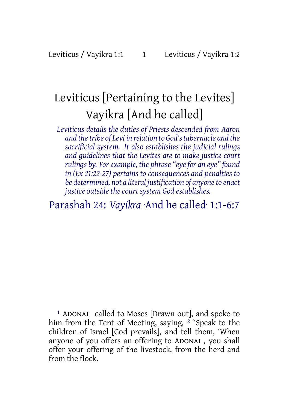# Leviticus [Pertaining to the Levites] Vayikra [And he called]

*Leviticus details the duties of Priests descended from Aaron and thetribe of Levi in relation to God'stabernacle and the sacrificial system. It also establishes the judicial rulings and guidelines that the Levites are to make justice court rulings* by. For example, the phrase "eye for an eye" found *in (Ex 21:22-27) pertains to consequences and penalties to be determined, not a literal justification of anyoneto enact justice outside the court system God establishes.*

## Parashah 24: *Vayikra* ·And he called· 1:1-6:7

1 ADONAI called to Moses [Drawn out], and spoke to him from the Tent of Meeting, saying, 2 "Speak to the children of Israel [God prevails], and tell them, 'When anyone of you offers an offering to ADONAI , you shall offer your offering of the livestock, from the herd and from the flock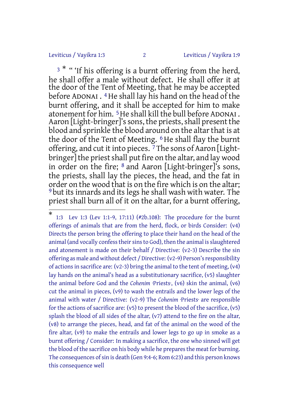#### Leviticus / Vayikra 1:3 2 Leviticus / Vayikra 1:9

 $^3$   $^*$  " 'If his offering is a burnt offering from the herd, he shall offer a male without defect. He shall offer it at the door of the Tent of Meeting, that he may be accepted before ADONAI . 4He shall lay his hand on the head of the burnt offering, and it shall be accepted for him to make atonement for him. 5He shall kill the bull before ADONAI . Aaron [Light-bringer]'s sons, the priests, shall present the blood and sprinkle the blood around on the altar that is at the door of the Tent of Meeting. 6 He shall flay the burnt offering, and cut it into pieces. <sup>7</sup>The sons of Aaron [Lightbringer] the priest shall put fire on the altar, and lay wood in order on the fire; 8 and Aaron [Light-bringer]'s sons, the priests, shall lay the pieces, the head, and the fat in order on the wood that is on the fire which is on the altar; 9 but itsinnards and itslegs he shall wash with water. The priest shall burn all of it on the altar, for a burnt offering,

<sup>\*</sup> 1:3 Lev 1:3 (Lev 1:1-9, 17:11) (#2b.108): The procedure for the burnt offerings of animals that are from the herd, flock, or birds Consider: (v4) Directs the person bring the offering to place their hand on the head of the animal (and vocally confess their sins to God), then the animal is slaughtered and atonement is made on their behalf / Directive: (v2-3) Describe the sin offering as male and without defect / Directive: (v2-9) Person's responsibility of actions in sacrifice are:  $(v2-3)$  bring the animal to the tent of meeting,  $(v4)$ lay hands on the animal's head as a substitutionary sacrifice, (v5) slaughter the animal before God and the *Cohenim* ·Priests·, (v6) skin the animal, (v6) cut the animal in pieces, (v9) to wash the entrails and the lower legs of the animal with water / Directive: (v2-9) The *Cohenim* ·Priests· are responsible for the actions of sacrifice are: (v5) to present the blood of the sacrifice, (v5) splash the blood of all sides of the altar, (v7) attend to the fire on the altar, (v8) to arrange the pieces, head, and fat of the animal on the wood of the fire altar, (v9) to make the entrails and lower legs to go up in smoke as a burnt offering / Consider: In making a sacrifice, the one who sinned will get the blood of the sacrifice on his body while he prepares the meat for burning. The consequences of sin is death (Gen 9:4-6; Rom 6:23) and this person knows this consequence well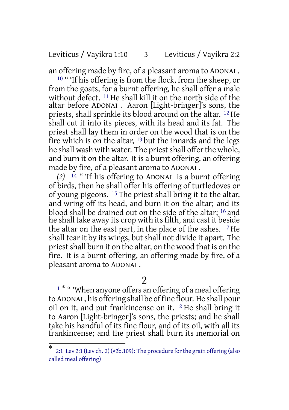#### Leviticus / Vayikra 1:10 3 Leviticus / Vayikra 2:2

an offering made by fire, of a pleasant aroma to ADONAI .

<sup>10</sup> " 'If his offering is from the flock, from the sheep, or from the goats, for a burnt offering, he shall offer a male without defect. 11 He shall kill it on the north side of the altar before ADONAI . Aaron [Light-bringer]'s sons, the priests, shall sprinkle its blood around on the altar. 12 He shall cut it into its pieces, with its head and its fat. The priest shall lay them in order on the wood that is on the fire which is on the altar,  $13$  but the innards and the legs he shall wash with water. The priest shall offer the whole, and burn it on the altar. It is a burnt offering, an offering made by fire, of a pleasant aroma to ADONAI .

*(2)* 14 " 'If his offering to ADONAI is a burnt offering of birds, then he shall offer his offering of turtledoves or of young pigeons. 15 The priest shall bring it to the altar, and wring off its head, and burn it on the altar; and its blood shall be drained out on the side of the altar; 16 and he shall take away its crop with its filth, and cast it beside the altar on the east part, in the place of the ashes. 17 He shall tear it by its wings, but shall not divide it apart. The priest shall burn it on the altar, on the wood that is on the fire. It is a burnt offering, an offering made by fire, of a pleasant aroma to ADONAI .

#### 2

<sup>1\*</sup> " 'When anyone offers an offering of a meal offering to ADONAI , his offering shall be of fine flour. He shall pour oil on it, and put frankincense on it.  $2$  He shall bring it to Aaron [Light-bringer]'s sons, the priests; and he shall take his handful of its fine flour, and of its oil, with all its frankincense; and the priest shall burn its memorial on

<sup>\*</sup> 2:1 Lev 2:1 (Lev ch. 2) (#2b.109): The procedure for the grain offering (also called meal offering)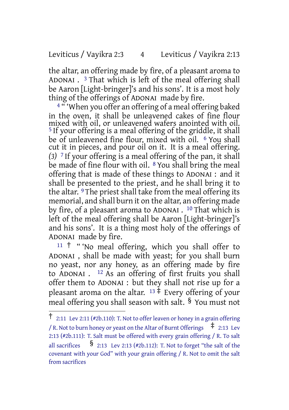### Leviticus / Vayikra 2:3 4 Leviticus / Vayikra 2:13

the altar, an offering made by fire, of a pleasant aroma to ADONAI . 3 That which is left of the meal offering shall be Aaron [Light-bringer]'s and his sons'. It is a most holy thing of the offerings of ADONAI made by fire.

<sup>4 "</sup> 'When you offer an offering of a meal offering baked in the oven, it shall be unleavened cakes of fine flour mixed with oil, or unleavened wafers anointed with oil. <sup>5</sup> If your offering is a meal offering of the griddle, it shall be of unleavened fine flour, mixed with oil. <sup>6</sup> You shall cut it in pieces, and pour oil on it. It is a meal offering. *(3)* 7 If your offering is a meal offering of the pan, it shall be made of fine flour with oil. <sup>8</sup> You shall bring the meal offering that is made of these things to ADONAI : and it shall be presented to the priest, and he shall bring it to the altar. 9 The priest shall take from the meal offering its memorial, and shall burn it on the altar, an offering made by fire, of a pleasant aroma to ADONAI . <sup>10</sup> That which is left of the meal offering shall be Aaron [Light-bringer]'s and his sons'. It is a thing most holy of the offerings of ADONAI made by fire.

<sup>11</sup> † " 'No meal offering, which you shall offer to ADONAI , shall be made with yeast; for you shall burn no yeast, nor any honey, as an offering made by fire to ADONAI . 12 As an offering of first fruits you shall offer them to ADONAI : but they shall not rise up for a pleasant aroma on the altar.  $13 \pm$  Every offering of your meal offering you shall season with salt. § You must not

<sup>†</sup> 2:11 Lev 2:11 (#2b.110): T. Not to offer leaven or honey in <sup>a</sup> grain offering / R. Not to burn honey or yeast on the Altar of Burnt Offerings  $\pm$  2:13 Lev 2:13 (#2b.111): T. Salt must be offered with every grain offering / R. To salt all sacrifices  $\frac{\$}{\,2.13\,$  Lev 2:13 (#2b.112): T. Not to forget "the salt of the covenant with your God" with your grain offering / R. Not to omit the salt from sacrifices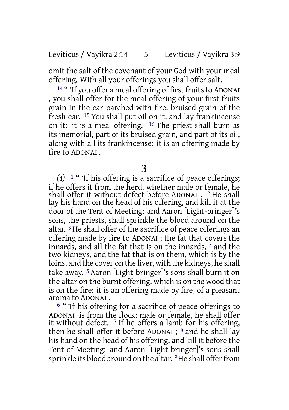omit the salt of the covenant of your God with your meal offering. With all your offerings you shall offer salt.

<sup>14</sup> " 'If you offer a meal offering of first fruits to ADONAI , you shall offer for the meal offering of your first fruits grain in the ear parched with fire, bruised grain of the fresh ear. 15 You shall put oil on it, and lay frankincense on it: it is a meal offering. 16 The priest shall burn as its memorial, part of its bruised grain, and part of its oil, along with all its frankincense: it is an offering made by fire to ADONAI .

3

*(4)* 1 " 'If his offering is a sacrifice of peace offerings; if he offers it from the herd, whether male or female, he shall offer it without defect before ADONAI . 2 He shall lay his hand on the head of his offering, and kill it at the door of the Tent of Meeting: and Aaron [Light-bringer]'s sons, the priests, shall sprinkle the blood around on the altar. 3He shall offer of the sacrifice of peace offerings an offering made by fire to ADONAI ; the fat that covers the innards, and all the fat that is on the innards, 4 and the two kidneys, and the fat that is on them, which is by the loins, and the cover on the liver, with the kidneys, he shall take away. 5 Aaron [Light-bringer]'s sons shall burn it on the altar on the burnt offering, which is on the wood that is on the fire: it is an offering made by fire, of a pleasant aroma to ADONAI .

6 " 'If his offering for a sacrifice of peace offerings to ADONAI is from the flock; male or female, he shall offer it without defect.  $\frac{7}{7}$  If he offers a lamb for his offering, then he shall offer it before ADONAI ; 8 and he shall lay his hand on the head of his offering, and kill it before the Tent of Meeting: and Aaron [Light-bringer]'s sons shall sprinkle its blood around on the altar. <sup>9</sup>He shall offer from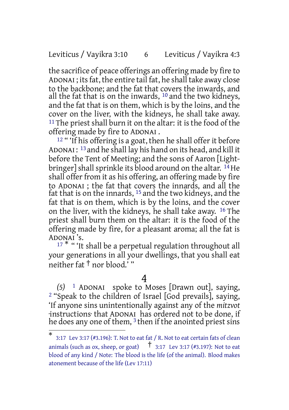### Leviticus / Vayikra 3:10 6 Leviticus / Vayikra 4:3

the sacrifice of peace offerings an offering made by fire to ADONAI ; its fat, the entire tail fat, he shall take away close to the backbone; and the fat that covers the inwards, and all the fat that is on the inwards,  $10$  and the two kidneys, and the fat that is on them, which is by the loins, and the cover on the liver, with the kidneys, he shall take away.  $11$  The priest shall burn it on the altar: it is the food of the offering made by fire to ADONAI .

<sup>12</sup> " If his offering is a goat, then he shall offer it before ADONAI : 13 and he shall lay his hand on its head, and kill it before the Tent of Meeting; and the sons of Aaron [Lightbringer] shall sprinkle its blood around on the altar.  $^{14}$  He shall offer from it as his offering, an offering made by fire to ADONAI ; the fat that covers the innards, and all the fat that is on the innards,  $^{15}$  and the two kidneys, and the fat that is on them, which is by the loins, and the cover on the liver, with the kidneys, he shall take away. 16 The priest shall burn them on the altar: it is the food of the offering made by fire, for a pleasant aroma; all the fat is ADONAI 's.

<sup>17</sup> \* " 'It shall be a perpetual regulation throughout all your generations in all your dwellings, that you shall eat neither fat † nor blood.' "

#### 4

*(5)* 1 ADONAI spoke to Moses [Drawn out], saying, 2 "Speak to the children of Israel [God prevails], saying, 'If anyone sins unintentionally against any of the *mitzvot* ·instructions· that ADONAI has ordered not to be done, if he does any one of them,  $3$  then if the anointed priest sins

<sup>\*</sup> 3:17 Lev 3:17 (#3.196): T. Not to eat fat / R. Not to eat certain fats of clean animals (such as ox, sheep, or goat)  $\frac{1}{1}$  3:17 Lev 3:17 (#3.197): Not to eat blood of any kind / Note: The blood is the life (of the animal). Blood makes atonement because of the life (Lev 17:11)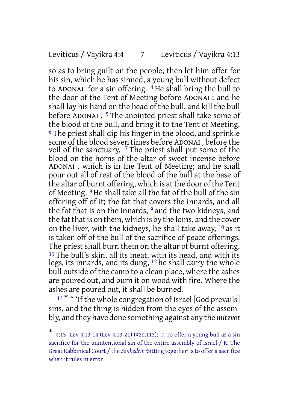#### Leviticus / Vayikra 4:4 7 Leviticus / Vayikra 4:13

so as to bring guilt on the people, then let him offer for his sin, which he has sinned, a young bull without defect to ADONAI for a sin offering. 4 He shall bring the bull to the door of the Tent of Meeting before ADONAI ; and he shall lay his hand on the head of the bull, and kill the bull before ADONAI . 5 The anointed priest shall take some of the blood of the bull, and bring it to the Tent of Meeting. 6 The priest shall dip his finger in the blood, and sprinkle some of the blood seven times before ADONAI , before the veil of the sanctuary. 7 The priest shall put some of the blood on the horns of the altar of sweet incense before ADONAI , which is in the Tent of Meeting; and he shall pour out all of rest of the blood of the bull at the base of the altar of burnt offering, which is at the door of the Tent of Meeting. 8He shall take all the fat of the bull of the sin offering off of it; the fat that covers the innards, and all the fat that is on the innards, <sup>9</sup> and the two kidneys, and the fat that is on them, which is by the loins, and the cover on the liver, with the kidneys, he shall take away, 10 as it is taken off of the bull of the sacrifice of peace offerings. The priest shall burn them on the altar of burnt offering. <sup>11</sup> The bull's skin, all its meat, with its head, and with its legs, its innards, and its dung, 12 he shall carry the whole bull outside of the camp to a clean place, where the ashes are poured out, and burn it on wood with fire. Where the ashes are poured out, it shall be burned.

<sup>13 \*</sup> " 'If the whole congregation of Israel [God prevails] sins, and the thing is hidden from the eyes of the assembly, and they have done something against any the *mitzvot*

<sup>\*</sup> 4:13 Lev 4:13-14 (Lev 4:13-21) (#2b.113): T. To offer a young bull as a sin sacrifice for the unintentional sin of the entire assembly of Israel / R. The Great Rabbinical Court / the *Sanhedrin* ·Sitting together· is to offer a sacrifice when it rules in error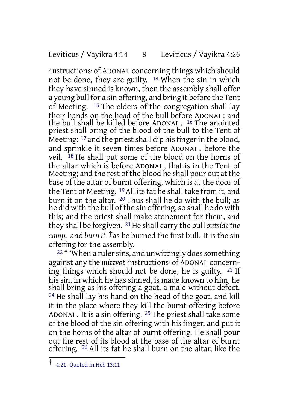#### Leviticus / Vayikra 4:14 8 Leviticus / Vayikra 4:26

·instructions· of ADONAI concerning things which should not be done, they are guilty. 14 When the sin in which they have sinned is known, then the assembly shall offer a young bull for a sin offering, and bring it before the Tent of Meeting. 15 The elders of the congregation shall lay their hands on the head of the bull before ADONAI ; and the bull shall be killed before ADONAI . 16 The anointed priest shall bring of the blood of the bull to the Tent of Meeting: <sup>17</sup> and the priest shall dip his finger in the blood, and sprinkle it seven times before ADONAI , before the veil. 18 He shall put some of the blood on the horns of the altar which is before ADONAI , that is in the Tent of Meeting; and the rest of the blood he shall pour out at the base of the altar of burnt offering, which is at the door of the Tent of Meeting. <sup>19</sup> All its fat he shall take from it, and burn it on the altar. 20 Thus shall he do with the bull; as he did with the bull of the sin offering, so shall he do with this; and the priest shall make atonement for them, and they shall be forgiven. <sup>21</sup> He shall carry the bull *outside the camp,* and *burn it* †as he burned the first bull. It is the sin offering for the assembly.

<sup>22</sup> " 'When a ruler sins, and unwittingly does something against any the *mitzvot* ·instructions· of ADONAI concerning things which should not be done, he is guilty. 23 If his sin, in which he has sinned, is made known to him, he shall bring as his offering a goat, a male without defect. 24 He shall lay his hand on the head of the goat, and kill it in the place where they kill the burnt offering before ADONAI . It is a sin offering. 25 The priest shall take some of the blood of the sin offering with his finger, and put it on the horns of the altar of burnt offering. He shall pour out the rest of its blood at the base of the altar of burnt offering. 26 All its fat he shall burn on the altar, like the

<sup>†</sup> 4:21 Quoted in Heb 13:11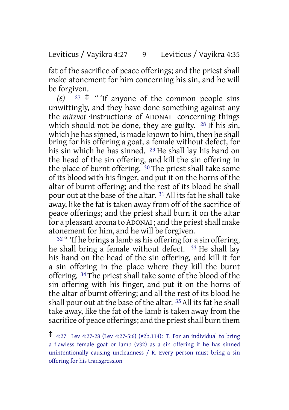Leviticus / Vayikra 4:27 9 Leviticus / Vayikra 4:35

fat of the sacrifice of peace offerings; and the priest shall make atonement for him concerning his sin, and he will be forgiven.

 $(6)$  <sup>27</sup> <sup> $\pm$ </sup> " <sup>1</sup>If anyone of the common people sins unwittingly, and they have done something against any the *mitzvot* ·instructions· of ADONAI concerning things which should not be done, they are guilty. <sup>28</sup> If his sin, which he has sinned, is made known to him, then he shall bring for his offering a goat, a female without defect, for his sin which he has sinned. 29 He shall lay his hand on the head of the sin offering, and kill the sin offering in the place of burnt offering. 30 The priest shall take some of its blood with his finger, and put it on the horns of the altar of burnt offering; and the rest of its blood he shall pour out at the base of the altar. 31 All its fat he shall take away, like the fat is taken away from off of the sacrifice of peace offerings; and the priest shall burn it on the altar for a pleasant aroma to ADONAI; and the priest shall make atonement for him, and he will be forgiven.

 $32$  " 'If he brings a lamb as his offering for a sin offering, he shall bring a female without defect. 33 He shall lay his hand on the head of the sin offering, and kill it for a sin offering in the place where they kill the burnt offering. 34 The priest shall take some of the blood of the sin offering with his finger, and put it on the horns of the altar of burnt offering; and all the rest of its blood he shall pour out at the base of the altar. 35 All its fat he shall take away, like the fat of the lamb is taken away from the sacrifice of peace offerings; and the priest shall burn them

<sup>‡</sup> 4:27 Lev 4:27-28 (Lev 4:27-5:6) (#2b.114): T. For an individual to bring a flawless female goat or lamb (v32) as a sin offering if he has sinned unintentionally causing uncleanness / R. Every person must bring a sin offering for his transgression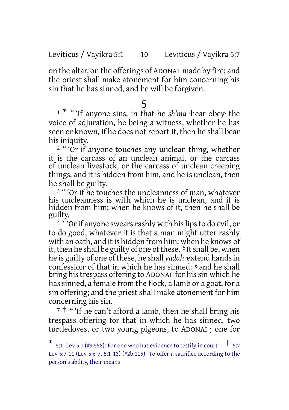Leviticus / Vayikra 5:1 10 Leviticus / Vayikra 5:7

on the altar, on the offerings of ADONAI made by fire; and the priest shall make atonement for him concerning his sin that he has sinned, and he will be forgiven.

## 5

<sup>1</sup> \* " 'If anyone sins, in that he *sh'ma* ·hear obey· the voice of adjuration, he being a witness, whether he has seen or known, if he does not report it, then he shall bear his iniquity.

<sup>2</sup> "'Or if anyone touches any unclean thing, whether it is the carcass of an unclean animal, or the carcass of unclean livestock, or the carcass of unclean creeping things, and it is hidden from him, and he is unclean, then he shall be guilty.

<sup>3</sup> " 'Or if he touches the uncleanness of man, whatever his uncleanness is with which he is unclean, and it is hidden from him; when he knows of it, then he shall be guilty.

<sup>4</sup> " 'Or if anyone swears rashly with his lips to do evil, or to do good, whatever it is that a man might utter rashly with an oath, and it is hidden from him; when he knows of it, then he shall be guilty of one of these.  $5$  It shall be, when he is guilty of one ofthese, he shall *yadah* ·extend handsin confession· of that in which he has sinned: 6 and he shall bring his trespass offering to ADONAI for his sin which he has sinned, a female from the flock, a lamb or a goat, for a sin offering; and the priest shall make atonement for him concerning his sin.

 $7$ <sup>†</sup> " 'If he can't afford a lamb, then he shall bring his trespass offering for that in which he has sinned, two turtledoves, or two young pigeons, to ADONAI ; one for

<sup>\*</sup> 5:1 Lev 5:1 (#9.558): For one who has evidence to testify in court  $\uparrow$  5:7 Lev 5:7-11 (Lev 5:6-7, 5:1-13) (#2b.115): To offer a sacrifice according to the person's ability, their means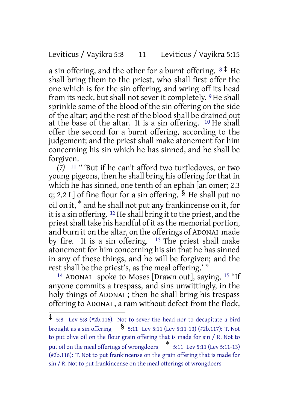Leviticus / Vayikra 5:8 11 Leviticus / Vayikra 5:15

a sin offering, and the other for a burnt offering.  $8 \neq He$ shall bring them to the priest, who shall first offer the one which is for the sin offering, and wring off its head from its neck, but shall not sever it completely. <sup>9</sup> He shall sprinkle some of the blood of the sin offering on the side of the altar; and the rest of the blood shall be drained out at the base of the altar. It is a sin offering. <sup>10</sup> He shall offer the second for a burnt offering, according to the judgement; and the priest shall make atonement for him concerning his sin which he has sinned, and he shall be forgiven.

*(7)* 11 " 'But if he can't afford two turtledoves, or two young pigeons, then he shall bring his offering for that in which he has sinned, one tenth of an ephah [an omer; 2.3 q; 2.2 L] of fine flour for a sin offering.  $\frac{6}{5}$  He shall put no oil on it, \* and he shall not put any frankincense on it, for it is a sin offering.  $12$  He shall bring it to the priest, and the priest shall take his handful of it as the memorial portion, and burn it on the altar, on the offerings of ADONAI made by fire. It is a sin offering.  $13$  The priest shall make atonement for him concerning his sin that he has sinned in any of these things, and he will be forgiven; and the rest shall be the priest's, as the meal offering.' "

<sup>14</sup> ADONAI spoke to Moses [Drawn out], saying,  $15$  "If anyone commits a trespass, and sins unwittingly, in the holy things of ADONAI; then he shall bring his trespass offering to ADONAI , a ram without defect from the flock,

<sup>‡</sup> 5:8 Lev 5:8 (#2b.116): Not to sever the head nor to decapitate <sup>a</sup> bird brought as a sin offering  $\frac{1}{5:11}$  Lev 5:11 (Lev 5:11-13) (#2b.117): T. Not to put olive oil on the flour grain offering that is made for sin / R. Not to put oil on the meal offerings of wrongdoers \* 5:11 Lev 5:11 (Lev 5:11-13) (#2b.118): T. Not to put frankincense on the grain offering that is made for sin / R. Not to put frankincense on the meal offerings of wrongdoers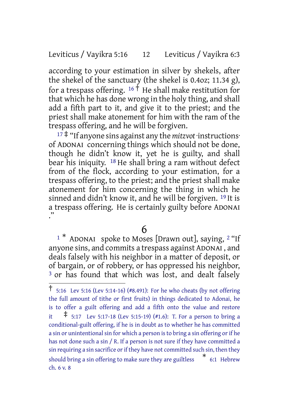### Leviticus / Vayikra 5:16 12 Leviticus / Vayikra 6:3

according to your estimation in silver by shekels, after the shekel of the sanctuary (the shekel is 0.4oz; 11.34 g), for a trespass offering.  $16 \dot{+}$  He shall make restitution for that which he has done wrong in the holy thing, and shall add a fifth part to it, and give it to the priest; and the priest shall make atonement for him with the ram of the trespass offering, and he will be forgiven.

<sup>17</sup> ‡ "If anyone sins against any the *mitzvot* ·instructions· of ADONAI concerning things which should not be done, though he didn't know it, yet he is guilty, and shall bear his iniquity. 18 He shall bring a ram without defect from of the flock, according to your estimation, for a trespass offering, to the priest; and the priest shall make atonement for him concerning the thing in which he sinned and didn't know it, and he will be forgiven. 19 It is a trespass offering. He is certainly guilty before ADONAI ."

#### 6

<sup>1</sup> \* ADONAI spoke to Moses [Drawn out], saying, <sup>2</sup> "If anyone sins, and commits a trespass against ADONAI , and deals falsely with his neighbor in a matter of deposit, or of bargain, or of robbery, or has oppressed his neighbor, <sup>3</sup> or has found that which was lost, and dealt falsely

<sup>†</sup> 5:16 Lev 5:16 (Lev 5:14-16) (#8.491): For he who cheats (by not offering the full amount of tithe or first fruits) in things dedicated to Adonai, he is to offer a guilt offering and add a fifth onto the value and restore it  $\ddagger$  5:17 Lev 5:17-18 (Lev 5:15-19) (#1.6): T. For a person to bring a conditional-guilt offering, if he is in doubt as to whether he has committed a sin or unintentional sin for which a person is to bring a sin offering or if he has not done such a sin / R. If a person is not sure if they have committed a sin requiring a sin sacrifice or if they have not committed such sin, then they should bring <sup>a</sup> sin offering to make sure they are guiltless \* 6:1 Hebrew ch. 6 v. 8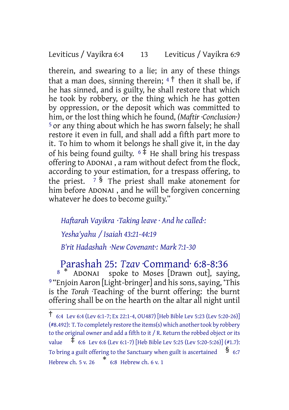Leviticus / Vayikra 6:4 13 Leviticus / Vayikra 6:9

therein, and swearing to a lie; in any of these things that a man does, sinning therein;  $4\uparrow$  then it shall be, if he has sinned, and is guilty, he shall restore that which he took by robbery, or the thing which he has gotten by oppression, or the deposit which was committed to him, or the lost thing which he found, *(Maftir ·Conclusion·)* 5 or any thing about which he has sworn falsely; he shall restore it even in full, and shall add a fifth part more to it. To him to whom it belongs he shall give it, in the day of his being found guilty.  $6 \frac{1}{4}$  He shall bring his trespass offering to ADONAI , a ram without defect from the flock, according to your estimation, for a trespass offering, to the priest.  $7 \text{ }$  The priest shall make atonement for him before ADONAI , and he will be forgiven concerning whatever he does to become guilty."

*Haftarah Vayikra ·Taking leave · And he called·: Yesha'yahu / Isaiah 43:21-44:19 B'rit Hadashah ·New Covenant·: Mark 7:1-30*

Parashah 25: *Tzav* ·Command· 6:8-8:36

<sup>8</sup> \* ADONAI spoke to Moses [Drawn out], saying, 9 "Enjoin Aaron [Light-bringer] and his sons, saying, 'This is the *Torah* ·Teaching· of the burnt offering: the burnt offering shall be on the hearth on the altar all night until

<sup>†</sup> 6:4 Lev 6:4 (Lev 6:1-7; Ex 22:1-4, OU487) [Heb Bible Lev 5:23 (Lev 5:20-26)]  $(*8.492):$  T. To completely restore the items(s) which another took by robbery to the original owner and add a fifth to it / R. Return the robbed object or its value ‡ 6:6 Lev 6:6 (Lev 6:1-7) [Heb Bible Lev 5:25 (Lev 5:20-5:26)] (#1.7): To bring a guilt offering to the Sanctuary when guilt is ascertained  $\frac{8}{5}$  6:7 Hebrew ch. 5 v. 26 \* 6:8 Hebrew ch. 6 v. 1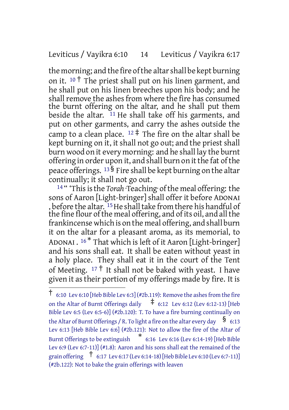#### Leviticus / Vayikra 6:10 14 Leviticus / Vayikra 6:17

the morning; and the fire of the altar shall be kept burning on it.  $10^{\circ}$  The priest shall put on his linen garment, and he shall put on his linen breeches upon his body; and he shall remove the ashes from where the fire has consumed the burnt offering on the altar, and he shall put them beside the altar. <sup>11</sup> He shall take off his garments, and put on other garments, and carry the ashes outside the camp to a clean place.  $12 \ddagger$  The fire on the altar shall be kept burning on it, it shall not go out; and the priest shall burn wood on it every morning: and he shall lay the burnt offering in order upon it, and shall burn on it the fat of the peace offerings.  $13\overline{8}$  Fire shall be kept burning on the altar continually; it shall not go out.

<sup>14</sup> " This is the *Torah* ·Teaching of the meal offering: the sons of Aaron [Light-bringer] shall offer it before ADONAI , before the altar. <sup>15</sup>He shall take from there his handful of the fine flour of the meal offering, and of its oil, and all the frankincense which is on the meal offering, and shall burn it on the altar for a pleasant aroma, as its memorial, to ADONAI .  $^{16\, \text{*}}$  That which is left of it Aaron [Light-bringer] and his sons shall eat. It shall be eaten without yeast in a holy place. They shall eat it in the court of the Tent of Meeting.  $17 \dagger$  It shall not be baked with yeast. I have given it as their portion of my offerings made by fire. It is

 $\dagger$  6:10 Lev 6:10 [Heb Bible Lev 6:3] (#2b.119): Remove the ashes from the fire on the Altar of Burnt Offerings daily ‡ 6:12 Lev 6:12 (Lev 6:12-13) [Heb Bible Lev 6:5 (Lev 6:5-6)] (#2b.120): T. To have a fire burning continually on the Altar of Burnt Offerings / R. To light a fire on the altar every day  $\frac{\$}{6:13}$ Lev 6:13 [Heb Bible Lev 6:6] (#2b.121): Not to allow the fire of the Altar of Burnt Offerings to be extinguish \* 6:16 Lev 6:16 (Lev 6:14-19) [Heb Bible Lev 6:9 (Lev 6:7-11)] (#1.8): Aaron and his sons shall eat the remained of the grain offering  $\uparrow$  6:17 Lev 6:17 (Lev 6:14-18) [Heb Bible Lev 6:10 (Lev 6:7-11)] (#2b.122): Not to bake the grain offerings with leaven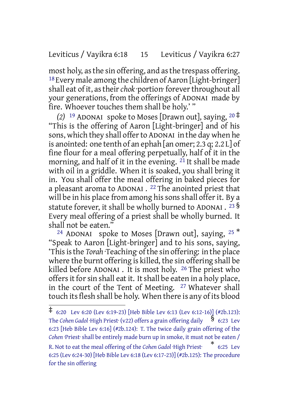#### Leviticus / Vayikra 6:18 15 Leviticus / Vayikra 6:27

most holy, as the sin offering, and as the trespass offering. 18Every male among the children of Aaron [Light-bringer] shall eat of it, as their *chok* portion forever throughout all your generations, from the offerings of ADONAI made by fire. Whoever touches them shall be holy.' "

*(2)* <sup>19</sup> ADONAI spoke to Moses [Drawn out], saying, <sup>20</sup> ‡ "This is the offering of Aaron [Light-bringer] and of his sons, which they shall offerto ADONAI in the day when he is anointed: one tenth of an ephah [an omer; 2.3 q; 2.2 L] of fine flour for a meal offering perpetually, half of it in the morning, and half of it in the evening.  $2\overline{1}$  It shall be made with oil in a griddle. When it is soaked, you shall bring it in. You shall offer the meal offering in baked pieces for a pleasant aroma to ADONAI .  $^{22}$  The anointed priest that will be in his place from among his sons shall offer it. By a statute forever, it shall be wholly burned to ADONAI .  $^{23}\,$ § Every meal offering of a priest shall be wholly burned. It shall not be eaten."

<sup>24</sup> ADONAI spoke to Moses [Drawn out], saying,  $25$ <sup>\*</sup> "Speak to Aaron [Light-bringer] and to his sons, saying, 'Thisisthe *Torah* ·Teaching· ofthe sin offering: in the place where the burnt offering is killed, the sin offering shall be killed before ADONAI . It is most holy. 26 The priest who offers it for sin shall eat it. It shall be eaten in a holy place, in the court of the Tent of Meeting. 27 Whatever shall touch its flesh shall be holy. When there is any of its blood

<sup>‡</sup> 6:20 Lev 6:20 (Lev 6:19-23) [Heb Bible Lev 6:13 (Lev 6:12-16)] (#2b.123): The *Cohen Gadol* ·High Priest· (v22) offers <sup>a</sup> grain offering daily § 6:23 Lev 6:23 [Heb Bible Lev 6:16] (#2b.124): T. The twice daily grain offering of the Cohen ·Priest· shall be entirely made burn up in smoke, it must not be eaten / R. Not to eat the meal offering of the *Cohen Gadol* ·High Priest· \* 6:25 Lev 6:25 (Lev 6:24-30) [Heb Bible Lev 6:18 (Lev 6:17-23)] (#2b.125): The procedure for the sin offering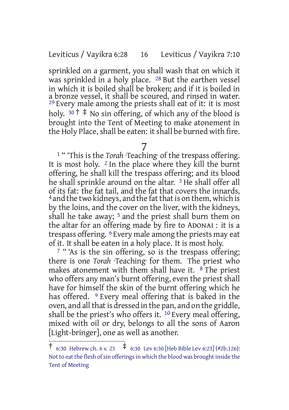### Leviticus / Vayikra 6:28 16 Leviticus / Vayikra 7:10

sprinkled on a garment, you shall wash that on which it was sprinkled in a holy place. 28 But the earthen vessel in which it is boiled shall be broken; and if it is boiled in a bronze vessel, it shall be scoured, and rinsed in water.  $29$  Every male among the priests shall eat of it: it is most holy.  $30 \text{ } \dagger \text{ } \dagger$  No sin offering, of which any of the blood is brought into the Tent of Meeting to make atonement in the Holy Place, shall be eaten: it shall be burned with fire.

## 7

1 " 'This is the *Torah* ·Teaching· of the trespass offering. It is most holy.  $2 \text{ In the place where they kill the burnt}$ offering, he shall kill the trespass offering; and its blood he shall sprinkle around on the altar. 3 He shall offer all of its fat: the fat tail, and the fat that covers the innards, <sup>4</sup> and the two kidneys, and the fat that is on them, which is by the loins, and the cover on the liver, with the kidneys, shall he take away;  $5$  and the priest shall burn them on the altar for an offering made by fire to ADONAI : it is a trespass offering. 6 Every male among the priests may eat of it. It shall be eaten in a holy place. It is most holy.

 $7$  " 'As is the sin offering, so is the trespass offering; there is one *Torah* ·Teaching· for them. The priest who makes atonement with them shall have it.  $8$  The priest who offers any man's burnt offering, even the priest shall have for himself the skin of the burnt offering which he has offered. <sup>9</sup> Every meal offering that is baked in the oven, and all that is dressed in the pan, and on the griddle, shall be the priest's who offers it.  $10$  Every meal offering, mixed with oil or dry, belongs to all the sons of Aaron [Light-bringer], one as well as another.

 $\frac{1}{1}$  6:30 Hebrew ch. 6 v. 23  $\pm$  6:30 Lev 6:30 [Heb Bible Lev 6:23] (#2b.126): Not to eat the flesh of sin offerings in which the blood was brought inside the Tent of Meeting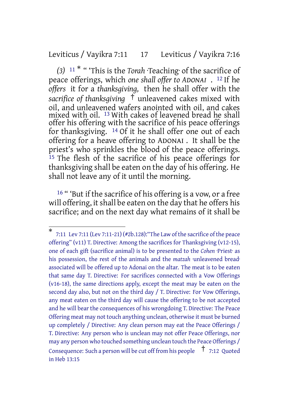#### Leviticus / Vayikra 7:11 17 Leviticus / Vayikra 7:16

*(3)* <sup>11</sup> \* " 'This is the *Torah* ·Teaching· of the sacrifice of peace offerings, which *one shall offer to ADONAI* . 12 If he *offers* it for a *thanksgiving,* then he shall offer with the *sacrifice of thanksgiving* † unleavened cakes mixed with oil, and unleavened wafers anointed with oil, and cakes mixed with oil. 13 With cakes of leavened bread he shall offer his offering with the sacrifice of his peace offerings for thanksgiving. 14 Of it he shall offer one out of each offering for a heave offering to ADONAI . It shall be the priest's who sprinkles the blood of the peace offerings.  $15$  The flesh of the sacrifice of his peace offerings for thanksgiving shall be eaten on the day of his offering. He shall not leave any of it until the morning.

<sup>16</sup> " 'But if the sacrifice of his offering is a vow, or a free will offering, it shall be eaten on the day that he offers his sacrifice; and on the next day what remains of it shall be

<sup>\*</sup> 7:11 Lev 7:11 (Lev 7:11-21) (#2b.128):"The Law of the sacrifice of the peace offering" (v11) T. Directive: Among the sacrifices for Thanksgiving (v12-15), one of each gift (sacrifice animal) is to be presented to the *Cohen* ·Priest· as his possession, the rest of the animals and the *matzah* ·unleavened bread· associated will be offered up to Adonai on the altar. The meat is to be eaten that same day T. Directive: For sacrifices connected with a Vow Offerings (v16-18), the same directions apply, except the meat may be eaten on the second day also, but not on the third day / T. Directive: For Vow Offerings, any meat eaten on the third day will cause the offering to be not accepted and he will bear the consequences of his wrongdoing T. Directive: The Peace Offering meat may not touch anything unclean, otherwise it must be burned up completely / Directive: Any clean person may eat the Peace Offerings / T. Directive: Any person who is unclean may not offer Peace Offerings, nor may any person who touched something unclean touch the Peace Offerings / Consequence: Such a person will be cut off from his people  $\uparrow$  7:12 Quoted in Heb 13:15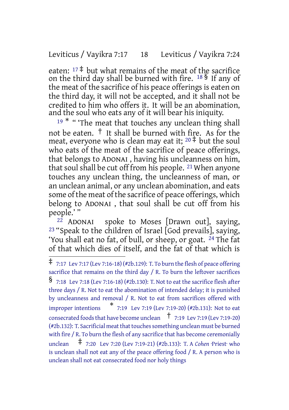### Leviticus / Vayikra 7:17 18 Leviticus / Vayikra 7:24

eaten:  $17 \ddagger$  but what remains of the meat of the sacrifice on the third day shall be burned with fire. <sup>18</sup> § If any of the meat of the sacrifice of his peace offerings is eaten on the third day, it will not be accepted, and it shall not be credited to him who offers it. It will be an abomination, and the soul who eats any of it will bear his iniquity.

<sup>19 \*</sup> "The meat that touches any unclean thing shall not be eaten.  $\dagger$  It shall be burned with fire. As for the meat, everyone who is clean may eat it;  $20 \frac{4}{3}$  but the soul who eats of the meat of the sacrifice of peace offerings, that belongs to ADONAI , having his uncleanness on him, that soul shall be cut off from his people. 21 When anyone touches any unclean thing, the uncleanness of man, or an unclean animal, or any unclean abomination, and eats some of the meat of the sacrifice of peace offerings, which belong to ADONAI , that soul shall be cut off from his people.' "<br><sup>22</sup> ADONAI

spoke to Moses [Drawn out], saying, 23 "Speak to the children of Israel [God prevails], saying, 'You shall eat no fat, of bull, or sheep, or goat. 24 The fat of that which dies of itself, and the fat of that which is

<sup>‡</sup> 7:17 Lev 7:17 (Lev 7:16-18) (#2b.129): T. To burn the flesh of peace offering sacrifice that remains on the third day / R. To burn the leftover sacrifices § 7:18 Lev 7:18 (Lev 7:16-18) (#2b.130): T. Not to eat the sacrifice flesh after three days / R. Not to eat the abomination of intended delay; it is punished by uncleanness and removal / R. Not to eat from sacrifices offered with improper intentions \* 7:19 Lev 7:19 (Lev 7:19-20) (#2b.131): Not to eat consecrated foods that have become unclean  $\uparrow$  7:19 Lev 7:19 (Lev 7:19-20)  $(42b.132)$ : T. Sacrificial meat that touches something unclean must be burned with fire / R. To burn the flesh of any sacrifice that has become ceremonially unclean ‡ 7:20 Lev 7:20 (Lev 7:19-21) (#2b.133): T. <sup>A</sup> *Cohen* ·Priest· who is unclean shall not eat any of the peace offering food / R. A person who is unclean shall not eat consecrated food nor holy things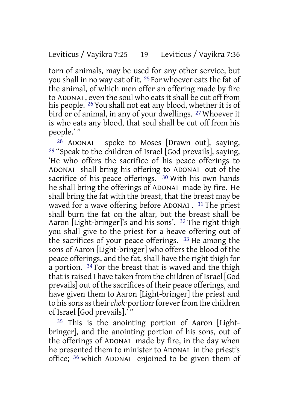torn of animals, may be used for any other service, but you shall in no way eat of it. 25 For whoever eats the fat of the animal, of which men offer an offering made by fire to ADONAI , even the soul who eats it shall be cut off from his people. <sup>26</sup> You shall not eat any blood, whether it is of bird or of animal, in any of your dwellings. 27 Whoever it is who eats any blood, that soul shall be cut off from his people.' "

28 ADONAI spoke to Moses [Drawn out], saying,  $29$  "Speak to the children of Israel [God prevails], saying, 'He who offers the sacrifice of his peace offerings to ADONAI shall bring his offering to ADONAI out of the sacrifice of his peace offerings.  $30$  With his own hands he shall bring the offerings of ADONAI made by fire. He shall bring the fat with the breast, that the breast may be waved for a wave offering before ADONAI . 31 The priest shall burn the fat on the altar, but the breast shall be Aaron [Light-bringer]'s and his sons'. 32 The right thigh you shall give to the priest for a heave offering out of the sacrifices of your peace offerings. 33 He among the sons of Aaron [Light-bringer] who offers the blood of the peace offerings, and the fat, shall have the right thigh for a portion. 34 For the breast that is waved and the thigh that is raised I have taken from the children of Israel [God] prevails] out of the sacrifices of their peace offerings, and have given them to Aaron [Light-bringer] the priest and to his sons as their *chok* ·portion· forever from the children of Israel [God prevails].' "

35 This is the anointing portion of Aaron [Lightbringer], and the anointing portion of his sons, out of the offerings of ADONAI made by fire, in the day when he presented them to minister to ADONAI in the priest's office; 36 which ADONAI enjoined to be given them of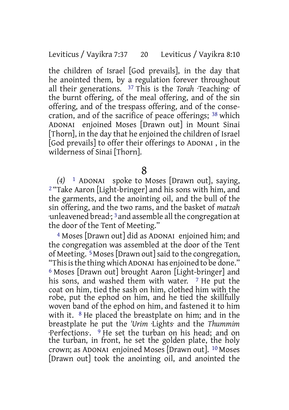the children of Israel [God prevails], in the day that he anointed them, by a regulation forever throughout all their generations. 37 This is the *Torah* ·Teaching· of the burnt offering, of the meal offering, and of the sin offering, and of the trespass offering, and of the consecration, and of the sacrifice of peace offerings; 38 which ADONAI enjoined Moses [Drawn out] in Mount Sinai [Thorn], in the day that he enjoined the children of Israel [God prevails] to offer their offerings to ADONAI , in the wilderness of Sinai [Thorn].

8

*(4)* 1 ADONAI spoke to Moses [Drawn out], saying, 2 "Take Aaron [Light-bringer] and his sons with him, and the garments, and the anointing oil, and the bull of the sin offering, and the two rams, and the basket of *matzah* ·unleavened bread·; 3 and assemble all the congregation at the door of the Tent of Meeting."

4 Moses [Drawn out] did as ADONAI enjoined him; and the congregation was assembled at the door of the Tent of Meeting. 5 Moses[Drawn out]said to the congregation, "Thisisthe thing which ADONAI has enjoined to be done." 6 Moses [Drawn out] brought Aaron [Light-bringer] and his sons, and washed them with water. <sup>7</sup> He put the coat on him, tied the sash on him, clothed him with the robe, put the ephod on him, and he tied the skillfully woven band of the ephod on him, and fastened it to him with it. <sup>8</sup> He placed the breastplate on him; and in the breastplate he put the *'Urim* ·Lights· and the *Thummim* ·Perfections·. 9 He set the turban on his head; and on the turban, in front, he set the golden plate, the holy crown; as ADONAI enjoined Moses [Drawn out]. 10 Moses [Drawn out] took the anointing oil, and anointed the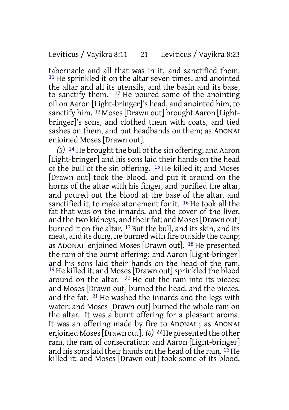tabernacle and all that was in it, and sanctified them. <sup>11</sup> He sprinkled it on the altar seven times, and anointed the altar and all its utensils, and the basin and its base, to sanctify them. 12 He poured some of the anointing oil on Aaron [Light-bringer]'s head, and anointed him, to sanctify him. <sup>13</sup> Moses [Drawn out] brought Aaron [Lightbringer]'s sons, and clothed them with coats, and tied sashes on them, and put headbands on them; as ADONAI enjoined Moses [Drawn out].

*(5)* 14 He brought the bull of the sin offering, and Aaron [Light-bringer] and his sons laid their hands on the head of the bull of the sin offering. 15 He killed it; and Moses [Drawn out] took the blood, and put it around on the horns of the altar with his finger, and purified the altar, and poured out the blood at the base of the altar, and sanctified it, to make atonement for it. 16 He took all the fat that was on the innards, and the cover of the liver, and the two kidneys, and their fat; and Moses [Drawn out] burned it on the altar. 17 But the bull, and its skin, and its meat, and its dung, he burned with fire outside the camp; as ADONAI enjoined Moses [Drawn out]. 18 He presented the ram of the burnt offering: and Aaron [Light-bringer] and his sons laid their hands on the head of the ram. 19He killed it; and Moses [Drawn out] sprinkled the blood around on the altar. 20 He cut the ram into its pieces; and Moses [Drawn out] burned the head, and the pieces, and the fat. 21 He washed the innards and the legs with water; and Moses [Drawn out] burned the whole ram on the altar. It was a burnt offering for a pleasant aroma. It was an offering made by fire to ADONAI ; as ADONAI enjoined Moses [Drawn out]. (6)<sup>22</sup> He presented the other ram, the ram of consecration: and Aaron [Light-bringer] and his sons laid their hands on the head of the ram.  $^{23}$  He killed it; and Moses [Drawn out] took some of its blood,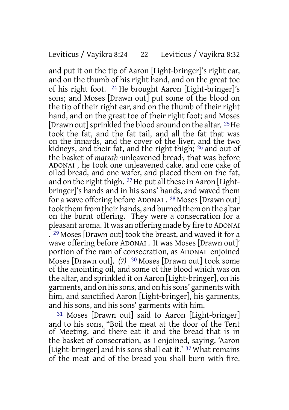and put it on the tip of Aaron [Light-bringer]'s right ear, and on the thumb of his right hand, and on the great toe of his right foot. 24 He brought Aaron [Light-bringer]'s sons; and Moses [Drawn out] put some of the blood on the tip of their right ear, and on the thumb of their right hand, and on the great toe of their right foot; and Moses [Drawn out] sprinkled the blood around on the altar. 25 He took the fat, and the fat tail, and all the fat that was on the innards, and the cover of the liver, and the two kidneys, and their fat, and the right thigh; 26 and out of the basket of *matzah* ·unleavened bread·, that was before ADONAI , he took one unleavened cake, and one cake of oiled bread, and one wafer, and placed them on the fat, and on the right thigh.  $27$  He put all these in Aaron [Lightbringer]'s hands and in his sons' hands, and waved them for a wave offering before ADONAI . 28 Moses [Drawn out] took them from their hands, and burned them on the altar on the burnt offering. They were a consecration for a pleasant aroma. It was an offering made by fire to ADONAI . 29 Moses [Drawn out] took the breast, and waved it for a wave offering before ADONAI . It was Moses [Drawn out]' portion of the ram of consecration, as ADONAI enjoined Moses [Drawn out]. *(7)* 30 Moses [Drawn out] took some of the anointing oil, and some of the blood which was on the altar, and sprinkled it on Aaron [Light-bringer], on his garments, and on hissons, and on hissons' garments with him, and sanctified Aaron [Light-bringer], his garments, and his sons, and his sons' garments with him.

31 Moses [Drawn out] said to Aaron [Light-bringer] and to his sons, "Boil the meat at the door of the Tent of Meeting, and there eat it and the bread that is in the basket of consecration, as I enjoined, saying, 'Aaron [Light-bringer] and his sons shall eat it.' <sup>32</sup> What remains of the meat and of the bread you shall burn with fire.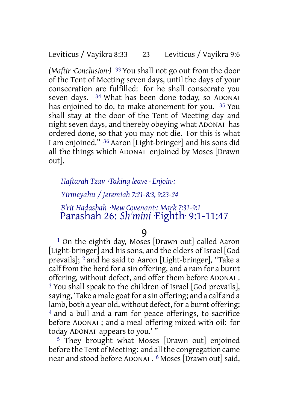*(Maftir ·Conclusion·)* 33 You shall not go out from the door of the Tent of Meeting seven days, until the days of your consecration are fulfilled: for he shall consecrate you seven days. 34 What has been done today, so ADONAI has enjoined to do, to make atonement for you. 35 You shall stay at the door of the Tent of Meeting day and night seven days, and thereby obeying what ADONAI has ordered done, so that you may not die. For this is what I am enjoined." 36 Aaron [Light-bringer] and his sons did all the things which ADONAI enjoined by Moses [Drawn out].

*Haftarah Tzav ·Taking leave · Enjoin·: Yirmeyahu / Jeremiah 7:21-8:3, 9:23-24 B'rit Hadashah ·New Covenant·: Mark 7:31-9:1* Parashah 26: *Sh'mini* ·Eighth· 9:1-11:47

9

1 On the eighth day, Moses [Drawn out] called Aaron [Light-bringer] and his sons, and the elders of Israel [God prevails]; 2 and he said to Aaron [Light-bringer], "Take a calf from the herd for a sin offering, and a ram for a burnt offering, without defect, and offer them before ADONAI . 3 You shall speak to the children of Israel [God prevails], saying, 'Take a male goat for a sin offering; and a calf and a lamb, both a year old, without defect, for a burnt offering; 4 and a bull and a ram for peace offerings, to sacrifice before ADONAI ; and a meal offering mixed with oil: for today ADONAI appears to you.' "

5 They brought what Moses [Drawn out] enjoined before the Tent of Meeting: and all the congregation came near and stood before ADONAI . 6 Moses [Drawn out] said,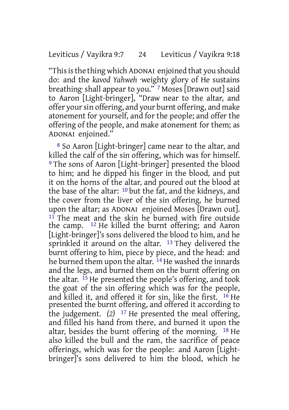"Thisisthe thing which ADONAI enjoined that you should do: and the *kavod Yahweh* ·weighty glory of He sustains breathing· shall appear to you." 7 Moses [Drawn out] said to Aaron [Light-bringer], "Draw near to the altar, and offer your sin offering, and your burnt offering, and make atonement for yourself, and for the people; and offer the offering of the people, and make atonement for them; as ADONAI enjoined."

8 So Aaron [Light-bringer] came near to the altar, and killed the calf of the sin offering, which was for himself. 9 The sons of Aaron [Light-bringer] presented the blood to him; and he dipped his finger in the blood, and put it on the horns of the altar, and poured out the blood at the base of the altar: 10 but the fat, and the kidneys, and the cover from the liver of the sin offering, he burned upon the altar; as ADONAI enjoined Moses [Drawn out].  $11$  The meat and the skin he burned with fire outside the camp. 12 He killed the burnt offering; and Aaron [Light-bringer]'s sons delivered the blood to him, and he sprinkled it around on the altar. <sup>13</sup> They delivered the burnt offering to him, piece by piece, and the head: and he burned them upon the altar. <sup>14</sup> He washed the innards and the legs, and burned them on the burnt offering on the altar. 15 He presented the people's offering, and took the goat of the sin offering which was for the people, and killed it, and offered it for sin, like the first.  $16$  He presented the burnt offering, and offered it according to the judgement. *(2)* 17 He presented the meal offering, and filled his hand from there, and burned it upon the altar, besides the burnt offering of the morning. 18 He also killed the bull and the ram, the sacrifice of peace offerings, which was for the people: and Aaron [Lightbringer]'s sons delivered to him the blood, which he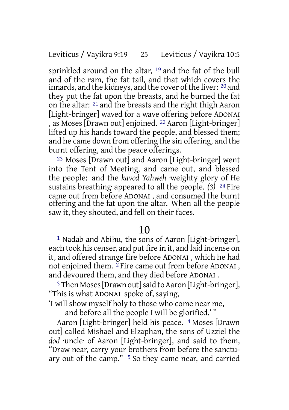sprinkled around on the altar, <sup>19</sup> and the fat of the bull and of the ram, the fat tail, and that which covers the innards, and the kidneys, and the cover of the liver: <sup>20</sup> and they put the fat upon the breasts, and he burned the fat on the altar: 21 and the breasts and the right thigh Aaron [Light-bringer] waved for a wave offering before ADONAI , as Moses [Drawn out] enjoined. 22 Aaron [Light-bringer] lifted up his hands toward the people, and blessed them; and he came down from offering the sin offering, and the burnt offering, and the peace offerings.

23 Moses [Drawn out] and Aaron [Light-bringer] went into the Tent of Meeting, and came out, and blessed the people: and the *kavod Yahweh* ·weighty glory of He sustains breathing· appeared to all the people. *(3)* 24 Fire came out from before ADONAI , and consumed the burnt offering and the fat upon the altar. When all the people saw it, they shouted, and fell on their faces.

#### 10

1 Nadab and Abihu, the sons of Aaron [Light-bringer], each took his censer, and put fire in it, and laid incense on it, and offered strange fire before ADONAI , which he had not enjoined them.  $2$  Fire came out from before ADONAI, and devoured them, and they died before ADONAI .

<sup>3</sup> Then Moses [Drawn out] said to Aaron [Light-bringer], "This is what ADONAI spoke of, saying,

'I will show myself holy to those who come near me,

and before all the people I will be glorified.' "

Aaron [Light-bringer] held his peace. 4 Moses [Drawn out] called Mishael and Elzaphan, the sons of Uzziel the *dod* ·uncle· of Aaron [Light-bringer], and said to them, "Draw near, carry your brothers from before the sanctuary out of the camp." 5 So they came near, and carried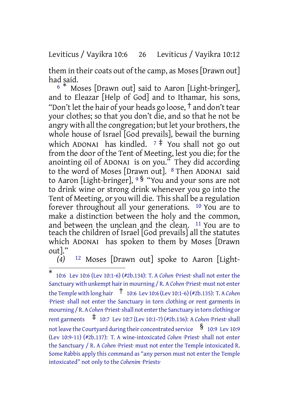Leviticus / Vayikra 10:6 26 Leviticus / Vayikra 10:12

them in their coats out of the camp, as Moses[Drawn out] had said.

<sup>6</sup> \* Moses [Drawn out] said to Aaron [Light-bringer], and to Eleazar [Help of God] and to Ithamar, his sons, "Don't let the hair of your heads go loose,  $\dagger$  and don't tear your clothes; so that you don't die, and so that he not be angry with all the congregation; but let your brothers, the whole house of Israel [God prevails], bewail the burning which ADONAI has kindled.  $7 \frac{4}{3}$  You shall not go out from the door of the Tent of Meeting, lest you die; for the anointing oil of ADONAI is on you." They did according to the word of Moses [Drawn out]. 8 Then ADONAI said to Aaron [Light-bringer], <sup>9</sup> § "You and your sons are not to drink wine or strong drink whenever you go into the Tent of Meeting, or you will die. Thisshall be a regulation forever throughout all your generations. 10 You are to make a distinction between the holy and the common, and between the unclean and the clean. 11 You are to teach the children of Israel [God prevails] all the statutes which ADONAI has spoken to them by Moses [Drawn out]."<br>(4)

<sup>12</sup> Moses [Drawn out] spoke to Aaron [Light-

<sup>\*</sup> 10:6 Lev 10:6 (Lev 10:1-6) (#2b.134): T. A *Cohen* ·Priest· shall not enter the Sanctuary with unkempt hair in mourning / R. A Cohen ·Priest· must not enter the Temple with long hair † 10:6 Lev 10:6 (Lev 10:1-6) (#2b.135): T. <sup>A</sup> *Cohen* ·Priest· shall not enter the Sanctuary in torn clothing or rent garments in mourning / R. A *Cohen* ·Priest·shall not enterthe Sanctuary in torn clothing or rent garments ‡ 10:7 Lev 10:7 (Lev 10:1-7) (#2b.136): <sup>A</sup> *Cohen* ·Priest· shall not leave the Courtvard during their concentrated service  $\quad$  § 10:9 Lev 10:9 (Lev 10:9-11) (#2b.137): T. A wine-intoxicated *Cohen* ·Priest· shall not enter the Sanctuary / R. A *Cohen* ·Priest· must not enter the Temple intoxicated R. Some Rabbis apply this command as "any person must not enter the Temple intoxicated" not only to the *Cohenim* ·Priests·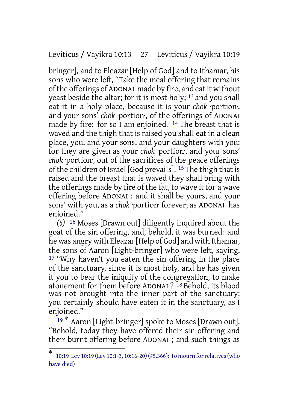Leviticus / Vayikra 10:13 27 Leviticus / Vayikra 10:19

bringer], and to Eleazar [Help of God] and to Ithamar, his sons who were left, "Take the meal offering that remains ofthe offerings of ADONAI made by fire, and eatit without yeast beside the altar; for it is most holy; 13 and you shall eat it in a holy place, because it is your *chok* portion, and your sons' *chok* ·portion·, of the offerings of ADONAI made by fire: for so I am enjoined.  $^{14}$  The breast that is waved and the thigh that is raised you shall eat in a clean place, you, and your sons, and your daughters with you: for they are given as your *chok* ·portion·, and your sons' *chok* ·portion·, out of the sacrifices of the peace offerings of the children of Israel [God prevails]. 15The thigh that is raised and the breast that is waved they shall bring with the offerings made by fire of the fat, to wave it for a wave offering before ADONAI : and it shall be yours, and your sons' with you, as a *chok* ·portion· forever; as ADONAI has enjoined."

*(5)* 16 Moses [Drawn out] diligently inquired about the goat of the sin offering, and, behold, it was burned: and he was angry with Eleazar[Help of God] and with Ithamar, the sons of Aaron [Light-bringer] who were left, saying, 17 "Why haven't you eaten the sin offering in the place of the sanctuary, since it is most holy, and he has given it you to bear the iniquity of the congregation, to make atonement for them before ADONAI ? 18 Behold, its blood was not brought into the inner part of the sanctuary: you certainly should have eaten it in the sanctuary, as I enjoined."

<sup>19</sup> \* Aaron [Light-bringer] spoke to Moses [Drawn out], "Behold, today they have offered their sin offering and their burnt offering before ADONAI ; and such things as

<sup>\*</sup> 10:19 Lev 10:19 (Lev 10:1-3, 10:16-20)(#5.366): To mourn forrelatives(who have died)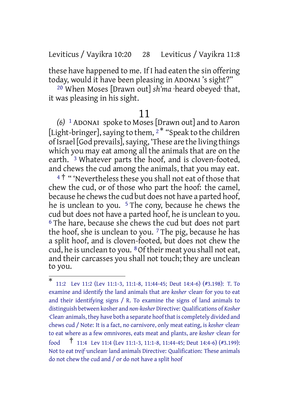Leviticus / Vayikra 10:20 28 Leviticus / Vayikra 11:8

these have happened to me. If I had eaten the sin offering today, would it have been pleasing in ADONAI 's sight?"

20 When Moses [Drawn out] *sh'ma* ·heard obeyed· that, it was pleasing in his sight.

#### 11

*(6)* 1 ADONAI spoke to Moses[Drawn out] and to Aaron [Light-bringer], saying to them,  $2^*$  "Speak to the children of Israel [God prevails], saying, 'These are the living things which you may eat among all the animals that are on the earth. <sup>3</sup> Whatever parts the hoof, and is cloven-footed, and chews the cud among the animals, that you may eat.

<sup>4†</sup> "Wevertheless these you shall not eat of those that chew the cud, or of those who part the hoof: the camel, because he chewsthe cud but does not have a parted hoof, he is unclean to you.<sup>5</sup> The cony, because he chews the cud but does not have a parted hoof, he is unclean to you. <sup>6</sup> The hare, because she chews the cud but does not part the hoof, she is unclean to you.  $7$  The pig, because he has a split hoof, and is cloven-footed, but does not chew the cud, he is unclean to you. 8Of their meat you shall not eat, and their carcasses you shall not touch; they are unclean to you.

<sup>\*</sup> 11:2 Lev 11:2 (Lev 11:1-3, 11:1-8, 11:44-45; Deut 14:4-6) (#3.198): T. To examine and identify the land animals that are *kosher* ·clean· for you to eat and their identifying signs / R. To examine the signs of land animals to distinguish between kosher and *non-kosher* Directive: Qualifications of *Kosher* ·Clean· animals, they have both a separate hoofthatis completely divided and chews cud / Note: It is a fact, no carnivore, only meat eating, is *kosher* ·clean· to eat where as a few omnivores, eats meat and plants, are *kosher* ·clean· for food † 11:4 Lev 11:4 (Lev 11:1-3, 11:1-8, 11:44-45; Deut 14:4-6) (#3.199): Not to eat *treif* ·unclean· land animals Directive: Qualification: These animals do not chew the cud and / or do not have a split hoof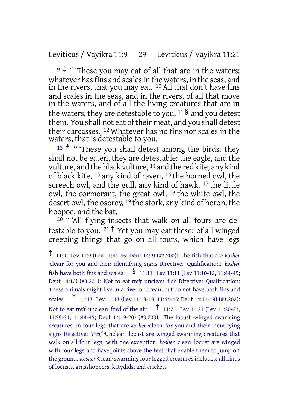Leviticus / Vayikra 11:9 29 Leviticus / Vayikra 11:21

 $9$   $\overset{\bullet}{*}$  " These you may eat of all that are in the waters: whatever has fins and scales in the waters, in the seas, and in the rivers, that you may eat.  $^{10}$  All that don't have fins and scales in the seas, and in the rivers, of all that move in the waters, and of all the living creatures that are in the waters, they are detestable to you,  $11\$  and you detest them. You shall not eat of their meat, and you shall detest their carcasses. 12 Whatever has no fins nor scales in the waters, that is detestable to you.

 $13$  \* " These you shall detest among the birds; they shall not be eaten, they are detestable: the eagle, and the vulture, and the black vulture, 14 and the red kite, any kind of black kite, 15 any kind of raven, 16 the horned owl, the screech owl, and the gull, any kind of hawk, 17 the little owl, the cormorant, the great owl, 18 the white owl, the desert owl, the osprey, 19 the stork, any kind of heron, the hoopoe, and the bat.

20 " 'All flying insects that walk on all fours are detestable to you.  $21 \nmid$  Yet you may eat these: of all winged creeping things that go on all fours, which have legs

<sup>‡</sup> 11:9 Lev 11:9 (Lev 11:44-45; Deut 14:9) (#3.200): The fish that are *kosher* ·clean· for you and their identifying signs Directive: Qualification: *kosher* fish have both fins and scales  $\overline{\text{S}}$  11:11 Lev 11:11 (Lev 11:10-12, 11:44-45; Deut 14:10) (#3.201): Not to eat *treif* unclean fish Directive: Qualification: These animals might live in a river or ocean, but do not have both fins and scales  $\overline{ }$  $*$  11:13 Lev 11:13 (Lev 11:13-19, 11:44-45; Deut 14:11-18) (#3.202): Not to eat *treif* unclean<sup>·</sup> fowl of the air  $\frac{1}{11:21}$  Lev 11:21 (Lev 11:20-23, 11:29-31, 11:44-45; Deut 14:19-20) (#3.203): The locust ·winged swarming creatures on four legs· that are *kosher* ·clean· for you and their identifying signs Directive: *Treif* ·Unclean· locust are winged swarming creatures that walk on all four legs, with one exception, *kosher* ·clean· locust are winged with four legs and have joints above the feet that enable them to jump off the ground. *Kosher* ·Clean· swarming fourlegged creatures includes: all kinds of locusts, grasshoppers, katydids, and crickets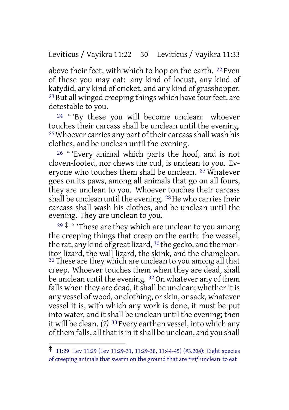Leviticus / Vayikra 11:22 30 Leviticus / Vayikra 11:33

above their feet, with which to hop on the earth. <sup>22</sup> Even of these you may eat: any kind of locust, any kind of katydid, any kind of cricket, and any kind of grasshopper. <sup>23</sup> But all winged creeping things which have four feet, are detestable to you.

<sup>24</sup> "By these you will become unclean: whoever touches their carcass shall be unclean until the evening.  $25$  Whoever carries any part of their carcass shall wash his clothes, and be unclean until the evening.

26 " 'Every animal which parts the hoof, and is not cloven-footed, nor chews the cud, is unclean to you. Everyone who touches them shall be unclean. 27 Whatever goes on its paws, among all animals that go on all fours, they are unclean to you. Whoever touches their carcass shall be unclean until the evening. <sup>28</sup> He who carries their carcass shall wash his clothes, and be unclean until the evening. They are unclean to you.

 $29$   $\ddagger$  " These are they which are unclean to you among the creeping things that creep on the earth: the weasel, the rat, any kind of great lizard,  $30$  the gecko, and the monitor lizard, the wall lizard, the skink, and the chameleon. <sup>31</sup> These are they which are unclean to you among all that creep. Whoever touches them when they are dead, shall be unclean until the evening. <sup>32</sup> On whatever any of them falls when they are dead, it shall be unclean; whether it is any vessel of wood, or clothing, or skin, or sack, whatever vessel it is, with which any work is done, it must be put into water, and it shall be unclean until the evening; then it will be clean. *(7)* 33 Every earthen vessel, into which any of them falls, all that is in it shall be unclean, and you shall

<sup>‡</sup> 11:29 Lev 11:29 (Lev 11:29-31, 11:29-38, 11:44-45) (#3.204): Eight species of creeping animals that swarm on the ground that are *treif* ·unclean· to eat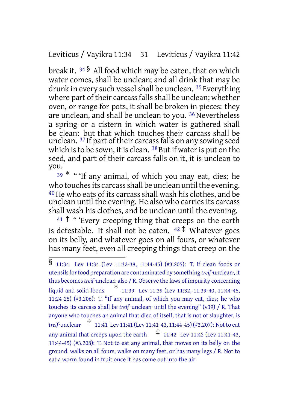### Leviticus / Vayikra 11:34 31 Leviticus / Vayikra 11:42

break it. <sup>34</sup> § All food which may be eaten, that on which water comes, shall be unclean; and all drink that may be drunk in every such vessel shall be unclean. <sup>35</sup> Everything where part of their carcass falls shall be unclean; whether oven, or range for pots, it shall be broken in pieces: they are unclean, and shall be unclean to you. 36 Nevertheless a spring or a cistern in which water is gathered shall be clean: but that which touches their carcass shall be unclean. <sup>37</sup> If part of their carcass falls on any sowing seed which is to be sown, it is clean.  $38$  But if water is put on the seed, and part of their carcass falls on it, it is unclean to you.

 $39$  \* " 'If any animal, of which you may eat, dies; he who touches its carcass shall be unclean until the evening. <sup>40</sup> He who eats of its carcass shall wash his clothes, and be unclean until the evening. He also who carries its carcass shall wash his clothes, and be unclean until the evening.

 $41 \dagger$  " 'Every creeping thing that creeps on the earth is detestable. It shall not be eaten.  $42 \pm \text{Whatever goes}$ on its belly, and whatever goes on all fours, or whatever has many feet, even all creeping things that creep on the

<sup>§</sup> 11:34 Lev 11:34 (Lev 11:32-38, 11:44-45) (#3.205): T. If clean foods or utensils for food preparation are contaminated by something *treif* unclean<sup>-</sup>, it thus becomes *treif* unclean· also / R. Observe the laws of impurity concerning liquid and solid foods 11:39 Lev 11:39 (Lev 11:32, 11:39-40, 11:44-45, 11:24-25) (#3.206): T. "If any animal, of which you may eat, dies; he who touches its carcass shall be *treif* unclean<sup>·</sup> until the evening" (v39) / R. That anyone who touches an animal that died of itself, that is not of slaughter, is *treif* ·unclean· † 11:41 Lev 11:41 (Lev 11:41-43, 11:44-45) (#3.207): Notto eat any animal that creeps upon the earth  $\pm$  11:42 Lev 11:42 (Lev 11:41-43, 11:44-45) (#3.208): T. Not to eat any animal, that moves on its belly on the ground, walks on all fours, walks on many feet, or has many legs / R. Not to eat a worm found in fruit once it has come out into the air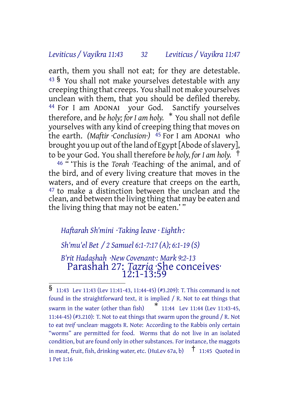#### *Leviticus / Vayikra 11:43 32 Leviticus / Vayikra 11:47*

earth, them you shall not eat; for they are detestable.  $43\,$ § You shall not make yourselves detestable with any creeping thing that creeps. You shall not make yourselves unclean with them, that you should be defiled thereby. 44 For I am ADONAI your God. Sanctify yourselves therefore, and *be holy; for I am holy.* \* You shall not defile yourselves with any kind of creeping thing that moves on the earth. *(Maftir ·Conclusion·)* 45 For I am ADONAI who brought you up out of the land of Egypt [Abode of slavery], to be your God. You shall therefore *be holy, for I am holy.* †

46 " 'This is the *Torah* ·Teaching· of the animal, and of the bird, and of every living creature that moves in the waters, and of every creature that creeps on the earth, 47 to make a distinction between the unclean and the clean, and between the living thing that may be eaten and the living thing that may not be eaten.' "

### *Haftarah Sh'mini ·Taking leave · Eighth·:*

*Sh'mu'el Bet / 2 Samuel 6:1-7:17 (A); 6:1-19 (S)*

*B'rit Hadashah ·New Covenant·: Mark 9:2-13* Parashah 27: *Tazria* ·She conceives· 12:1-13:59

<sup>§</sup> 11:43 Lev 11:43 (Lev 11:41-43, 11:44-45) (#3.209): T. This command is not found in the straightforward text, it is implied / R. Not to eat things that swarm in the water (other than fish) \* 11:44 Lev 11:44 (Lev 11:43-45, 11:44-45) (#3.210): T. Not to eat things that swarm upon the ground / R. Not to eat *treif* unclean· maggots R. Note: According to the Rabbis only certain "worms" are permitted for food. Worms that do not live in an isolated condition, but are found only in other substances. For instance, the maggots in meat, fruit, fish, drinking water, etc. (HuLev 67a, b) † 11:45 Quoted in 1 Pet 1:16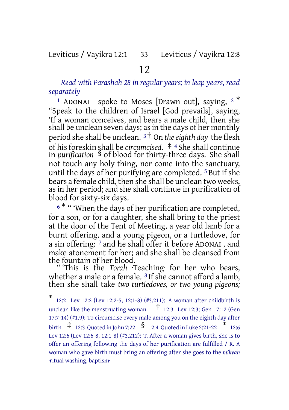### Leviticus / Vayikra 12:1 33 Leviticus / Vayikra 12:8

### 12

*Read with Parashah 28 in regular years; in leap years, read separately*

<sup>1</sup> ADONAI spoke to Moses [Drawn out], saying,  $2^*$ "Speak to the children of Israel [God prevails], saying, 'If a woman conceives, and bears a male child, then she shall be unclean seven days; as in the days of her monthly period she shall be unclean. <sup>3</sup> † On *theeighth day* the flesh of his foreskin shall be *circumcised.* ‡ <sup>4</sup> She shall continue in *purification* § of blood for thirty-three days. She shall not touch any holy thing, nor come into the sanctuary, until the days of her purifying are completed. 5 But if she bears a female child, then she shall be unclean two weeks, as in her period; and she shall continue in purification of blood for sixty-six days.

<sup>6</sub> \* " 'When the days of her purification are completed,</sup> for a son, or for a daughter, she shall bring to the priest at the door of the Tent of Meeting, a year old lamb for a burnt offering, and a young pigeon, or a turtledove, for a sin offering: 7 and he shall offer it before ADONAI , and make atonement for her; and she shall be cleansed from the fountain of her blood.

" 'This is the *Torah* ·Teaching· for her who bears, whether a male or a female. <sup>8</sup> If she cannot afford a lamb, then she shall take *two turtledoves, or two young pigeons;*

<sup>\*</sup> 12:2 Lev 12:2 (Lev 12:2-5, 12:1-8) (#3.211): A woman after childbirth is unclean like the menstruating woman  $\overline{t}$  12:3 Lev 12:3; Gen 17:12 (Gen 17:7-14) (#1.9): To circumcise every male among you on the eighth day after birth  $\pm$  12:3 Quoted in John 7:22  $\,$   $\,$   $\,$   $\,$  12:4 Quoted in Luke 2:21-22  $\,$   $\,$   $\,$   $\,$  12:6  $\,$ Lev 12:6 (Lev 12:6-8, 12:1-8) (#3.212): T. After a woman gives birth, she is to offer an offering following the days of her purification are fulfilled / R. A woman who gave birth must bring an offering after she goes to the *mikvah* ·ritual washing, baptism·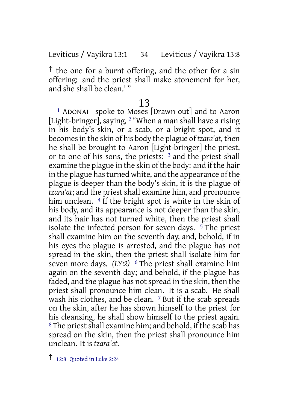Leviticus / Vayikra 13:1 34 Leviticus / Vayikra 13:8

† the one for a burnt offering, and the other for a sin offering: and the priest shall make atonement for her, and she shall be clean.' "

#### 13

1 ADONAI spoke to Moses [Drawn out] and to Aaron [Light-bringer], saying, <sup>2</sup> "When a man shall have a rising in his body's skin, or a scab, or a bright spot, and it becomesin the skin of his body the plague of *tzara'at*, then he shall be brought to Aaron [Light-bringer] the priest, or to one of his sons, the priests: 3 and the priest shall examine the plague in the skin of the body: and if the hair in the plague has turned white, and the appearance of the plague is deeper than the body's skin, it is the plague of *tzara'at*; and the priest shall examine him, and pronounce him unclean. <sup>4</sup> If the bright spot is white in the skin of his body, and its appearance is not deeper than the skin, and its hair has not turned white, then the priest shall isolate the infected person for seven days.  $5$  The priest shall examine him on the seventh day, and, behold, if in his eyes the plague is arrested, and the plague has not spread in the skin, then the priest shall isolate him for seven more days. *(LY:2)* <sup>6</sup> The priest shall examine him again on the seventh day; and behold, if the plague has faded, and the plague has not spread in the skin, then the priest shall pronounce him clean. It is a scab. He shall wash his clothes, and be clean. <sup>7</sup> But if the scab spreads on the skin, after he has shown himself to the priest for his cleansing, he shall show himself to the priest again. <sup>8</sup>The priest shall examine him; and behold, if the scab has spread on the skin, then the priest shall pronounce him unclean. It is *tzara'at*.

<sup>†</sup> 12:8 Quoted in Luke 2:24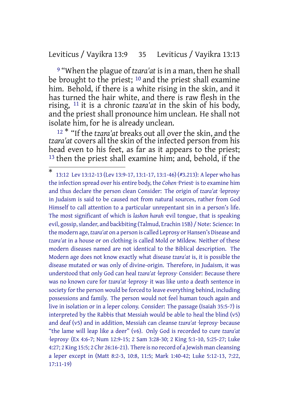### Leviticus / Vayikra 13:9 35 Leviticus / Vayikra 13:13

9 "When the plague of *tzara'at* is in a man, then he shall be brought to the priest; <sup>10</sup> and the priest shall examine him. Behold, if there is a white rising in the skin, and it has turned the hair white, and there is raw flesh in the rising, 11 it is a chronic *tzara'at* in the skin of his body, and the priest shall pronounce him unclean. He shall not isolate him, for he is already unclean.

<sup>12</sup> \* "If the *tzara'at* breaks out all over the skin, and the *tzara'at* covers all the skin of the infected person from his head even to his feet, as far as it appears to the priest; 13 then the priest shall examine him; and, behold, if the

<sup>\*</sup> 13:12 Lev 13:12-13 (Lev 13:9-17, 13:1-17, 13:1-46) (#3.213): A leper who has the infection spread over his entire body, the *Cohen* ·Priest· is to examine him and thus declare the person clean Consider: The origin of *tzara'at* ·leprosy· in Judaism is said to be caused not from natural sources, rather from God Himself to call attention to a particular unrepentant sin in a person's life. The most significant of which is *lashon harah* ·evil tongue·, that is speaking evil, gossip, slander, and backbiting (Talmud, Erachin 15B) / Note: Science: In the modern age, *tzara'at* on a person is called Leprosy or Hansen's Disease and *tzara'at* in a house or on clothing is called Mold or Mildew. Neither of these modern diseases named are not identical to the Biblical description. The Modern age does not know exactly what disease *tzara'at* is, it is possible the disease mutated or was only of divine-origin. Therefore, in Judaism, it was understood that only God can heal *tzara'at* ·leprosy· Consider: Because there was no known cure for *tzara'at* ·leprosy· it was like unto a death sentence in society for the person would be forced to leave everything behind, including possessions and family. The person would not feel human touch again and live in isolation or in a leper colony. Consider: The passage (Isaiah 35:5-7) is interpreted by the Rabbis that Messiah would be able to heal the blind (v5) and deaf (v5) and in addition, Messiah can cleanse *tzara'at* ·leprosy· because "the lame will leap like a deer" (v6). Only God is recorded to cure *tzara'at* ·leprosy· (Ex 4:6-7; Num 12:9-15; 2 Sam 3:28-30; 2 King 5:1-10, 5:25-27; Luke 4:27; 2 King 15:5; 2 Chr 26:16-21). There is no record of a Jewish man cleansing a leper except in (Matt 8:2-3, 10:8, 11:5; Mark 1:40-42; Luke 5:12-13, 7:22, 17:11-19)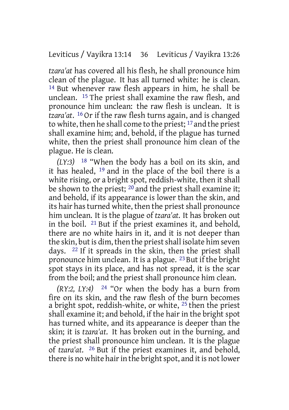*tzara'at* has covered all his flesh, he shall pronounce him clean of the plague. It has all turned white: he is clean. 14 But whenever raw flesh appears in him, he shall be unclean. 15 The priest shall examine the raw flesh, and pronounce him unclean: the raw flesh is unclean. It is *tzara'at*. 16 Or if the raw flesh turns again, and is changed to white, then he shall come to the priest; 17 and the priest shall examine him; and, behold, if the plague has turned white, then the priest shall pronounce him clean of the plague. He is clean.

*(LY:3)* 18 "When the body has a boil on its skin, and it has healed, 19 and in the place of the boil there is a white rising, or a bright spot, reddish-white, then it shall be shown to the priest;  $^{20}$  and the priest shall examine it; and behold, if its appearance is lower than the skin, and its hair has turned white, then the priest shall pronounce him unclean. It is the plague of *tzara'at*. It has broken out in the boil. 21 But if the priest examines it, and behold, there are no white hairs in it, and it is not deeper than the skin, but is dim, then the priest shall isolate him seven days. 22 If it spreads in the skin, then the priest shall pronounce him unclean. It is a plague. 23 But if the bright spot stays in its place, and has not spread, it is the scar from the boil; and the priest shall pronounce him clean.

*(RY:2, LY:4)* 24 "Or when the body has a burn from fire on its skin, and the raw flesh of the burn becomes a bright spot, reddish-white, or white, 25 then the priest shall examine it; and behold, if the hair in the bright spot has turned white, and its appearance is deeper than the skin; it is *tzara'at*. It has broken out in the burning, and the priest shall pronounce him unclean. It is the plague of *tzara'at*. 26 But if the priest examines it, and behold, there is no white hair in the bright spot, and it is not lower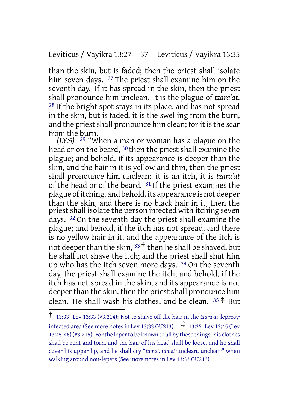Leviticus / Vayikra 13:27 37 Leviticus / Vayikra 13:35

than the skin, but is faded; then the priest shall isolate him seven days. <sup>27</sup> The priest shall examine him on the seventh day. If it has spread in the skin, then the priest shall pronounce him unclean. It is the plague of *tzara'at*. 28 If the bright spot stays in its place, and has not spread in the skin, but is faded, it is the swelling from the burn, and the priest shall pronounce him clean; for it is the scar from the burn.

*(LY:5)* 29 "When a man or woman has a plague on the head or on the beard, 30 then the priest shall examine the plague; and behold, if its appearance is deeper than the skin, and the hair in it is yellow and thin, then the priest shall pronounce him unclean: it is an itch, it is *tzara'at* of the head or of the beard. 31 If the priest examines the plague ofitching, and behold, its appearance is not deeper than the skin, and there is no black hair in it, then the priest shall isolate the person infected with itching seven days. <sup>32</sup> On the seventh day the priest shall examine the plague; and behold, if the itch has not spread, and there is no yellow hair in it, and the appearance of the itch is not deeper than the skin,  $33 + \text{then}$  he shall be shaved, but he shall not shave the itch; and the priest shall shut him up who has the itch seven more days. 34 On the seventh day, the priest shall examine the itch; and behold, if the itch has not spread in the skin, and its appearance is not deeper than the skin, then the priest shall pronounce him clean. He shall wash his clothes, and be clean.  $35 \neq 31$ 

<sup>†</sup> 13:33 Lev 13:33 (#3.214): Not to shave off the hair in the *tzara'at* ·leprosy· infected area (See more notes in Lev 13:33 OU213)  $\uparrow$  13:35 Lev 13:45 (Lev 13:45-46)(#3.215): Forthe leperto be known to all by these things: his clothes shall be rent and torn, and the hair of his head shall be loose, and he shall cover his upper lip, and he shall cry "*tamei, tamei* ·unclean, unclean·" when walking around non-lepers (See more notes in Lev 13:33 OU213)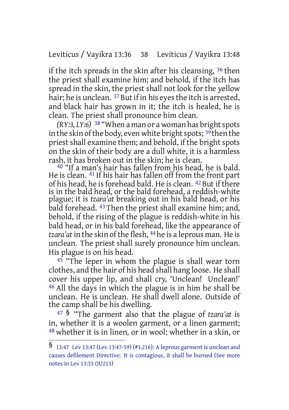## Leviticus / Vayikra 13:36 38 Leviticus / Vayikra 13:48

if the itch spreads in the skin after his cleansing, 36 then the priest shall examine him; and behold, if the itch has spread in the skin, the priest shall not look for the yellow hair; he is unclean. <sup>37</sup> But if in his eyes the itch is arrested, and black hair has grown in it; the itch is healed, he is clean. The priest shall pronounce him clean.

 $(RY:3, LY:6)$  <sup>38</sup> "When a man or a woman has bright spots in the skin of the body, even white bright spots;  $39$  then the priest shall examine them; and behold, if the bright spots on the skin of their body are a dull white, it is a harmless rash, it has broken out in the skin; he is clean.

<sup>40</sup> "If a man's hair has fallen from his head, he is bald. He is clean. 41 If his hair has fallen off from the front part of his head, he is forehead bald. He is clean. <sup>42</sup> But if there is in the bald head, or the bald forehead, a reddish-white plague; it is *tzara'at* breaking out in his bald head, or his bald forehead. 43 Then the priest shall examine him; and, behold, if the rising of the plague is reddish-white in his bald head, or in his bald forehead, like the appearance of *tzara'at* in the skin of the flesh, <sup>44</sup> he is a leprous man. He is unclean. The priest shall surely pronounce him unclean. His plague is on his head.

 $45$  "The leper in whom the plague is shall wear torn clothes, and the hair of his head shall hang loose. He shall cover his upper lip, and shall cry, 'Unclean! Unclean!' 46 All the days in which the plague is in him he shall be unclean. He is unclean. He shall dwell alone. Outside of the camp shall be his dwelling.

<sup>47</sup> § "The garment also that the plague of *tzara'at* is in, whether it is a woolen garment, or a linen garment; 48 whether it is in linen, or in wool; whether in a skin, or

<sup>§</sup> 13:47 Lev 13:47 (Lev 13:47-59) (#3.216): <sup>A</sup> leprous garment is unclean and causes defilement Directive: It is contagious, it shall be burned (See more notes in Lev 13:33 OU213)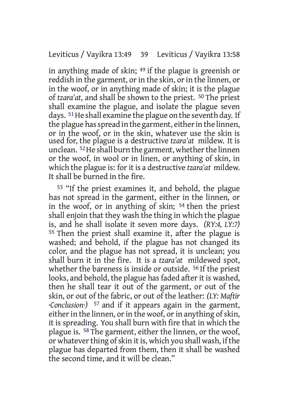in anything made of skin; 49 if the plague is greenish or reddish in the garment, or in the skin, or in the linnen, or in the woof, or in anything made of skin; it is the plague of *tzara'at*, and shall be shown to the priest. 50 The priest shall examine the plague, and isolate the plague seven days. <sup>51</sup> He shall examine the plague on the seventh day. If the plague has spread in the garment, either in the linnen, or in the woof, or in the skin, whatever use the skin is used for, the plague is a destructive *tzara'at* mildew. It is unclean. <sup>52</sup>He shall burn the garment, whether the linnen or the woof, in wool or in linen, or anything of skin, in which the plague is: for it is a destructive *tzara'at* mildew. It shall be burned in the fire.

53 "If the priest examines it, and behold, the plague has not spread in the garment, either in the linnen, or in the woof, or in anything of skin; 54 then the priest shall enjoin that they wash the thing in which the plague is, and he shall isolate it seven more days. *(RY:4, LY:7)* 55 Then the priest shall examine it, after the plague is washed; and behold, if the plague has not changed its color, and the plague has not spread, it is unclean; you shall burn it in the fire. It is a *tzara'at* mildewed spot, whether the bareness is inside or outside. <sup>56</sup> If the priest looks, and behold, the plague has faded after it is washed, then he shall tear it out of the garment, or out of the skin, or out of the fabric, or out of the leather: *(LY: Maftir ·Conclusion·*) <sup>57</sup> and if it appears again in the garment, either in the linnen, or in the woof, or in anything of skin, it is spreading. You shall burn with fire that in which the plague is. 58 The garment, either the linnen, or the woof, or whatever thing of skin it is, which you shall wash, if the plague has departed from them, then it shall be washed the second time, and it will be clean."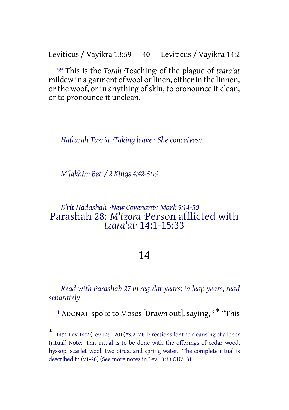Leviticus / Vayikra 13:59 40 Leviticus / Vayikra 14:2

59 This is the *Torah* ·Teaching· of the plague of *tzara'at* mildew in a garment of wool or linen, either in the linnen, or the woof, or in anything of skin, to pronounce it clean, or to pronounce it unclean.

*Haftarah Tazria ·Taking leave · She conceives·:*

*M'lakhim Bet / 2 Kings 4:42-5:19*

# *B'rit Hadashah ·New Covenant·: Mark 9:14-50* Parashah 28: *M'tzora* ·Person afflicted with *tzara'at*· 14:1-15:33

# 14

*Read with Parashah 27 in regular years; in leap years, read separately*

<sup>1</sup> ADONAI spoke to Moses [Drawn out], saying,  $2^*$  "This

<sup>\*</sup> 14:2 Lev 14:2 (Lev 14:1-20) (#3.217): Directions forthe cleansing of a leper (ritual) Note: This ritual is to be done with the offerings of cedar wood, hyssop, scarlet wool, two birds, and spring water. The complete ritual is described in (v1-20) (See more notes in Lev 13:33 OU213)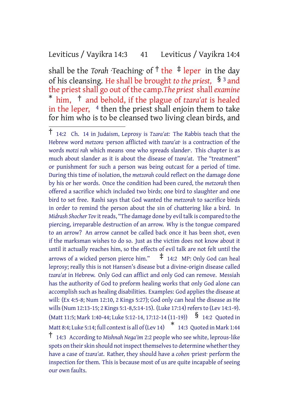## Leviticus / Vayikra 14:3 41 Leviticus / Vayikra 14:4

shall be the *Torah* ·Teaching of  $\dagger$  the  $\ddagger$  leper in the day of his cleansing. He shall be brought *to the priest,* § <sup>3</sup> and the priestshall go out of the camp.*The priest* shall*examine* \* him, † and behold, if the plague of *tzara'at* is healed in the leper,  $4$  then the priest shall enjoin them to take for him who is to be cleansed two living clean birds, and

<sup>†</sup> 14:2 Ch. <sup>14</sup> in Judaism, Leprosy is *Tzara'at:* The Rabbis teach that the Hebrew word *metzora* ·person afflicted with *tzara'at*· is a contraction of the words *motzi rah* which means ·one who spreads slander·. This chapter is as much about slander as it is about the disease of *tzara'at*. The "treatment" or punishment for such a person was being outcast for a period of time. During this time of isolation, the *metzorah* could reflect on the damage done by his or her words. Once the condition had been cured, the *metzorah* then offered a sacrifice which included two birds; one bird to slaughter and one bird to set free. Rashi says that God wanted the *metzorah* to sacrifice birds in order to remind the person about the sin of chattering like a bird. In *Midrash Shocher Tov* it reads, "The damage done by evil talk is compared to the piercing, irreparable destruction of an arrow. Why is the tongue compared to an arrow? An arrow cannot be called back once it has been shot, even if the marksman wishes to do so. Just as the victim does not know about it until it actually reaches him, so the effects of evil talk are not felt until the arrows of a wicked person pierce him."  $\pm$  14:2 MP: Only God can heal leprosy; really this is not Hansen's disease but a divine-origin disease called *tzara'at* in Hebrew. Only God can afflict and only God can remove. Messiah has the authority of God to preform healing works that only God alone can accomplish such as healing disabilities. Examples: God applies the disease at will: (Ex 4:5-8; Num 12:10, 2 Kings 5:27); God only can heal the disease as He wills (Num 12:13-15; 2 Kings 5:1-8,5:14-15). (Luke 17:14) refers to (Lev 14:1-9). (Matt 11:5; Mark 1:40-44; Luke 5:12-14, 17:12-14 (11-19))  $\frac{1}{3}$  14:2 Quoted in Matt 8:4; Luke 5:14; full contextis all of (Lev 14) \* 14:3 Quoted in Mark 1:44 † 14:3 According to *Mishnah Nega'im* 2:2 people who see white, leprous-like spots on their skin should not inspect themselves to determine whether they have a case of *tzara'at*. Rather, they should have a *cohen* ·priest· perform the inspection for them. This is because most of us are quite incapable of seeing our own faults.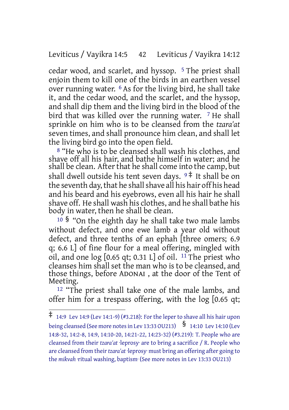### Leviticus / Vayikra 14:5 42 Leviticus / Vayikra 14:12

cedar wood, and scarlet, and hyssop. 5 The priest shall enjoin them to kill one of the birds in an earthen vessel over running water. 6 As for the living bird, he shall take it, and the cedar wood, and the scarlet, and the hyssop, and shall dip them and the living bird in the blood of the bird that was killed over the running water.  $7$  He shall sprinkle on him who is to be cleansed from the *tzara'at* seven times, and shall pronounce him clean, and shall let the living bird go into the open field.

8 "He who is to be cleansed shall wash his clothes, and shave off all his hair, and bathe himself in water; and he shall be clean. After that he shall come into the camp, but shall dwell outside his tent seven days.  $9 \frac{4}{3}$  It shall be on the seventh day, that he shall shave all his hair off his head and his beard and his eyebrows, even all his hair he shall shave off. He shall wash his clothes, and he shall bathe his body in water, then he shall be clean.

<sup>10</sup> § "On the eighth day he shall take two male lambs without defect, and one ewe lamb a year old without defect, and three tenths of an ephah [three omers; 6.9 q; 6.6 L] of fine flour for a meal offering, mingled with oil, and one  $log$  [0.65 qt; 0.31 L] of oil. <sup>11</sup> The priest who cleanses him shall set the man who is to be cleansed, and those things, before ADONAI , at the door of the Tent of Meeting.

12 "The priest shall take one of the male lambs, and offer him for a trespass offering, with the log [0.65 qt;

 $\ddagger$  14:9 Lev 14:9 (Lev 14:1-9) (#3.218): For the leper to shave all his hair upon being cleansed (See more notes in Lev 13:33 OU213)  $\frac{8}{14:10}$  Lev 14:10 (Lev 14:8-32, 14:2-8, 14:9, 14:10-20, 14:21-22, 14:23-32) (#3.219): T. People who are cleansed from their *tzara'at* ·leprosy· are to bring a sacrifice / R. People who are cleansed from their*tzara'at* ·leprosy· must bring an offering after going to the *mikvah* ·ritual washing, baptism· (See more notes in Lev 13:33 OU213)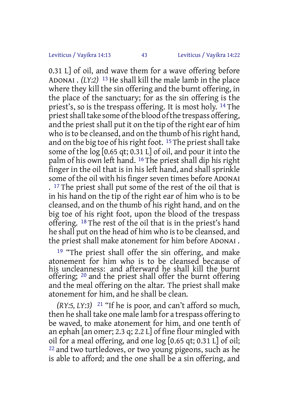0.31 L] of oil, and wave them for a wave offering before ADONAI . *(LY:2)* 13 He shall kill the male lamb in the place where they kill the sin offering and the burnt offering, in the place of the sanctuary; for as the sin offering is the priest's, so is the trespass offering. It is most holy. 14 The priest shall take some of the blood of the trespass offering, and the priest shall put it on the tip of the right ear of him who is to be cleansed, and on the thumb of his right hand, and on the big toe of his right foot.  $15$  The priest shall take some of the log [0.65 qt; 0.31 L] of oil, and pour it into the palm of his own left hand. 16 The priest shall dip his right finger in the oil that is in his left hand, and shall sprinkle some of the oil with his finger seven times before ADONAI . 17 The priest shall put some of the rest of the oil that is in his hand on the tip of the right ear of him who is to be cleansed, and on the thumb of his right hand, and on the big toe of his right foot, upon the blood of the trespass offering. 18 The rest of the oil that is in the priest's hand he shall put on the head of him who is to be cleansed, and the priest shall make atonement for him before ADONAI .

19 "The priest shall offer the sin offering, and make atonement for him who is to be cleansed because of his uncleanness: and afterward he shall kill the burnt offering; 20 and the priest shall offer the burnt offering and the meal offering on the altar. The priest shall make atonement for him, and he shall be clean.

*(RY:5, LY:3)* 21 "If he is poor, and can't afford so much, then he shall take one male lamb for a trespass offering to be waved, to make atonement for him, and one tenth of an ephah [an omer; 2.3 q; 2.2 L] of fine flour mingled with oil for a meal offering, and one log [0.65 qt; 0.31 L] of oil; 22 and two turtledoves, or two young pigeons, such as he is able to afford; and the one shall be a sin offering, and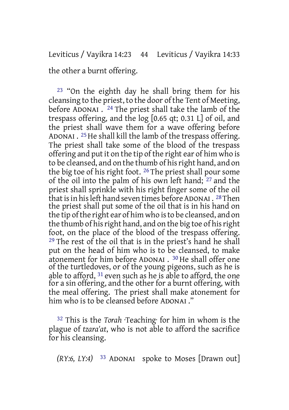the other a burnt offering.

23 "On the eighth day he shall bring them for his cleansing to the priest, to the door of the Tent of Meeting, before ADONAI . 24 The priest shall take the lamb of the trespass offering, and the log [0.65 qt; 0.31 L] of oil, and the priest shall wave them for a wave offering before ADONAI . <sup>25</sup> He shall kill the lamb of the trespass offering. The priest shall take some of the blood of the trespass offering and put it on the tip of the right ear of him who is to be cleansed, and on the thumb of hisright hand, and on the big toe of his right foot. 26 The priest shall pour some of the oil into the palm of his own left hand; 27 and the priest shall sprinkle with his right finger some of the oil that is in his left hand seven times before ADONAI . <sup>28</sup> Then the priest shall put some of the oil that is in his hand on the tip of the right ear of him who is to be cleansed, and on the thumb of his right hand, and on the big toe of his right foot, on the place of the blood of the trespass offering. 29 The rest of the oil that is in the priest's hand he shall put on the head of him who is to be cleansed, to make atonement for him before ADONAI . 30 He shall offer one of the turtledoves, or of the young pigeons, such as he is able to afford, 31 even such as he is able to afford, the one for a sin offering, and the other for a burnt offering, with the meal offering. The priest shall make atonement for him who is to be cleansed before ADONAI ."

32 This is the *Torah* ·Teaching· for him in whom is the plague of *tzara'at*, who is not able to afford the sacrifice for his cleansing.

*(RY:6, LY:4)* 33 ADONAI spoke to Moses [Drawn out]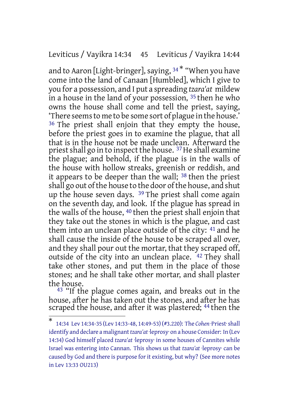### Leviticus / Vayikra 14:34 45 Leviticus / Vayikra 14:44

and to Aaron [Light-bringer], saying,  $34 *$  "When you have come into the land of Canaan [Humbled], which I give to you for a possession, and I put a spreading *tzara'at* mildew in a house in the land of your possession, 35 then he who owns the house shall come and tell the priest, saying, 'There seemsto me to be some sort of plague in the house.' 36 The priest shall enjoin that they empty the house, before the priest goes in to examine the plague, that all that is in the house not be made unclean. Afterward the priest shall go in to inspect the house. <sup>37</sup> He shall examine the plague; and behold, if the plague is in the walls of the house with hollow streaks, greenish or reddish, and it appears to be deeper than the wall; 38 then the priest shall go out of the house to the door of the house, and shut up the house seven days. 39 The priest shall come again on the seventh day, and look. If the plague has spread in the walls of the house, 40 then the priest shall enjoin that they take out the stones in which is the plague, and cast them into an unclean place outside of the city: 41 and he shall cause the inside of the house to be scraped all over, and they shall pour out the mortar, that they scraped off, outside of the city into an unclean place. 42 They shall take other stones, and put them in the place of those stones; and he shall take other mortar, and shall plaster the house.

<sup>43</sup> "If the plague comes again, and breaks out in the house, after he has taken out the stones, and after he has scraped the house, and after it was plastered; <sup>44</sup> then the

<sup>\*</sup> 14:34 Lev 14:34-35 (Lev 14:33-48, 14:49-53) (#3.220): The *Cohen* ·Priest·shall identify and declare a malignant*tzara'at* ·leprosy· on a house Consider: In (Lev 14:34) God himself placed *tzara'at* ·leprosy· in some houses of Cannites while Israel was entering into Cannan. This shows us that *tzara'at* ·leprosy· can be caused by God and there is purpose for it existing, but why? (See more notes in Lev 13:33 OU213)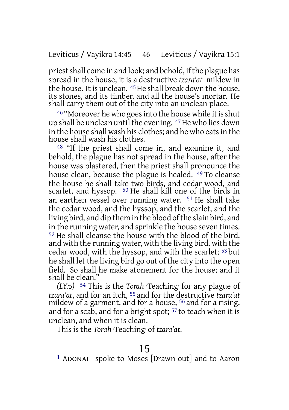priestshall come in and look; and behold, ifthe plague has spread in the house, it is a destructive *tzara'at* mildew in the house. It is unclean. <sup>45</sup> He shall break down the house, its stones, and its timber, and all the house's mortar. He shall carry them out of the city into an unclean place.

<sup>46</sup> "Moreover he who goes into the house while it is shut up shall be unclean until the evening. <sup>47</sup> He who lies down in the house shall wash his clothes; and he who eatsin the house shall wash his clothes.

48 "If the priest shall come in, and examine it, and behold, the plague has not spread in the house, after the house was plastered, then the priest shall pronounce the house clean, because the plague is healed. <sup>49</sup> To cleanse the house he shall take two birds, and cedar wood, and scarlet, and hyssop. <sup>50</sup> He shall kill one of the birds in an earthen vessel over running water. 51 He shall take the cedar wood, and the hyssop, and the scarlet, and the living bird, and dip them in the blood of the slain bird, and in the running water, and sprinkle the house seven times. <sup>52</sup> He shall cleanse the house with the blood of the bird, and with the running water, with the living bird, with the cedar wood, with the hyssop, and with the scarlet; 53 but he shall let the living bird go out of the city into the open field. So shall he make atonement for the house; and it shall be clean."

*(LY:5)* 54 This is the *Torah* ·Teaching· for any plague of *tzara'at*, and for an itch, 55 and for the destructive *tzara'at* mildew of a garment, and for a house, 56 and for a rising, and for a scab, and for a bright spot; 57 to teach when it is unclean, and when it is clean.

This is the *Torah* ·Teaching· of *tzara'at*.

# 15

1 ADONAI spoke to Moses [Drawn out] and to Aaron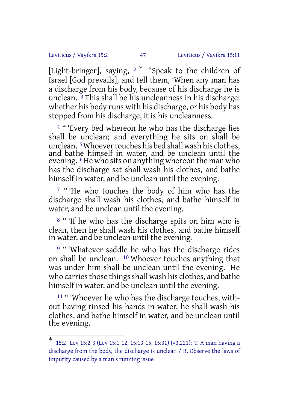#### Leviticus / Vayikra 15:2 47 Leviticus / Vayikra 15:11

[Light-bringer], saying, <sup>2</sup> \* "Speak to the children of Israel [God prevails], and tell them, 'When any man has a discharge from his body, because of his discharge he is unclean.  $\frac{3}{3}$  This shall be his uncleanness in his discharge: whether his body runs with his discharge, or his body has stopped from his discharge, it is his uncleanness.

<sup>4</sup> "'Every bed whereon he who has the discharge lies shall be unclean; and everything he sits on shall be unclean. <sup>5</sup>Whoever touches his bed shall wash his clothes, and bathe himself in water, and be unclean until the evening. <sup>6</sup>He who sits on anything whereon the man who has the discharge sat shall wash his clothes, and bathe himself in water, and be unclean until the evening.

<sup>7</sup> "'He who touches the body of him who has the discharge shall wash his clothes, and bathe himself in water, and be unclean until the evening.

8 " 'If he who has the discharge spits on him who is clean, then he shall wash his clothes, and bathe himself in water, and be unclean until the evening.

<sup>9</sup> " 'Whatever saddle he who has the discharge rides on shall be unclean. 10 Whoever touches anything that was under him shall be unclean until the evening. He who carries those things shall wash his clothes, and bathe himself in water, and be unclean until the evening.

<sup>11</sup> " 'Whoever he who has the discharge touches, without having rinsed his hands in water, he shall wash his clothes, and bathe himself in water, and be unclean until the evening.

<sup>\*</sup> 15:2 Lev 15:2-3 (Lev 15:1-12, 15:13-15, 15:31) (#3.221): T. A man having a discharge from the body, the discharge is unclean / R. Observe the laws of impurity caused by a man's running issue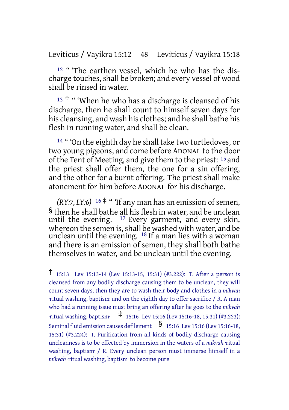Leviticus / Vayikra 15:12 48 Leviticus / Vayikra 15:18

12 " 'The earthen vessel, which he who has the discharge touches, shall be broken; and every vessel of wood shall be rinsed in water.

 $13 +$  " 'When he who has a discharge is cleansed of his discharge, then he shall count to himself seven days for his cleansing, and wash his clothes; and he shall bathe his flesh in running water, and shall be clean.

14 " 'On the eighth day he shall take two turtledoves, or two young pigeons, and come before ADONAI to the door of the Tent of Meeting, and give them to the priest: 15 and the priest shall offer them, the one for a sin offering, and the other for a burnt offering. The priest shall make atonement for him before ADONAI for his discharge.

 $(RY:7, LY:6)$  <sup>16</sup>  $\ddagger$  " If any man has an emission of semen, § then he shall bathe all his flesh in water, and be unclean until the evening. 17 Every garment, and every skin, whereon the semen is, shall be washed with water, and be unclean until the evening. 18 If a man lies with a woman and there is an emission of semen, they shall both bathe themselves in water, and be unclean until the evening.

<sup>†</sup> 15:13 Lev 15:13-14 (Lev 15:13-15, 15:31) (#3.222): T. After <sup>a</sup> person is cleansed from any bodily discharge causing them to be unclean, they will count seven days, then they are to wash their body and clothes in a *mikvah* ·ritual washing, baptism· and on the eighth day to offer sacrifice / R. A man who had a running issue must bring an offering after he goes to the *mikvah* ·ritual washing, baptism· ‡ 15:16 Lev 15:16 (Lev 15:16-18, 15:31) (#3.223): Seminal fluid emission causes defilement  $\frac{1}{5}$  15:16 Lev 15:16 (Lev 15:16-18, 15:31) (#3.224): T. Purification from all kinds of bodily discharge causing uncleanness is to be effected by immersion in the waters of a *mikvah* ·ritual washing, baptism· / R. Every unclean person must immerse himself in a *mikvah* ·ritual washing, baptism· to become pure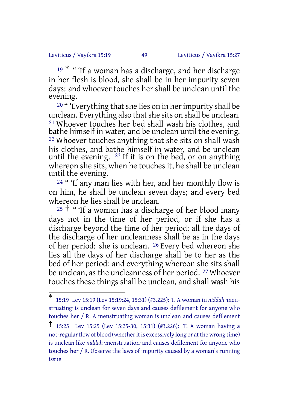#### Leviticus / Vayikra 15:19 49 Leviticus / Vayikra 15:27

<sup>19 \*</sup> " 'If a woman has a discharge, and her discharge in her flesh is blood, she shall be in her impurity seven days: and whoever touches her shall be unclean until the evening.

<sup>20</sup> " 'Everything that she lies on in her impurity shall be unclean. Everything also that she sits on shall be unclean. 21 Whoever touches her bed shall wash his clothes, and bathe himself in water, and be unclean until the evening. 22 Whoever touches anything that she sits on shall wash his clothes, and bathe himself in water, and be unclean until the evening. 23 If it is on the bed, or on anything whereon she sits, when he touches it, he shall be unclean until the evening.

<sup>24</sup> " 'If any man lies with her, and her monthly flow is on him, he shall be unclean seven days; and every bed whereon he lies shall be unclean.

 $25 +$  " 'If a woman has a discharge of her blood many days not in the time of her period, or if she has a discharge beyond the time of her period; all the days of the discharge of her uncleanness shall be as in the days of her period: she is unclean. 26 Every bed whereon she lies all the days of her discharge shall be to her as the bed of her period: and everything whereon she sits shall be unclean, as the uncleanness of her period. <sup>27</sup> Whoever touches these things shall be unclean, and shall wash his

<sup>\*</sup> 15:19 Lev 15:19 (Lev 15:19:24, 15:31) (#3.225): T. A woman in *niddah* ·menstruating is unclean for seven days and causes defilement for anyone who touches her / R. A menstruating woman is unclean and causes defilement

<sup>†</sup> 15:25 Lev 15:25 (Lev 15:25-30, 15:31) (#3.226): T. <sup>A</sup> woman having <sup>a</sup> not-regular flow of blood (whether it is excessively long or at the wrong time) is unclean like *niddah* ·menstruation· and causes defilement for anyone who touches her / R. Observe the laws of impurity caused by a woman's running issue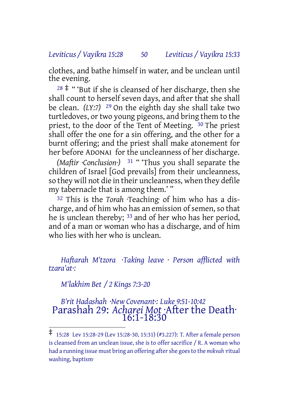#### *Leviticus / Vayikra 15:28 50 Leviticus / Vayikra 15:33*

clothes, and bathe himself in water, and be unclean until the evening.

 $28 \nless 4$  " 'But if she is cleansed of her discharge, then she shall count to herself seven days, and after that she shall be clean. *(LY:7)* 29 On the eighth day she shall take two turtledoves, or two young pigeons, and bring them to the priest, to the door of the Tent of Meeting. 30 The priest shall offer the one for a sin offering, and the other for a burnt offering; and the priest shall make atonement for her before ADONAI for the uncleanness of her discharge.

*(Maftir ·Conclusion·)* 31 " 'Thus you shall separate the children of Israel [God prevails] from their uncleanness, so they will not die in their uncleanness, when they defile my tabernacle that is among them.' "

32 This is the *Torah* ·Teaching· of him who has a discharge, and of him who has an emission of semen, so that he is unclean thereby; 33 and of her who has her period, and of a man or woman who has a discharge, and of him who lies with her who is unclean.

*Haftarah M'tzora ·Taking leave · Person afflicted with tzara'at·:*

*M'lakhim Bet / 2 Kings 7:3-20*

*B'rit Hadashah ·New Covenant·: Luke 9:51-10:42* Parashah 29: *Acharei Mot* ·After the Death· 16:1-18:30

<sup>‡</sup> 15:28 Lev 15:28-29 (Lev 15:28-30, 15:31) (#3.227): T. After <sup>a</sup> female person is cleansed from an unclean issue, she is to offer sacrifice / R. A woman who had a running issue must bring an offering aftershe goesto the *mikvah* ·ritual washing, baptism·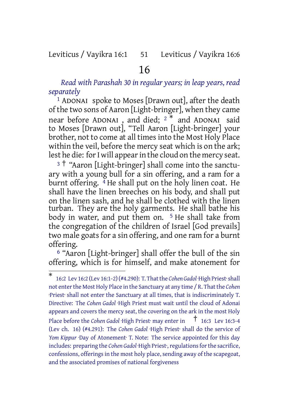### Leviticus / Vayikra 16:1 51 Leviticus / Vayikra 16:6

# 16

*Read with Parashah 30 in regular years; in leap years, read separately*

1 ADONAI spoke to Moses [Drawn out], after the death of the two sons of Aaron [Light-bringer], when they came near before ADONAI, and died; <sup>2\*</sup> and ADONAI said to Moses [Drawn out], "Tell Aaron [Light-bringer] your brother, not to come at all times into the Most Holy Place within the veil, before the mercy seat which is on the ark; lest he die: for I will appear in the cloud on the mercy seat.

<sup>3</sup> † "Aaron [Light-bringer] shall come into the sanctuary with a young bull for a sin offering, and a ram for a burnt offering.  $\frac{4}{7}$  He shall put on the holy linen coat. He shall have the linen breeches on his body, and shall put on the linen sash, and he shall be clothed with the linen turban. They are the holy garments. He shall bathe his body in water, and put them on.  $5$  He shall take from the congregation of the children of Israel [God prevails] two male goats for a sin offering, and one ram for a burnt offering.

6 "Aaron [Light-bringer] shall offer the bull of the sin offering, which is for himself, and make atonement for

<sup>\*</sup> 16:2 Lev 16:2 (Lev 16:1-2)(#4.290): T. Thatthe *Cohen Gadol* ·High Priest·shall not enter the Most Holy Place in the Sanctuary at any time / R. That the *Cohen* ·Priest· shall not enter the Sanctuary at all times, that is indiscriminately T. Directive: The *Cohen Gadol* ·High Priest must wait until the cloud of Adonai appears and covers the mercy seat, the covering on the ark in the most Holy Place before the *Cohen Gadol* ·High Priest· may enter in † 16:3 Lev 16:3-4 (Lev ch. 16) (#4.291): The *Cohen Gadol* ·High Priest· shall do the service of *Yom Kippur* ·Day of Atonement· T. Note: The service appointed for this day includes: preparing the *Cohen Gadol* ·High Priest<sup>,</sup>, regulations for the sacrifice, confessions, offerings in the most holy place, sending away of the scapegoat, and the associated promises of national forgiveness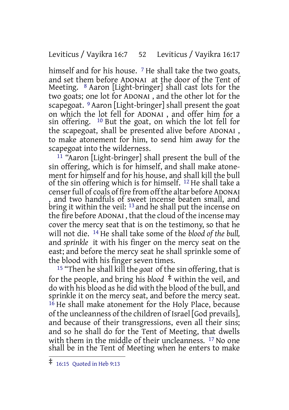#### Leviticus / Vayikra 16:7 52 Leviticus / Vayikra 16:17

himself and for his house. <sup>7</sup> He shall take the two goats, and set them before ADONAI at the door of the Tent of Meeting. 8 Aaron [Light-bringer] shall cast lots for the two goats; one lot for ADONAI , and the other lot for the scapegoat. <sup>9</sup> Aaron [Light-bringer] shall present the goat on which the lot fell for ADONAI , and offer him for a sin offering. 10 But the goat, on which the lot fell for the scapegoat, shall be presented alive before ADONAI , to make atonement for him, to send him away for the scapegoat into the wilderness.

11 "Aaron [Light-bringer] shall present the bull of the sin offering, which is for himself, and shall make atonement for himself and for his house, and shall kill the bull of the sin offering which is for himself. 12 He shall take a censer full of coals of fire from off the altar before ADONAI , and two handfuls of sweet incense beaten small, and bring it within the veil: <sup>13</sup> and he shall put the incense on the fire before ADONAI , that the cloud of the incense may cover the mercy seat that is on the testimony, so that he will not die. 14 He shall take some of the *blood of the bull,* and *sprinkle* it with his finger on the mercy seat on the east; and before the mercy seat he shall sprinkle some of the blood with his finger seven times.

15 "Then he shall kill the *goat* of the sin offering, that is for the people, and bring his *blood* ‡ within the veil, and do with his blood as he did with the blood of the bull, and sprinkle it on the mercy seat, and before the mercy seat. <sup>16</sup> He shall make atonement for the Holy Place, because of the uncleanness of the children of Israel [God prevails], and because of their transgressions, even all their sins; and so he shall do for the Tent of Meeting, that dwells with them in the middle of their uncleanness. <sup>17</sup> No one shall be in the Tent of Meeting when he enters to make

<sup>‡</sup> 16:15 Quoted in Heb 9:13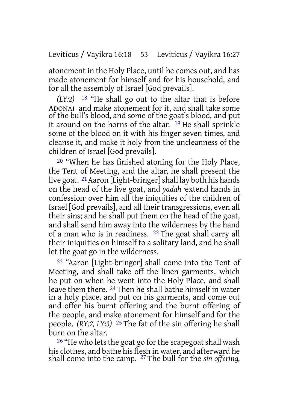atonement in the Holy Place, until he comes out, and has made atonement for himself and for his household, and for all the assembly of Israel [God prevails].

*(LY:2)* 18 "He shall go out to the altar that is before ADONAI and make atonement for it, and shall take some of the bull's blood, and some of the goat's blood, and put it around on the horns of the altar. 19 He shall sprinkle some of the blood on it with his finger seven times, and cleanse it, and make it holy from the uncleanness of the children of Israel [God prevails].

20 "When he has finished atoning for the Holy Place, the Tent of Meeting, and the altar, he shall present the live goat. 21Aaron [Light-bringer]shall lay both his hands on the head of the live goat, and *yadah* ·extend hands in confession· over him all the iniquities of the children of Israel [God prevails], and all their transgressions, even all their sins; and he shall put them on the head of the goat, and shall send him away into the wilderness by the hand of a man who is in readiness. 22 The goat shall carry all their iniquities on himself to a solitary land, and he shall let the goat go in the wilderness.

23 "Aaron [Light-bringer] shall come into the Tent of Meeting, and shall take off the linen garments, which he put on when he went into the Holy Place, and shall leave them there. 24 Then he shall bathe himself in water in a holy place, and put on his garments, and come out and offer his burnt offering and the burnt offering of the people, and make atonement for himself and for the people. *(RY:2, LY:3)* 25 The fat of the sin offering he shall burn on the altar.

 $26$  "He who lets the goat go for the scapegoat shall wash his clothes, and bathe his flesh in water, and afterward he shall come into the camp. 27 The bull for the *sin offering,*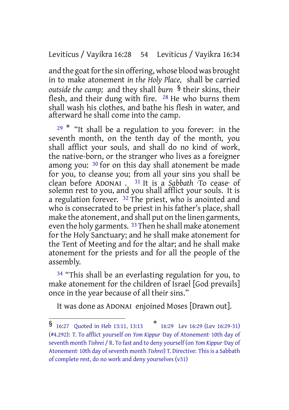Leviticus / Vayikra 16:28 54 Leviticus / Vayikra 16:34

and the goat for the sin offering, whose blood was brought in to make atonement *in the Holy Place,* shall be carried *outside the camp;* and they shall *burn* § their skins, their flesh, and their dung with fire. 28 He who burns them shall wash his clothes, and bathe his flesh in water, and afterward he shall come into the camp.

 $29$ <sup>\*</sup> "It shall be a regulation to you forever: in the seventh month, on the tenth day of the month, you shall afflict your souls, and shall do no kind of work, the native-born, or the stranger who lives as a foreigner among you: 30 for on this day shall atonement be made for you, to cleanse you; from all your sins you shall be clean before ADONAI . 31 It is a *Sabbath* ·To cease· of solemn rest to you, and you shall afflict your souls. It is a regulation forever. <sup>32</sup> The priest, who is anointed and who is consecrated to be priest in his father's place, shall make the atonement, and shall put on the linen garments, even the holy garments. <sup>33</sup> Then he shall make atonement for the Holy Sanctuary; and he shall make atonement for the Tent of Meeting and for the altar; and he shall make atonement for the priests and for all the people of the assembly.

<sup>34</sup> "This shall be an everlasting regulation for you, to make atonement for the children of Israel [God prevails] once in the year because of all their sins."

It was done as ADONAI enjoined Moses [Drawn out].

<sup>§</sup> 16:27 Quoted in Heb 13:11, 13:13 \* 16:29 Lev 16:29 (Lev 16:29-31) (#4.292): T. To afflict yourself on *Yom Kippur* ·Day of Atonement· 10th day of seventh month *Tishrei* / R. To fast and to deny yourself (on *Yom Kippur* ·Day of Atonement<sup>.</sup> 10th day of seventh month *Tishrei*) T. Directive: This is a Sabbath of complete rest, do no work and deny yourselves (v31)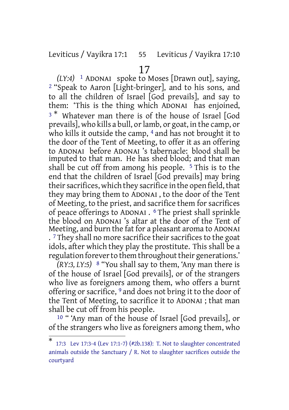Leviticus / Vayikra 17:1 55 Leviticus / Vayikra 17:10

# 17

*(LY:4)* 1 ADONAI spoke to Moses [Drawn out], saying, 2 "Speak to Aaron [Light-bringer], and to his sons, and to all the children of Israel [God prevails], and say to them: 'This is the thing which ADONAI has enjoined, <sup>3<sup>\*</sup></sup> Whatever man there is of the house of Israel [God prevails], who kills a bull, or lamb, or goat, in the camp, or who kills it outside the camp, <sup>4</sup> and has not brought it to the door of the Tent of Meeting, to offer it as an offering to ADONAI before ADONAI 's tabernacle: blood shall be imputed to that man. He has shed blood; and that man shall be cut off from among his people.  $5$  This is to the end that the children of Israel [God prevails] may bring their sacrifices, which they sacrifice in the open field, that they may bring them to ADONAI , to the door of the Tent of Meeting, to the priest, and sacrifice them for sacrifices of peace offerings to ADONAI . 6 The priest shall sprinkle the blood on ADONAI 's altar at the door of the Tent of Meeting, and burn the fat for a pleasant aroma to ADONAI .<sup>7</sup> They shall no more sacrifice their sacrifices to the goat idols, after which they play the prostitute. This shall be a regulation forever to them throughout their generations.'

*(RY:3, LY:5)* 8 "You shall say to them, 'Any man there is of the house of Israel [God prevails], or of the strangers who live as foreigners among them, who offers a burnt offering or sacrifice, 9 and does not bring it to the door of the Tent of Meeting, to sacrifice it to ADONAI ; that man shall be cut off from his people.

10 " 'Any man of the house of Israel [God prevails], or of the strangers who live as foreigners among them, who

<sup>\*</sup> 17:3 Lev 17:3-4 (Lev 17:1-7) (#2b.138): T. Not to slaughter concentrated animals outside the Sanctuary  $/$  R. Not to slaughter sacrifices outside the courtyard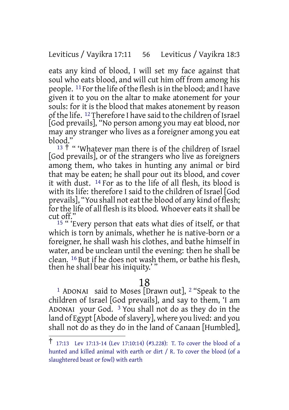#### Leviticus / Vayikra 17:11 56 Leviticus / Vayikra 18:3

eats any kind of blood, I will set my face against that soul who eats blood, and will cut him off from among his people. 11Forthe life ofthe flesh isin the blood; and I have given it to you on the altar to make atonement for your souls: for it is the blood that makes atonement by reason of the life. <sup>12</sup> Therefore I have said to the children of Israel [God prevails], "No person among you may eat blood, nor may any stranger who lives as a foreigner among you eat blood."

<sup>13</sup> <sup>†</sup> " 'Whatever man there is of the children of Israel [God prevails], or of the strangers who live as foreigners among them, who takes in hunting any animal or bird that may be eaten; he shall pour out its blood, and cover it with dust. 14 For as to the life of all flesh, its blood is with its life: therefore I said to the children of Israel [God prevails], "You shall not eat the blood of any kind of flesh; for the life of all flesh is its blood. Whoever eats it shall be cut off."

15 " 'Every person that eats what dies of itself, or that which is torn by animals, whether he is native-born or a foreigner, he shall wash his clothes, and bathe himself in water, and be unclean until the evening: then he shall be clean. 16 But if he does not wash them, or bathe his flesh, then he shall bear his iniquity.''

# 18

1 ADONAI said to Moses [Drawn out], 2 "Speak to the children of Israel [God prevails], and say to them, 'I am ADONAI your God. 3 You shall not do as they do in the land of Egypt [Abode of slavery], where you lived: and you shall not do as they do in the land of Canaan [Humbled],

<sup>†</sup> 17:13 Lev 17:13-14 (Lev 17:10:14) (#3.228): T. To cover the blood of <sup>a</sup> hunted and killed animal with earth or dirt / R. To cover the blood (of a slaughtered beast or fowl) with earth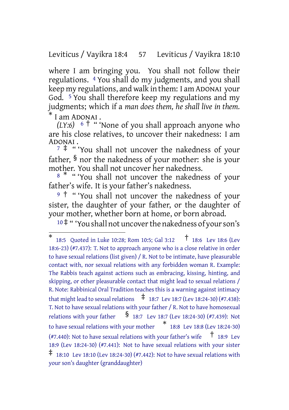Leviticus / Vayikra 18:4 57 Leviticus / Vayikra 18:10

where I am bringing you. You shall not follow their regulations. 4 You shall do my judgments, and you shall keep my regulations, and walk in them: I am ADONAI your God. 5 You shall therefore keep my regulations and my judgments; which if a *man does them, he shall live in them.* I am ADONAI.

*(LY:6)* <sup>6</sup> † " 'None of you shall approach anyone who are his close relatives, to uncover their nakedness: I am ADONAI .

<sup>7</sup> ‡ " 'You shall not uncover the nakedness of your father, § nor the nakedness of your mother: she is your mother. You shall not uncover her nakedness.

<sup>8</sub> \* " 'You shall not uncover the nakedness of your</sup> father's wife. It is your father's nakedness.

9<sup>†</sup> "You shall not uncover the nakedness of your sister, the daughter of your father, or the daughter of your mother, whether born at home, or born abroad.

<sup>10</sup> ‡ " 'You shall not uncoverthe nakedness of yourson's

<sup>\*</sup> 18:5 Quoted in Luke 10:28; Rom 10:5; Gal 3:12 † 18:6 Lev 18:6 (Lev 18:6-23) (#7.437): T. Not to approach anyone who is a close relative in order to have sexual relations (list given) / R. Not to be intimate, have pleasurable contact with, nor sexual relations with any forbidden woman R. Example: The Rabbis teach against actions such as embracing, kissing, hinting, and skipping, or other pleasurable contact that might lead to sexual relations / R. Note: Rabbinical Oral Tradition teaches this is a warning against intimacy that might lead to sexual relations  $\frac{1}{18:7}$  Lev 18:7 (Lev 18:24-30) (#7.438): T. Not to have sexual relations with your father / R. Not to have homosexual relations with your father  $\frac{1}{8}$  18:7 Lev 18:7 (Lev 18:24-30) (#7.439): Not to have sexual relations with your mother \* 18:8 Lev 18:8 (Lev 18:24-30) (#7.440): Not to have sexual relations with your father's wife  $\overline{1}$  18:9 Lev 18:9 (Lev 18:24-30) (#7.441): Not to have sexual relations with your sister  $\ddagger$  18:10 Lev 18:10 (Lev 18:24-30) (#7.442): Not to have sexual relations with your son's daughter (granddaughter)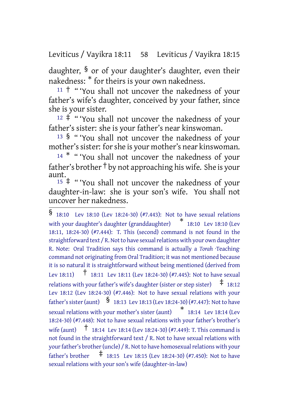Leviticus / Vayikra 18:11 58 Leviticus / Vayikra 18:15

daughter, § or of your daughter's daughter, even their nakedness: \* for theirs is your own nakedness.

 $11 +$  " 'You shall not uncover the nakedness of your father's wife's daughter, conceived by your father, since she is your sister.

 $12 \div$  " 'You shall not uncover the nakedness of your father's sister: she is your father's near kinswoman.

<sup>13</sup> § " 'You shall not uncover the nakedness of your mother's sister: for she is your mother's near kinswoman.

<sup>14</sup> \* " 'You shall not uncover the nakedness of your father's brother † by not approaching his wife. She is your aunt.

<sup>15</sup> ‡ " 'You shall not uncover the nakedness of your daughter-in-law: she is your son's wife. You shall not uncover her nakedness.

<sup>§</sup> 18:10 Lev 18:10 (Lev 18:24-30) (#7.443): Not to have sexual relations with your daughter's daughter (granddaughter) \* 18:10 Lev 18:10 (Lev 18:11, 18:24-30) (#7.444): T. This (second) command is not found in the straightforward text / R. Not to have sexual relations with your own daughter R. Note: Oral Tradition says this command is actually a *Torah* ·Teaching· command not originating from Oral Tradition; it was not mentioned because it is so natural it is straightforward without being mentioned (derived from Lev 18:11)  $\uparrow$  18:11 Lev 18:11 (Lev 18:24-30) (#7.445): Not to have sexual relations with your father's wife's daughter (sister or step sister)  $\pm$  18:12 Lev 18:12 (Lev 18:24-30) (#7.446): Not to have sexual relations with your father's sister (aunt) <br>
§ 18:13 Lev 18:13 (Lev 18:24-30) (#7.447): Not to have sexual relations with your mother's sister (aunt) \* 18:14 Lev 18:14 (Lev 18:24-30) (#7.448): Not to have sexual relations with your father's brother's wife (aunt) † 18:14 Lev 18:14 (Lev 18:24-30) (#7.449): T. This command is not found in the straightforward text / R. Not to have sexual relations with your father's brother (uncle) / R. Not to have homosexual relations with your father's brother  $\pm$  18:15 Lev 18:15 (Lev 18:24-30) (#7.450): Not to have sexual relations with your son's wife (daughter-in-law)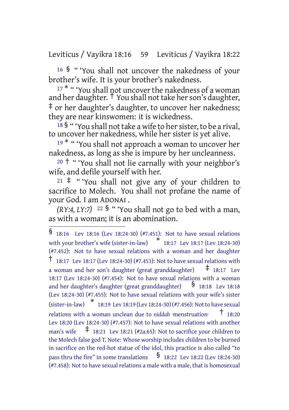Leviticus / Vayikra 18:16 59 Leviticus / Vayikra 18:22

<sup>16</sup> § " 'You shall not uncover the nakedness of your brother's wife. It is your brother's nakedness.

<sup>17\*</sup> " 'You shall not uncover the nakedness of a woman and her daughter.  $\dagger$  You shall not take her son's daughter, ‡ or her daughter's daughter, to uncover her nakedness; they are near kinswomen: it is wickedness.

 $18\frac{18}{3}$  " 'You shall not take a wife to her sister, to be a rival, to uncover her nakedness, while her sister is yet alive.

<sup>19</sub> \* " 'You shall not approach a woman to uncover her</sup> nakedness, as long as she is impure by her uncleanness.

<sup>20</sup> † " 'You shall not lie carnally with your neighbor's wife, and defile yourself with her.

<sup>21</sup> ‡ " 'You shall not give any of your children to sacrifice to Molech. You shall not profane the name of your God. I am ADONAI .

*(RY:4, LY:7)* <sup>22</sup>  $\frac{1}{2}$  "You shall not go to bed with a man, as with a woman; it is an abomination.

<sup>§</sup> 18:16 Lev 18:16 (Lev 18:24-30) (#7.451): Not to have sexual relations with your brother's wife (sister-in-law) \* 18:17 Lev 18:17 (Lev 18:24-30) (#7.452): Not to have sexual relations with a woman and her daughter † 18:17 Lev 18:17 (Lev 18:24-30) (#7.453): Not to have sexual relations with a woman and her son's daughter (great granddaughter)  $\pm$  18:17 Lev 18:17 (Lev 18:24-30) (#7.454): Not to have sexual relations with a woman and her daughter's daughter (great granddaughter)  $\frac{1}{8}$  18:18 Lev 18:18 (Lev 18:24-30) (#7.455): Not to have sexual relations with your wife's sister (sister-in-law) \* 18:19 Lev 18:19 (Lev 18:24-30)(#7.456): Notto have sexual relations with <sup>a</sup> woman unclean due to *niddah* ·menstruation· † 18:20 Lev 18:20 (Lev 18:24-30) (#7.457): Not to have sexual relations with another man's wife  $\pm$  18:21 Lev 18:21 (#2a.65): Not to sacrifice your children to the Molech false god T. Note: Whose worship includes children to be burned in sacrifice on the red-hot statue of the idol, this practice is also called "to pass thru the fire" in some translations  $\frac{1}{8}$  18:22 Lev 18:22 (Lev 18:24-30) (#7.458): Not to have sexual relations a male with a male, that is homosexual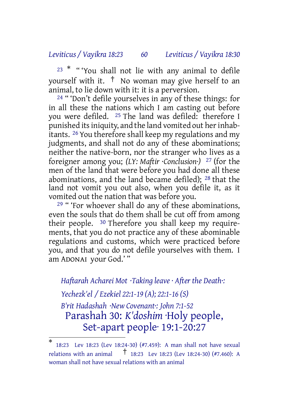## *Leviticus / Vayikra 18:23 60 Leviticus / Vayikra 18:30*

<sup>23</sup> \* " 'You shall not lie with any animal to defile yourself with it. † No woman may give herself to an animal, to lie down with it: it is a perversion.

24 " 'Don't defile yourselves in any of these things: for in all these the nations which I am casting out before you were defiled. 25 The land was defiled: therefore I punished its iniquity, and the land vomited out her inhabitants. 26 You therefore shall keep my regulations and my judgments, and shall not do any of these abominations; neither the native-born, nor the stranger who lives as a foreigner among you; *(LY: Maftir ·Conclusion·)* 27 (for the men of the land that were before you had done all these abominations, and the land became defiled); 28 that the land not vomit you out also, when you defile it, as it vomited out the nation that was before you.

<sup>29</sup> " 'For whoever shall do any of these abominations, even the souls that do them shall be cut off from among their people. 30 Therefore you shall keep my requirements, that you do not practice any of these abominable regulations and customs, which were practiced before you, and that you do not defile yourselves with them. I am ADONAI your God.' "

*Haftarah Acharei Mot ·Taking leave · After the Death·: Yechezk'el / Ezekiel 22:1-19 (A); 22:1-16 (S)*

*B'rit Hadashah ·New Covenant·: John 7:1-52* Parashah 30: *K'doshim* ·Holy people, Set-apart people· 19:1-20:27

<sup>\*</sup> 18:23 Lev 18:23 (Lev 18:24-30) (#7.459): A man shall not have sexual relations with an animal  $\uparrow$  18:23 Lev 18:23 (Lev 18:24-30) (#7.460): A woman shall not have sexual relations with an animal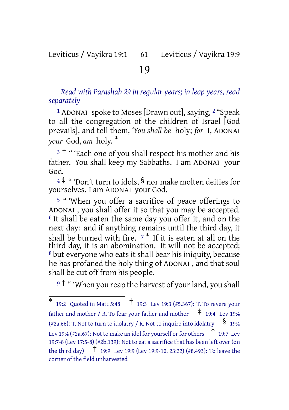# Leviticus / Vayikra 19:1 61 Leviticus / Vayikra 19:9

# 19

*Read with Parashah 29 in regular years; in leap years, read separately*

<sup>1</sup> ADONAI spoke to Moses [Drawn out], saying,  $2$  "Speak to all the congregation of the children of Israel [God prevails], and tell them, *'You shall be* holy; *for* I, ADONAI *your* God, *am* holy. \*

<sup>3</sup> <sup>†</sup> " 'Each one of you shall respect his mother and his father. You shall keep my Sabbaths. I am ADONAI your God.

<sup>4</sup> ‡ " 'Don't turn to idols, § nor make molten deities for yourselves. I am ADONAI your God.

5 " 'When you offer a sacrifice of peace offerings to ADONAI , you shall offer it so that you may be accepted. 6 It shall be eaten the same day you offer it, and on the next day: and if anything remains until the third day, it shall be burned with fire.  $7 *$  If it is eaten at all on the third day, it is an abomination. It will not be accepted; 8 but everyone who eats it shall bear his iniquity, because he has profaned the holy thing of ADONAI , and that soul shall be cut off from his people.

9<sup>†</sup> " 'When you reap the harvest of your land, you shall

<sup>\*</sup> 19:2 Quoted in Matt 5:48 † 19:3 Lev 19:3 (#5.367): T. To revere your father and mother / R. To fear your father and mother  $\pm$  19:4 Lev 19:4 (#2a.66): T. Not to turn to idolatry / R. Not to inquire into idolatry  $\S$  19:4 Lev 19:4 (#2a.67): Not to make an idol for yourself or for others  $\quad$   $^*$  19:7 Lev 19:7-8 (Lev 17:5-8) (#2b.139): Not to eat a sacrifice that has been left over (on the third day) † 19:9 Lev 19:9 (Lev 19:9-10, 23:22) (#8.493): To leave the corner of the field unharvested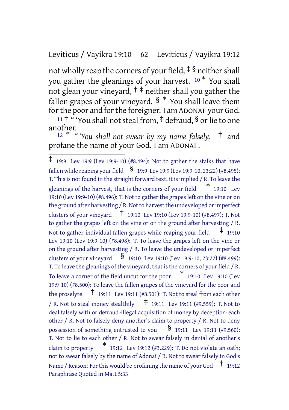# Leviticus / Vayikra 19:10 62 Leviticus / Vayikra 19:12

not wholly reap the corners of your field,  $\frac{1}{2}$  § neither shall you gather the gleanings of your harvest. <sup>10</sup> \* You shall not glean your vineyard,  $\dagger \ddagger$  neither shall you gather the fallen grapes of your vineyard.  $\frac{1}{8}$   $*$  You shall leave them for the poor and for the foreigner. I am ADONAI your God.

<sup>11</sup> <sup>†</sup> "You shall not steal from,  $\frac{4}{7}$  defraud,  $\frac{6}{7}$  or lie to one another.

<sup>12</sup> \* *" 'You shall not swear by my name falsely,* † and profane the name of your God. I am ADONAI .

<sup>‡</sup> 19:9 Lev 19:9 (Lev 19:9-10) (#8.494): Not to gather the stalks that have fallen while reaping your field  $\frac{\$}{\$}$  19:9 Lev 19:9 (Lev 19:9-10, 23:22) (#8.495): T. This is not found in the straight forward text, it is implied / R. To leave the gleanings of the harvest, that is the corners of your field \* 19:10 Lev 19:10 (Lev 19:9-10) (#8.496): T. Not to gather the grapes left on the vine or on the ground after harvesting / R. Not to harvest the undeveloped or imperfect clusters of your vineyard † 19:10 Lev 19:10 (Lev 19:9-10) (#8.497): T. Not to gather the grapes left on the vine or on the ground after harvesting / R. Not to gather individual fallen grapes while reaping your field  $\pm$  19:10 Lev 19:10 (Lev 19:9-10) (#8.498): T. To leave the grapes left on the vine or on the ground after harvesting / R. To leave the undeveloped or imperfect clusters of your vineyard  $\frac{\$}{\$}$  19:10 Lev 19:10 (Lev 19:9-10, 23:22) (#8.499): T. To leave the gleanings of the vineyard, that is the corners of your field / R. To leave a corner of the field uncut for the poor \* 19:10 Lev 19:10 (Lev 19:9-10) (#8.500): To leave the fallen grapes of the vineyard for the poor and the proselyte  $\overline{1}$  19:11 Lev 19:11 (#8.501): T. Not to steal from each other / R. Not to steal money stealthily  $\uparrow$  19:11 Lev 19:11 (#9.559): T. Not to deal falsely with or defraud ·illegal acquisition of money by deception· each other / R. Not to falsely deny another's claim to property / R. Not to deny possession of something entrusted to you  $\frac{\$}{\$}$  19:11 Lev 19:11 (#9.560): T. Not to lie to each other / R. Not to swear falsely in denial of another's claim to property \* 19:12 Lev 19:12 (#3.229): T. Do not violate an oath; not to swear falsely by the name of Adonai / R. Not to swear falsely in God's Name / Reason: For this would be profaning the name of your God  $\pm$  19:12 Paraphrase Quoted in Matt 5:33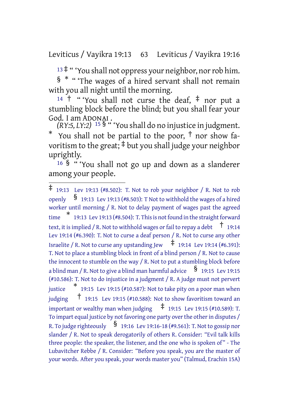Leviticus / Vayikra 19:13 63 Leviticus / Vayikra 19:16

<sup>13</sup> ‡ " 'You shall not oppress your neighbor, norrob him. § \* " 'The wages of a hired servant shall not remain with you all night until the morning.

<sup>14</sup> <sup>†</sup> "You shall not curse the deaf,  $\ddagger$  nor put a stumbling block before the blind; but you shall fear your God. I am ADONAI .

*(RY:5, LY:2)* <sup>15</sup> § " 'You shall do no injustice in judgment. You shall not be partial to the poor,  $\dagger$  nor show favoritism to the great; ‡ but you shall judge your neighbor uprightly.

<sup>16</sup> § " 'You shall not go up and down as a slanderer among your people.

<sup>‡</sup> 19:13 Lev 19:13 (#8.502): T. Not to rob your neighbor / R. Not to rob openly  $\S$  19:13 Lev 19:13 (#8.503): T Not to withhold the wages of a hired worker until morning / R. Not to delay payment of wages past the agreed  $\stackrel{*}{\text{time}}$  19:13 Lev 19:13 (#8.504): T. This is not found in the straight forward text, it is implied / R. Not to withhold wages or fail to repay a debt  $\pm$  19:14 Lev 19:14 (#6.390): T. Not to curse a deaf person / R. Not to curse any other Israelite / R. Not to curse any upstanding Jew  $\pm$  19:14 Lev 19:14 (#6.391): T. Not to place a stumbling block in front of a blind person / R. Not to cause the innocent to stumble on the way / R. Not to put a stumbling block before a blind man / R. Not to give a blind man harmful advice  $\frac{1}{9}$  19:15 Lev 19:15 (#10.586): T. Not to do injustice in a judgment / R. A judge must not pervert justice \* 19:15 Lev 19:15 (#10.587): Not to take pity on a poor man when judging  $\frac{1}{1}$  19:15 Lev 19:15 (#10.588): Not to show favoritism toward an important or wealthy man when judging  $\pm$  19:15 Lev 19:15 (#10.589): T. To impart equal justice by not favoring one party over the other in disputes / R. To judge righteously  $\frac{\$}{}$  19:16 Lev 19:16-18 (#9.561): T. Not to gossip nor slander / R. Not to speak derogatorily of others R. Consider: "Evil talk kills three people: the speaker, the listener, and the one who is spoken of" - The Lubavitcher Rebbe / R. Consider: "Before you speak, you are the master of your words. After you speak, your words master you" (Talmud, Erachin 15A)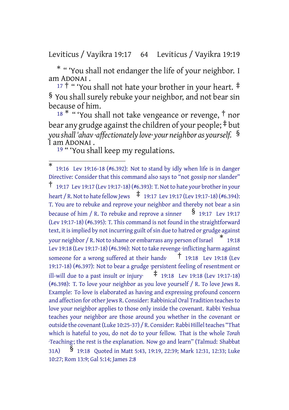Leviticus / Vayikra 19:17 64 Leviticus / Vayikra 19:19

\* " 'You shall not endanger the life of your neighbor. I am ADONAI .

17 <sup>†</sup> " 'You shall not hate your brother in your heart. <sup>‡</sup> § You shall surely rebuke your neighbor, and not bear sin because of him.

 $18 * "$  You shall not take vengeance or revenge,  $\dagger$  nor bear any grudge against the children of your people;  $\ddagger$  but *you shall 'ahav ·affectionately love· your neighbor as yourself.* § I am ADONAI .

<sup>19</sup> " 'You shall keep my regulations.

<sup>\*</sup> 19:16 Lev 19:16-18 (#6.392): Not to stand by idly when life is in danger Directive: Consider that this command also says to "not gossip nor slander" † 19:17 Lev 19:17 (Lev 19:17-18) (#6.393): T. Not to hate your brotherin your heart / R. Not to hate fellow Jews  $\frac{1}{4}$  19:17 Lev 19:17 (Lev 19:17-18) (#6.394): T. You are to rebuke and reprove your neighbor and thereby not bear a sin because of him / R. To rebuke and reprove a sinner  $\frac{1}{2}$  19:17 Lev 19:17 (Lev 19:17-18) (#6.395): T. This command is not found in the straightforward text, it is implied by not incurring guilt of sin due to hatred or grudge against your neighbor / R. Not to shame or embarrass any person of Israel \* 19:18 Lev 19:18 (Lev 19:17-18) (#6.396): Not to take revenge inflicting harm against someone for a wrong suffered at their hands·  $\frac{1}{1}$  19:18 Lev 19:18 (Lev 19:17-18) (#6.397): Not to bear a grudge persistent feeling of resentment or ill-will due to a past insult or injury:  $\uparrow$  19:18 Lev 19:18 (Lev 19:17-18) (#6.398): T. To love your neighbor as you love yourself / R. To love Jews R. Example: To love is elaborated as having and expressing profound concern and affection for other Jews R. Consider: Rabbinical Oral Tradition teaches to love your neighbor applies to those only inside the covenant. Rabbi Yeshua teaches your neighbor are those around you whether in the covenant or outside the covenant (Luke 10:25-37) / R. Consider: Rabbi Hillel teaches "That which is hateful to you, do not do to your fellow. That is the whole *Torah* ·Teaching·; the rest is the explanation. Now go and learn" (Talmud: Shabbat 31A) § 19:18 Quoted in Matt 5:43, 19:19, 22:39; Mark 12:31, 12:33; Luke 10:27; Rom 13:9; Gal 5:14; James 2:8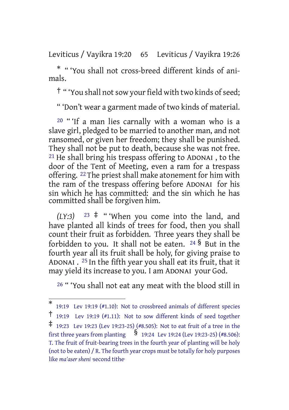Leviticus / Vayikra 19:20 65 Leviticus / Vayikra 19:26

\* " 'You shall not cross-breed different kinds of animals.

† " 'You shall notsow your field with two kinds ofseed;

" 'Don't wear a garment made of two kinds of material.

<sup>20</sup> " 'If a man lies carnally with a woman who is a slave girl, pledged to be married to another man, and not ransomed, or given her freedom; they shall be punished. They shall not be put to death, because she was not free. 21 He shall bring his trespass offering to ADONAI , to the door of the Tent of Meeting, even a ram for a trespass offering. <sup>22</sup> The priest shall make atonement for him with the ram of the trespass offering before ADONAI for his sin which he has committed: and the sin which he has committed shall be forgiven him.

 $(LY:3)$  <sup>23</sup> <sup> $\ddagger$ </sup> " 'When you come into the land, and have planted all kinds of trees for food, then you shall count their fruit as forbidden. Three years they shall be forbidden to you. It shall not be eaten.  $24\,$ § But in the fourth year all its fruit shall be holy, for giving praise to ADONAI . 25 In the fifth year you shall eat its fruit, that it may yield its increase to you. I am ADONAI your God.

26 " 'You shall not eat any meat with the blood still in

<sup>\*</sup> 19:19 Lev 19:19 (#1.10): Not to crossbreed animals of different species

<sup>†</sup> 19:19 Lev 19:19 (#1.11): Not to sow different kinds of seed together

<sup>‡</sup> 19:23 Lev 19:23 (Lev 19:23-25) (#8.505): Not to eat fruit of <sup>a</sup> tree in the first three years from planting § 19:24 Lev 19:24 (Lev 19:23-25) (#8.506): T. The fruit of fruit-bearing trees in the fourth year of planting will be holy (not to be eaten) / R. The fourth year crops must be totally for holy purposes like *ma'aser sheni* ·second tithe·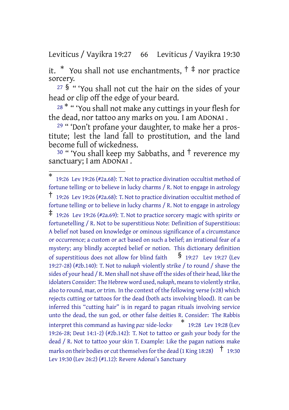Leviticus / Vayikra 19:27 66 Leviticus / Vayikra 19:30

it. \* You shall not use enchantments,  $\uparrow \ddagger$  nor practice sorcery.

<sup>27</sup> § " 'You shall not cut the hair on the sides of your head or clip off the edge of your beard.

<sup>28</sub> \* " 'You shall not make any cuttings in your flesh for</sup> the dead, nor tattoo any marks on you. I am ADONAI .

29 " 'Don't profane your daughter, to make her a prostitute; lest the land fall to prostitution, and the land become full of wickedness.

<sup>30</sup> " 'You shall keep my Sabbaths, and  $\dagger$  reverence my sanctuary; I am ADONAI.

<sup>\*</sup> 19:26 Lev 19:26 (#2a.68): T. Not to practice divination ·occultist method of fortune telling· or to believe in lucky charms / R. Not to engage in astrology † 19:26 Lev 19:26 (#2a.68): T. Not to practice divination ·occultist method of fortune telling· or to believe in lucky charms / R. Not to engage in astrology ‡ 19:26 Lev 19:26 (#2a.69): T. Not to practice sorcery ·magic with spirits· or fortunetelling / R. Not to be superstitious Note: Definition of Superstitious: A belief not based on knowledge or ominous significance of a circumstance or occurrence; a custom or act based on such a belief; an irrational fear of a mystery; any blindly accepted belief or notion. This dictionary definition of superstitious does not allow for blind faith  $\frac{1}{2}$  19:27 Lev 19:27 (Lev 19:27-28) (#2b.140): T. Not to *nakaph* ·violently strike / to round / shave· the sides of your head / R. Men shall not shave off the sides of their head, like the idolaters Consider: The Hebrew word used, *nakaph*, means to violently strike, also to round, mar, or trim. In the context of the following verse (v28) which rejects cutting or tattoos for the dead (both acts involving blood). It can be inferred this "cutting hair" is in regard to pagan rituals involving service unto the dead, the sun god, or other false deities R. Consider: The Rabbis interpret this command as having *paz* ·side-locks· \* 19:28 Lev 19:28 (Lev 19:26-28; Deut 14:1-2) (#2b.142): T. Not to tattoo or gash your body for the dead / R. Not to tattoo your skin T. Example: Like the pagan nations make marks on their bodies or cut themselves for the dead (1 King 18:28)  $\pm$  19:30 Lev 19:30 (Lev 26:2) (#1.12): Revere Adonai's Sanctuary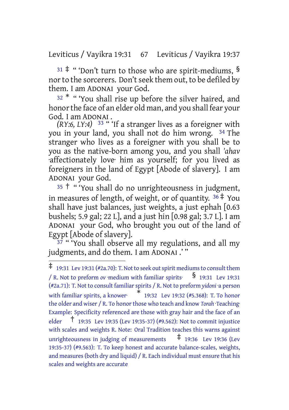Leviticus / Vayikra 19:31 67 Leviticus / Vayikra 19:37

 $31 \div$  " 'Don't turn to those who are spirit-mediums, § nor to the sorcerers. Don't seek them out, to be defiled by them. I am ADONAI your God.

<sup>32</sup> \* " 'You shall rise up before the silver haired, and honorthe face of an elder old man, and you shall fear your God. I am ADONAI .

*(RY:6, LY:4)* 33 " 'If a stranger lives as a foreigner with you in your land, you shall not do him wrong. 34 The stranger who lives as a foreigner with you shall be to you as the native-born among you, and you shall *'ahav* ·affectionately love· him as yourself; for you lived as foreigners in the land of Egypt [Abode of slavery]. I am ADONAI your God.

<sup>35</sup> † " 'You shall do no unrighteousness in judgment, in measures of length, of weight, or of quantity.  $36 \div$  You shall have just balances, just weights, a just ephah [0.63 bushels; 5.9 gal; 22 L], and a just hin [0.98 gal; 3.7 L]. I am ADONAI your God, who brought you out of the land of Egypt [Abode of slavery].

37 " 'You shall observe all my regulations, and all my judgments, and do them. I am ADONAI .' "

 $\ddagger$  19:31 Lev 19:31 (#2a.70): T. Not to seek out spirit mediums to consult them / R. Not to preform *ov* ·medium with familiar spirits<sup> $\S$ </sup> 19:31 Lev 19:31 (#2a.71): T. Not to consult familiar spirits / R. Not to preform *yidoni* ·a person with familiar spirits, <sup>a</sup> knower· \* 19:32 Lev 19:32 (#5.368): T. To honor the older and wiser / R. To honor those who teach and know *Torah* ·Teaching· Example: Specificity referenced are those with gray hair and the face of an elder † 19:35 Lev 19:35 (Lev 19:35-37) (#9.562): Not to commit injustice with scales and weights R. Note: Oral Tradition teaches this warns against unrighteousness in judging of measurements  $\uparrow$  19:36 Lev 19:36 (Lev 19:35-37) (#9.563): T. To keep honest and accurate balance-scales, weights, and measures (both dry and liquid) / R. Each individual must ensure that his scales and weights are accurate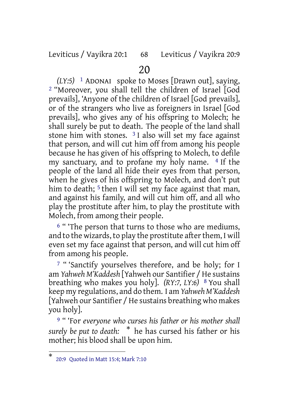#### Leviticus / Vayikra 20:1 68 Leviticus / Vayikra 20:9

# 20

*(LY:5)* 1 ADONAI spoke to Moses [Drawn out], saying, 2 "Moreover, you shall tell the children of Israel [God prevails], 'Anyone of the children of Israel [God prevails], or of the strangers who live as foreigners in Israel [God prevails], who gives any of his offspring to Molech; he shall surely be put to death. The people of the land shall stone him with stones.  $3$  I also will set my face against that person, and will cut him off from among his people because he has given of his offspring to Molech, to defile my sanctuary, and to profane my holy name. 4 If the people of the land all hide their eyes from that person, when he gives of his offspring to Molech, and don't put him to death; <sup>5</sup> then I will set my face against that man, and against his family, and will cut him off, and all who play the prostitute after him, to play the prostitute with Molech, from among their people.

<sup>6</sup> "The person that turns to those who are mediums, and to the wizards, to play the prostitute after them, I will even set my face against that person, and will cut him off from among his people.

<sup>7</sup> "Sanctify yourselves therefore, and be holy; for I am *Yahweh M'Kaddesh* [Yahweh our Santifier / He sustains breathing who makes you holy]. *(RY:7, LY:6)* 8 You shall keep my regulations, and do them. I am *Yahweh M'Kaddesh* [Yahweh our Santifier / He sustains breathing who makes you holy].

9 " 'For *everyone who curses his father or his mother shall surely be put to death:* \* he has cursed his father or his mother; his blood shall be upon him.

<sup>\*</sup> 20:9 Quoted in Matt 15:4; Mark 7:10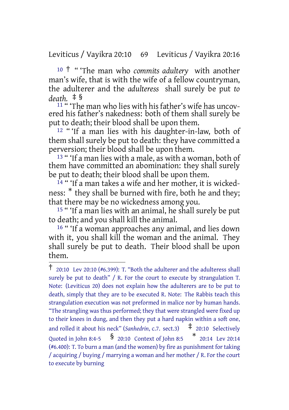Leviticus / Vayikra 20:10 69 Leviticus / Vayikra 20:16

<sup>10</sup> † " 'The man who *commits adultery* with another man's wife, that is with the wife of a fellow countryman, the adulterer and the *adulteress* shall surely be put *to death.* ‡ §

<sup>11</sup> " The man who lies with his father's wife has uncovered his father's nakedness: both of them shall surely be put to death; their blood shall be upon them.

12 " 'If a man lies with his daughter-in-law, both of them shall surely be put to death: they have committed a perversion; their blood shall be upon them.

13 " 'If a man lies with a male, as with a woman, both of them have committed an abomination: they shall surely be put to death; their blood shall be upon them.

 $14$  " 'If a man takes a wife and her mother, it is wickedness: \* they shall be burned with fire, both he and they; that there may be no wickedness among you.

15 " 'If a man lies with an animal, he shall surely be put to death; and you shall kill the animal.

16 " 'If a woman approaches any animal, and lies down with it, you shall kill the woman and the animal. They shall surely be put to death. Their blood shall be upon them.

 $\dagger$  20:10 Lev 20:10 (#6.399): T. "Both the adulterer and the adulteress shall surely be put to death" / R. For the court to execute by strangulation T. Note: (Leviticus 20) does not explain how the adulterers are to be put to death, simply that they are to be executed R. Note: The Rabbis teach this strangulation execution was not preformed in malice nor by human hands. "The strangling was thus performed; they that were strangled were fixed up to their knees in dung, and then they put a hard napkin within a soft one, and rolled it about his neck" (*Sanhedrin*, c.7. sect.3)  $\pm$  20:10 Selectively Quoted in John 8:4-5 § 20:10 Context of John 8:5 \* 20:14 Lev 20:14 (#6.400): T. To burn a man (and the women) by fire as punishment for taking / acquiring / buying / marrying a woman and her mother / R. For the court to execute by burning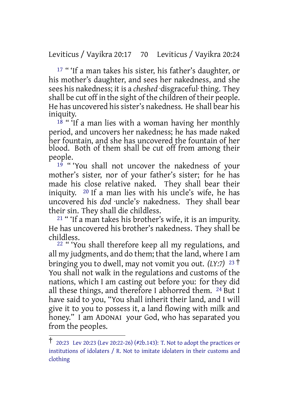Leviticus / Vayikra 20:17 70 Leviticus / Vayikra 20:24

17 " 'If a man takes his sister, his father's daughter, or his mother's daughter, and sees her nakedness, and she sees his nakedness; it is a *cheshed* ·disgraceful· thing. They shall be cut off in the sight of the children of their people. He has uncovered his sister's nakedness. He shall bear his iniquity.

 $18$  " 'If a man lies with a woman having her monthly period, and uncovers her nakedness; he has made naked her fountain, and she has uncovered the fountain of her blood. Both of them shall be cut off from among their people.

<sup>19</sup> " 'You shall not uncover the nakedness of your mother's sister, nor of your father's sister; for he has made his close relative naked. They shall bear their iniquity. 20 If a man lies with his uncle's wife, he has uncovered his *dod* uncle's nakedness. They shall bear their sin. They shall die childless.

21 " 'If a man takes his brother's wife, it is an impurity. He has uncovered his brother's nakedness. They shall be childless.

22 " 'You shall therefore keep all my regulations, and all my judgments, and do them; that the land, where I am bringing you to dwell, may not vomit you out. *(LY:7)* <sup>23</sup> † You shall not walk in the regulations and customs of the nations, which I am casting out before you: for they did all these things, and therefore I abhorred them. 24 But I have said to you, "You shall inherit their land, and I will give it to you to possess it, a land flowing with milk and honey." I am ADONAI your God, who has separated you from the peoples.

<sup>†</sup> 20:23 Lev 20:23 (Lev 20:22-26) (#2b.143): T. Not to adopt the practices or institutions of idolaters / R. Not to imitate idolaters in their customs and clothing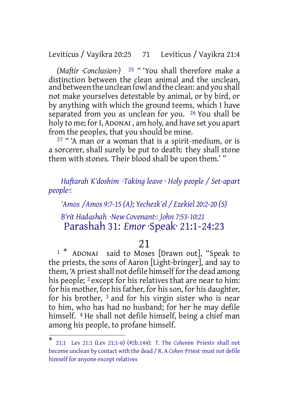Leviticus / Vayikra 20:25 71 Leviticus / Vayikra 21:4

*(Maftir ·Conclusion·)* 25 " 'You shall therefore make a distinction between the clean animal and the unclean, and between the unclean fowl and the clean: and you shall not make yourselves detestable by animal, or by bird, or by anything with which the ground teems, which I have separated from you as unclean for you. <sup>26</sup> You shall be holy to me; for I, ADONAI, am holy, and have set you apart from the peoples, that you should be mine.

27 " 'A man or a woman that is a spirit-medium, or is a sorcerer, shall surely be put to death: they shall stone them with stones. Their blood shall be upon them.' "

*Haftarah K'doshim ·Taking leave · Holy people / Set-apart people·:*

*'Amos /Amos 9:7-15 (A); Yechezk'el / Ezekiel 20:2-20 (S)*

*B'rit Hadashah ·New Covenant·: John 7:53-10:21* Parashah 31: *Emor* ·Speak· 21:1-24:23

# 21

<sup>1</sup> \* ADONAI said to Moses [Drawn out], "Speak to the priests, the sons of Aaron [Light-bringer], and say to them, 'A priest shall not defile himself for the dead among his people; <sup>2</sup> except for his relatives that are near to him: for his mother, for his father, for his son, for his daughter, for his brother, 3 and for his virgin sister who is near to him, who has had no husband; for her he may defile himself. 4 He shall not defile himself, being a chief man among his people, to profane himself.

<sup>\*</sup> 21:1 Lev 21:1 (Lev 21:1-6) (#2b.144): T. The *Cohenim* ·Priests· shall not become unclean by contact with the dead / R. A *Cohen* ·Priest· must not defile himself for anyone except relatives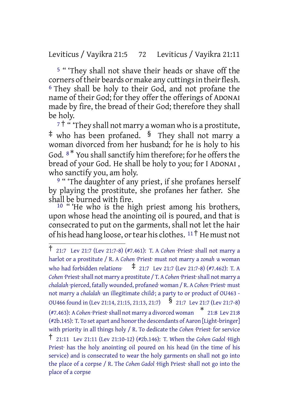# Leviticus / Vayikra 21:5 72 Leviticus / Vayikra 21:11

5 " 'They shall not shave their heads or shave off the corners of their beards or make any cuttings in their flesh. 6 They shall be holy to their God, and not profane the name of their God; for they offer the offerings of ADONAI made by fire, the bread of their God; therefore they shall be holy.

 $7\dagger$  " They shall not marry a woman who is a prostitute, ‡ who has been profaned. § They shall not marry a woman divorced from her husband; for he is holy to his God.  $8*$  You shall sanctify him therefore; for he offers the bread of your God. He shall be holy to you; for I ADONAI , who sanctify you, am holy.

<sup>9</sup> "The daughter of any priest, if she profanes herself by playing the prostitute, she profanes her father. She shall be burned with fire.

 $10$  " 'He who is the high priest among his brothers, upon whose head the anointing oil is poured, and that is consecrated to put on the garments, shall not let the hair of his head hang loose, or tear his clothes.  $11<sup>†</sup>$  He must not

<sup>†</sup> 21:7 Lev 21:7 (Lev 21:7-8) (#7.461): T. <sup>A</sup> *Cohen* ·Priest· shall not marry <sup>a</sup> harlot or a prostitute / R. A *Cohen* ·Priest· must not marry a *zonah* ·a woman who had forbidden relations  $\frac{1}{7}$  21:7 Lev 21:7 (Lev 21:7-8) (#7.462): T. A *Cohen* ·Priest·shall not marry a prostitute / T. A *Cohen* ·Priest·shall not marry a *chalalah* ·pierced, fatally wounded, profaned· woman / R. A *Cohen* ·Priest· must not marry a *chalalah* ·an illegitimate child·; a party to or product of OU463 - OU466 found in (Lev 21:14, 21:15, 21:13, 21:7) § 21:7 Lev 21:7 (Lev 21:7-8) (#7.463): A *Cohen* ·Priest·shall not marry a divorced woman \* 21:8 Lev 21:8 (#2b.145): T. To set apart and honor the descendants of Aaron [Light-bringer] with priority in all things holy / R. To dedicate the *Cohen* ·Priest · for service † 21:11 Lev 21:11 (Lev 21:10-12) (#2b.146): T. When the *Cohen Gadol* ·High Priest· has the holy anointing oil poured on his head (in the time of his service) and is consecrated to wear the holy garments on shall not go into the place of a corpse / R. The *Cohen Gadol* ·High Priest· shall not go into the place of a corpse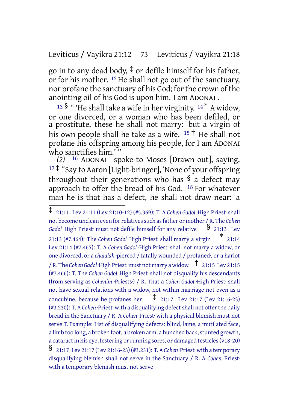# Leviticus / Vayikra 21:12 73 Leviticus / Vayikra 21:18

go in to any dead body,  $\ddagger$  or defile himself for his father, or for his mother. 12 He shall not go out of the sanctuary, nor profane the sanctuary of his God; for the crown of the anointing oil of his God is upon him. I am ADONAI .

<sup>13</sup> § " 'He shall take a wife in her virginity.  $14 * A$  widow, or one divorced, or a woman who has been defiled, or a prostitute, these he shall not marry: but a virgin of his own people shall he take as a wife.  $15 \dagger$  He shall not profane his offspring among his people, for I am ADONAI who sanctifies him.'

*(2)* 16 ADONAI spoke to Moses [Drawn out], saying,  $17\ddagger$  "Say to Aaron [Light-bringer], 'None of your offspring throughout their generations who has  $\frac{1}{2}$  a defect may approach to offer the bread of his God. 18 For whatever man he is that has a defect, he shall not draw near: a

<sup>‡</sup> 21:11 Lev 21:11 (Lev 21:10-12) (#5.369): T. <sup>A</sup> *Cohen Gadol* ·High Priest· shall not become unclean even forrelativessuch asfather or mother / R. The *Cohen* Gadol ·High Priest· must not defile himself for any relative <sup>§</sup> 21:13 Lev

<sup>21:13</sup> (#7.464): The *Cohen Gadol* ·High Priest· shall marry a virgin \* 21:14 Lev 21:14 (#7.465): T. A *Cohen Gadol* ·High Priest· shall not marry a widow, or one divorced, or a *chalalah* ·pierced / fatally wounded / profaned·, or a harlot / R. The *Cohen Gadol* ·High Priest· must not marry <sup>a</sup> widow † 21:15 Lev 21:15 (#7.466): T. The *Cohen Gadol* ·High Priest· shall not disqualify his descendants (from serving as *Cohenim* ·Priests·) / R. That a *Cohen Gadol* ·High Priest· shall not have sexual relations with a widow, not within marriage not even as a concubine, because he profanes her  $\pm$  21:17 Lev 21:17 (Lev 21:16-23) (#3.230): T. A *Cohen* ·Priest· with a disqualifying defectshall not offerthe daily bread in the Sanctuary / R. A Cohen Priest<sup>.</sup> with a physical blemish must not serve T. Example: List of disqualifying defects: blind, lame, a mutilated face, a limb too long, a broken foot, a broken arm, a hunched back, stunted growth, a cataract in his eye, festering or running sores, or damaged testicles (v18-20) § 21:17 Lev 21:17 (Lev 21:16-23) (#3.231): T. <sup>A</sup> *Cohen* ·Priest· with <sup>a</sup> temporary

disqualifying blemish shall not serve in the Sanctuary / R. A *Cohen* ·Priest· with a temporary blemish must not serve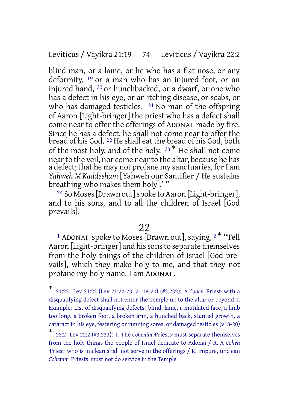#### Leviticus / Vayikra 21:19 74 Leviticus / Vayikra 22:2

blind man, or a lame, or he who has a flat nose, or any deformity, 19 or a man who has an injured foot, or an injured hand, 20 or hunchbacked, or a dwarf, or one who has a defect in his eye, or an itching disease, or scabs, or who has damaged testicles. <sup>21</sup> No man of the offspring of Aaron [Light-bringer] the priest who has a defect shall come near to offer the offerings of ADONAI made by fire. Since he has a defect, he shall not come near to offer the bread of his God. <sup>22</sup> He shall eat the bread of his God, both of the most holy, and of the holy. <sup>23</sup> \* He shall not come nearto the veil, nor come nearto the altar, because he has a defect; that he may not profane my sanctuaries, for I am *Yahweh M'Kaddesham* [Yahweh our Santifier / He sustains breathing who makes them holy].' "

<sup>24</sup> So Moses [Drawn out] spoke to Aaron [Light-bringer], and to his sons, and to all the children of Israel [God prevails].

# 22

<sup>1</sup> ADONAI spoke to Moses [Drawn out], saying, <sup>2\*</sup> "Tell Aaron [Light-bringer] and his sons to separate themselves from the holy things of the children of Israel [God prevails], which they make holy to me, and that they not profane my holy name. I am ADONAI .

<sup>\*</sup> 21:23 Lev 21:23 (Lev 21:22-23, 21:18-20) (#3.232): A *Cohen* ·Priest· with a disqualifying defect shall not enter the Temple up to the altar or beyond T. Example: List of disqualifying defects: blind, lame, a mutilated face, a limb too long, a broken foot, a broken arm, a hunched back, stunted growth, a cataract in his eye, festering or running sores, or damaged testicles (v18-20)

<sup>\*</sup> 22:2 Lev 22:2 (#3.233): T. The *Cohenim* ·Priests· must separate themselves from the holy things the people of Israel dedicate to Adonai / R. A *Cohen* ·Priest· who is unclean shall not serve in the offerings / R. Impure, unclean *Cohenim* ·Priests· must not do service in the Temple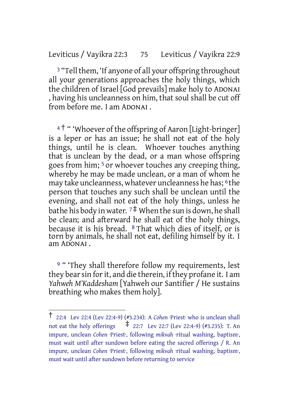# Leviticus / Vayikra 22:3 75 Leviticus / Vayikra 22:9

<sup>3</sup> "Tell them, 'If anyone of all your offspring throughout all your generations approaches the holy things, which the children of Israel [God prevails] make holy to ADONAI , having his uncleanness on him, that soul shall be cut off from before me. I am ADONAI .

<sup>4†</sup> "Whoever of the offspring of Aaron [Light-bringer] is a leper or has an issue; he shall not eat of the holy things, until he is clean. Whoever touches anything that is unclean by the dead, or a man whose offspring goes from him; 5 or whoever touches any creeping thing, whereby he may be made unclean, or a man of whom he may take uncleanness, whatever uncleanness he has; 6 the person that touches any such shall be unclean until the evening, and shall not eat of the holy things, unless he bathe his body in water.  $7\ddagger$  When the sun is down, he shall be clean; and afterward he shall eat of the holy things, because it is his bread. 8 That which dies of itself, or is torn by animals, he shall not eat, defiling himself by it. I am ADONAI .

<sup>9</sup> " 'They shall therefore follow my requirements, lest they bear sin for it, and die therein, if they profane it. I am *Yahweh M'Kaddesham* [Yahweh our Santifier / He sustains breathing who makes them holy].

<sup>†</sup> 22:4 Lev 22:4 (Lev 22:4-9) (#3.234): <sup>A</sup> *Cohen* ·Priest· who is unclean shall not eat the holy offerings  $\frac{1}{22:7}$  Lev 22:7 (Lev 22:4-9) (#3.235): T. An impure, unclean *Cohen* ·Priest·, following *mikvah* ·ritual washing, baptism·, must wait until after sundown before eating the sacred offerings / R. An impure, unclean *Cohen* ·Priest·, following *mikvah* ·ritual washing, baptism·, must wait until after sundown before returning to service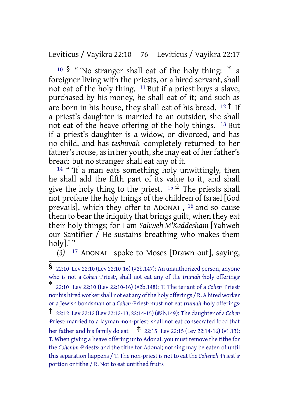Leviticus / Vayikra 22:10 76 Leviticus / Vayikra 22:17

<sup>10</sup> § "'No stranger shall eat of the holy thing: \* a foreigner living with the priests, or a hired servant, shall not eat of the holy thing. 11 But if a priest buys a slave, purchased by his money, he shall eat of it; and such as are born in his house, they shall eat of his bread.  $12 \uparrow$  If a priest's daughter is married to an outsider, she shall not eat of the heave offering of the holy things. 13 But if a priest's daughter is a widow, or divorced, and has no child, and has *teshuvah* ·completely returned· to her father's house, as in her youth, she may eat of her father's bread: but no stranger shall eat any of it.

<sup>14</sup> " If a man eats something holy unwittingly, then he shall add the fifth part of its value to it, and shall give the holy thing to the priest.  $15 \div$  The priests shall not profane the holy things of the children of Israel [God prevails], which they offer to ADONAI , 16 and so cause them to bear the iniquity that brings guilt, when they eat their holy things; for I am *Yahweh M'Kaddesham* [Yahweh our Santifier / He sustains breathing who makes them holy].'"

*(3)* 17 ADONAI spoke to Moses [Drawn out], saying,

<sup>§</sup> 22:10 Lev 22:10 (Lev 22:10-16) (#2b.147): An unauthorized person, anyone who is not a *Cohen* ·Priest·, shall not eat any of the *trumah* ·holy offerings·

<sup>\*</sup> 22:10 Lev 22:10 (Lev 22:10-16) (#2b.148): T. The tenant of a *Cohen* ·Priest· nor his hired worker shall not eat any of the holy offerings / R. A hired worker or a Jewish bondsman of a *Cohen* ·Priest· must not eat *trumah* ·holy offerings· † 22:12 Lev 22:12 (Lev 22:12-13, 22:14-15) (#2b.149): The daughter of <sup>a</sup> *Cohen* ·Priest· married to a layman ·non-priest· shall not eat consecrated food that her father and his family do eat  $\frac{1}{4}$  22:15 Lev 22:15 (Lev 22:14-16) (#1.13): T. When giving a heave offering unto Adonai, you must remove the tithe for the *Cohenim* ·Priests· and the tithe for Adonai; nothing may be eaten of until this separation happens / T. The non-priest is not to eat the *Cohenoh* ·Priest's<sup>-</sup> portion or tithe / R. Not to eat untithed fruits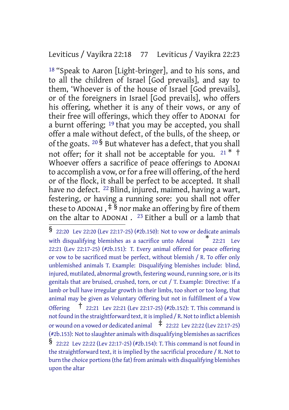#### Leviticus / Vayikra 22:18 77 Leviticus / Vayikra 22:23

18 "Speak to Aaron [Light-bringer], and to his sons, and to all the children of Israel [God prevails], and say to them, 'Whoever is of the house of Israel [God prevails], or of the foreigners in Israel [God prevails], who offers his offering, whether it is any of their vows, or any of their free will offerings, which they offer to ADONAI for a burnt offering; 19 that you may be accepted, you shall offer a male without defect, of the bulls, of the sheep, or of the goats.  $20\frac{1}{9}$  But whatever has a defect, that you shall not offer; for it shall not be acceptable for you.  $21 * †$ Whoever offers a sacrifice of peace offerings to ADONAI to accomplish a vow, or for a free will offering, of the herd or of the flock, it shall be perfect to be accepted. It shall have no defect. 22 Blind, injured, maimed, having a wart, festering, or having a running sore: you shall not offer these to ADONAI,  $\frac{1}{2}$  nor make an offering by fire of them on the altar to ADONAI . 23 Either a bull or a lamb that

<sup>§</sup> 22:20 Lev 22:20 (Lev 22:17-25) (#2b.150): Not to vow or dedicate animals with disqualifying blemishes as a sacrifice unto Adonai  $*$  22:21 Lev 22:21 (Lev 22:17-25) (#2b.151): T. Every animal offered for peace offering or vow to be sacrificed must be perfect, without blemish / R. To offer only unblemished animals T. Example: Disqualifying blemishes include: blind, injured, mutilated, abnormal growth, festering wound, running sore, or is its genitals that are bruised, crushed, torn, or cut / T. Example: Directive: If a lamb or bull have irregular growth in their limbs, too short or too long, that animal may be given as Voluntary Offering but not in fulfillment of a Vow Offering † 22:21 Lev 22:21 (Lev 22:17-25) (#2b.152): T. This command is not found in the straightforward text, it is implied / R. Not to inflict a blemish or wound on a vowed or dedicated animal  $\pm$  22:22 Lev 22:22 (Lev 22:17-25) (#2b.153): Not to slaughter animals with disqualifying blemishes as sacrifices § 22:22 Lev 22:22 (Lev 22:17-25) (#2b.154): T. This command is not found in the straightforward text, it is implied by the sacrificial procedure / R. Not to burn the choice portions(the fat) from animals with disqualifying blemishes upon the altar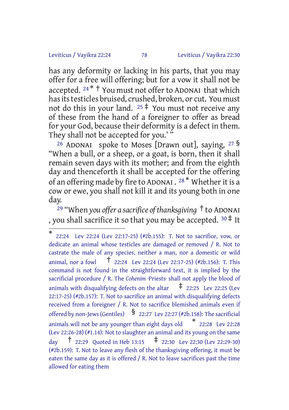#### Leviticus / Vayikra 22:24 78 Leviticus / Vayikra 22:30

has any deformity or lacking in his parts, that you may offer for a free will offering; but for a vow it shall not be accepted.  $24 * †$  You must not offer to ADONAI that which has its testicles bruised, crushed, broken, or cut. You must not do this in your land.  $25 \ddot{+}$  You must not receive any of these from the hand of a foreigner to offer as bread for your God, because their deformity is a defect in them. They shall not be accepted for you.'"

<sup>26</sup> ADONAI spoke to Moses [Drawn out], saying,  $27\frac{8}{9}$ "When a bull, or a sheep, or a goat, is born, then it shall remain seven days with its mother; and from the eighth day and thenceforth it shall be accepted for the offering of an offering made by fire to ADONAI . <sup>28 \*</sup> Whether it is a cow or ewe, you shall not kill it and its young both in one day.

<sup>29</sup> "When *you offer a sacrifice of thanksgiving* † to ADONAI , you shall sacrifice it so that you may be accepted.  $30 \stackrel{+}{\ast}$  It

<sup>\*</sup> 22:24 Lev 22:24 (Lev 22:17-25) (#2b.155): T. Not to sacrifice, vow, or dedicate an animal whose testicles are damaged or removed / R. Not to castrate the male of any species, neither a man, nor a domestic or wild animal, nor a fowl  $\frac{1}{22:24}$  Lev 22:24 (Lev 22:17-25) (#2b.156): T. This command is not found in the straightforward text, it is implied by the sacrificial procedure / R. The *Cohenim* ·Priests· shall not apply the blood of animals with disqualifying defects on the altar  $\pm$  22:25 Lev 22:25 (Lev 22:17-25) (#2b.157): T. Not to sacrifice an animal with disqualifying defects received from a foreigner / R. Not to sacrifice blemished animals even if offered by non-Jews (Gentiles)  $\frac{1}{22:27}$  Lev 22:27 (#2b.158): The sacrificial animals will not be any younger than eight days old \* 22:28 Lev 22:28 (Lev 22:26-28) (#1.14): Not to slaughter an animal and its young on the same day † 22:29 Quoted in Heb 13:15 ‡ 22:30 Lev 22:30 (Lev 22:29-30) (#2b.159): T. Not to leave any flesh of the thanksgiving offering, it must be eaten the same day as it is offered / R. Not to leave sacrifices past the time allowed for eating them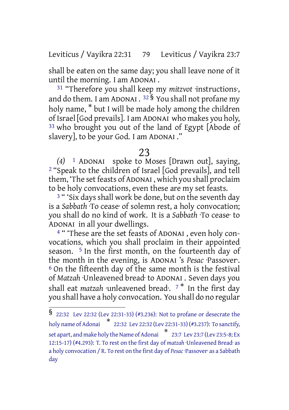Leviticus / Vayikra 22:31 79 Leviticus / Vayikra 23:7

shall be eaten on the same day; you shall leave none of it until the morning. I am ADONAI .

31 "Therefore you shall keep my *mitzvot* ·instructions·, and do them. I am ADONAI .  $^{32}$   $\bar{\text{S}}$  You shall not profane my holy name, \* but I will be made holy among the children of Israel [God prevails]. I am ADONAI who makes you holy, 33 who brought you out of the land of Egypt [Abode of slavery], to be your God. I am ADONAI ."

#### 23

*(4)* 1 ADONAI spoke to Moses [Drawn out], saying, 2 "Speak to the children of Israel [God prevails], and tell them, 'The set feasts of ADONAI, which you shall proclaim to be holy convocations, even these are my set feasts.

<sup>3</sup> " 'Six days shall work be done, but on the seventh day is a *Sabbath* ·To cease· of solemn rest, a holy convocation; you shall do no kind of work. It is a *Sabbath* ·To cease· to ADONAI in all your dwellings.

4 " 'These are the set feasts of ADONAI , even holy convocations, which you shall proclaim in their appointed season. 5 In the first month, on the fourteenth day of the month in the evening, is ADONAI 's *Pesac* ·Passover·. 6 On the fifteenth day of the same month is the festival of *Matzah* ·Unleavened bread· to ADONAI . Seven days you shall eat *matzah* unleavened bread. <sup>7\*</sup> In the first day you shall have a holy convocation. You shall do no regular

<sup>§</sup> 22:32 Lev 22:32 (Lev 22:31-33) (#3.236): Not to profane or desecrate the holy name of Adonai \* 22:32 Lev 22:32 (Lev 22:31-33) (#3.237): To sanctify, set apart, and make holy theName ofAdonai \* 23:7 Lev 23:7 (Lev 23:5-8; Ex 12:15-17) (#4.293): T. To rest on the first day of *matzah* ·Unleavened Bread· as a holy convocation / R. To rest on the first day of *Pesac*·Passover· as a Sabbath day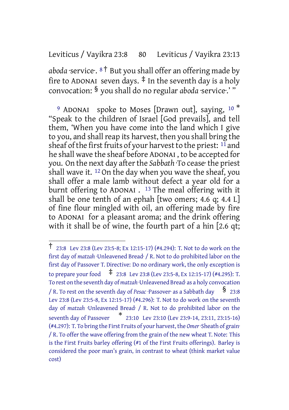# Leviticus / Vayikra 23:8 80 Leviticus / Vayikra 23:13

*aboda* ·service·. <sup>8</sup> † But you shall offer an offering made by fire to ADONAI seven days.  $\ddagger$  In the seventh day is a holy convocation: § you shall do no regular *aboda* ·service·.' "

<sup>9</sup> ADONAI spoke to Moses [Drawn out], saying,  $10<sup>*</sup>$ "Speak to the children of Israel [God prevails], and tell them, 'When you have come into the land which I give to you, and shall reap its harvest, then you shall bring the sheaf of the first fruits of your harvest to the priest:  $11$  and he shall wave the sheaf before ADONAI , to be accepted for you. On the next day after the *Sabbath* To cease the priest shall wave it.  $12$  On the day when you wave the sheaf, you shall offer a male lamb without defect a year old for a burnt offering to ADONAI. <sup>13</sup> The meal offering with it shall be one tenth of an ephah [two omers; 4.6 q; 4.4 L] of fine flour mingled with oil, an offering made by fire to ADONAI for a pleasant aroma; and the drink offering with it shall be of wine, the fourth part of a hin [2.6 qt;

<sup>†</sup> 23:8 Lev 23:8 (Lev 23:5-8; Ex 12:15-17) (#4.294): T. Not to do work on the first day of *matzah* ·Unleavened Bread· / R. Not to do prohibited labor on the first day of Passover T. Directive: Do no ordinary work, the only exception is to prepare your food ‡ 23:8 Lev 23:8 (Lev 23:5-8, Ex 12:15-17) (#4.295): T. To rest on the seventh day of *matzah* ·Unleavened Bread· as a holy convocation / R. To rest on the seventh day of *Pesac* ·Passover· as a Sabbath day  $\frac{\$}{}$  23:8 Lev 23:8 (Lev 23:5-8, Ex 12:15-17) (#4.296): T. Not to do work on the seventh day of *matzah* ·Unleavened Bread· / R. Not to do prohibited labor on the seventh day of Passover \* 23:10 Lev 23:10 (Lev 23:9-14, 23:11, 23:15-16) (#4.297): T. To bring the First Fruits of your harvest, the *Omer*·Sheath of grain· / R. To offer the wave offering from the grain of the new wheat T. Note: This is the First Fruits barley offering (#1 of the First Fruits offerings). Barley is considered the poor man's grain, in contrast to wheat (think market value cost)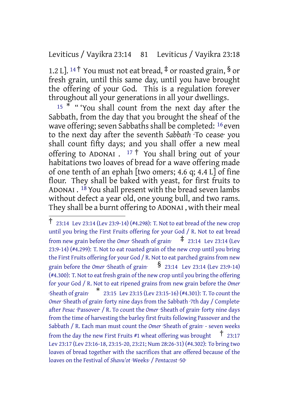Leviticus / Vayikra 23:14 81 Leviticus / Vayikra 23:18

1.2 L]. <sup>14†</sup> You must not eat bread,  $\frac{4}{7}$  or roasted grain, § or fresh grain, until this same day, until you have brought the offering of your God. This is a regulation forever throughout all your generations in all your dwellings.

 $15 * "$  " 'You shall count from the next day after the Sabbath, from the day that you brought the sheaf of the wave offering; seven Sabbaths shall be completed: <sup>16</sup> even to the next day after the seventh *Sabbath* ·To cease· you shall count fifty days; and you shall offer a new meal offering to ADONAI .  $17 \dagger$  You shall bring out of your habitations two loaves of bread for a wave offering made of one tenth of an ephah [two omers; 4.6 q; 4.4 L] of fine flour. They shall be baked with yeast, for first fruits to ADONAI . 18 You shall present with the bread seven lambs without defect a year old, one young bull, and two rams. They shall be a burnt offering to ADONAI , with their meal

<sup>†</sup> 23:14 Lev 23:14 (Lev 23:9-14) (#4.298): T. Not to eat bread of the new crop until you bring the First Fruits offering for your God / R. Not to eat bread from new grain before the *Omer* ·Sheath of grain· ‡ 23:14 Lev 23:14 (Lev 23:9-14) (#4.299): T. Not to eat roasted grain of the new crop until you bring the First Fruits offering for your God / R. Not to eat parched grains from new grain before the *Omer* ·Sheath of grain:  $\frac{1}{2}$  23:14 Lev 23:14 (Lev 23:9-14) (#4.300): T. Not to eat fresh grain of the new crop until you bring the offering for your God / R. Not to eat ripened grains from new grain before the *Omer* ·Sheath of grain· \* 23:15 Lev 23:15 (Lev 23:15-16) (#4.301): T. To count the *Omer* ·Sheath of grain· forty nine days from the Sabbath ·7th day / Complete· after *Pesac* ·Passover· / R. To count the *Omer* ·Sheath of grain· forty nine days from the time of harvesting the barley first fruits following Passover and the Sabbath / R. Each man must count the *Omer* ·Sheath of grain· - seven weeks from the day the new First Fruits #1 wheat offering was brought  $\pm$  23:17 Lev 23:17 (Lev 23:16-18, 23:15-20, 23:21; Num 28:26-31) (#4.302): To bring two loaves of bread together with the sacrifices that are offered because of the loaves on the Festival of *Shavu'ot* ·Weeks· / *Pentacost* ·50·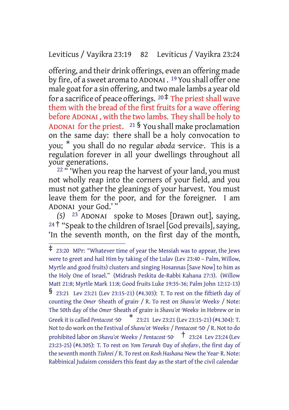#### Leviticus / Vayikra 23:19 82 Leviticus / Vayikra 23:24

offering, and their drink offerings, even an offering made by fire, of a sweet aroma to ADONAI . <sup>19</sup> You shall offer one male goat for a sin offering, and two male lambs a year old for a sacrifice of peace offerings.  $20 \frac{4}{3}$  The priest shall wave them with the bread of the first fruits for a wave offering before ADONAI , with the two lambs. They shall be holy to ADONAI for the priest.  $21 \text{ }\frac{1}{2}$  You shall make proclamation on the same day: there shall be a holy convocation to you; \* you shall do no regular *aboda* ·service·. This is a regulation forever in all your dwellings throughout all your generations.

22 " 'When you reap the harvest of your land, you must not wholly reap into the corners of your field, and you must not gather the gleanings of your harvest. You must leave them for the poor, and for the foreigner. I am ADONAI your God.' "

*(5)* 23 ADONAI spoke to Moses [Drawn out], saying, <sup>24†</sup> "Speak to the children of Israel [God prevails], saying, 'In the seventh month, on the first day of the month,

<sup>‡</sup> 23:20 MPr: "Whatever time of year the Messiah was to appear, the Jews were to greet and hail Him by taking of the Lulav (Lev 23:40 – Palm, Willow, Myrtle and good fruits) clusters and singing Hosannas [Save Now] to him as the Holy One of Israel." (Midrash Peskita de-Rabbi Kahana 27:3). (Willow Matt 21:8; Myrtle Mark 11:8; Good fruits Luke 19:35-36; Palm John 12:12-13) § 23:21 Lev 23:21 (Lev 23:15-21) (#4.303): T. To rest on the fiftieth day of counting the *Omer* ·Sheath of grain· / R. To rest on *Shavu'ot* ·Weeks· / Note: The 50th day of the *Omer* ·Sheath of grain· is *Shavu'ot* ·Weeks· in Hebrew or in Greek it is called *Pentacost* ·50· \* 23:21 Lev 23:21 (Lev 23:15-21) (#4.304): T. Not to do work on the Festival of *Shavu'ot* ·Weeks· / *Pentacost* ·50· / R. Not to do prohibited labor on *Shavu'ot* ·Weeks· / *Pentacost* ·50· † 23:24 Lev 23:24 (Lev 23:23-25) (#4.305): T. To rest on *Yom Terurah* ·Day of *shofars·*, the first day of the seventh month *Tishrei* / R. To rest on *Rosh Hashana* ·New the Year· R. Note: Rabbinical Judaism considers this feast day as the start of the civil calendar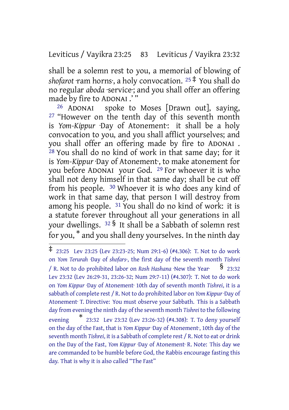Leviticus / Vayikra 23:25 83 Leviticus / Vayikra 23:32

shall be a solemn rest to you, a memorial of blowing of *shofarot* ·ram horns·, a holy convocation. <sup>25</sup> ‡ You shall do no regular *aboda* ·service·; and you shall offer an offering made by fire to ADONAI .' "

26 ADONAI spoke to Moses [Drawn out], saying, <sup>27</sup> "However on the tenth day of this seventh month is *Yom-Kippur* ·Day of Atonement·: it shall be a holy convocation to you, and you shall afflict yourselves; and you shall offer an offering made by fire to ADONAI . 28 You shall do no kind of work in that same day; for it is *Yom-Kippur* ·Day of Atonement·, to make atonement for you before ADONAI your God. 29 For whoever it is who shall not deny himself in that same day; shall be cut off from his people. 30 Whoever it is who does any kind of work in that same day, that person I will destroy from among his people. 31 You shall do no kind of work: it is a statute forever throughout all your generations in all your dwellings. <sup>32</sup> § It shall be a Sabbath of solemn rest for you, \* and you shall deny yourselves. In the ninth day

<sup>‡</sup> 23:25 Lev 23:25 (Lev 23:23-25; Num 29:1-6) (#4.306): T. Not to do work on *Yom Terurah* ·Day of *shofars·*, the first day of the seventh month *Tishrei* / R. Not to do prohibited labor on *Rosh Hashana* ·New the Year· § 23:32 Lev 23:32 (Lev 26:29-31, 23:26-32; Num 29:7-11) (#4.307): T. Not to do work on *Yom Kippur* ·Day of Atonement· 10th day of seventh month *Tishrei*, it is a sabbath of complete rest / R. Not to do prohibited labor on *Yom Kippur* ·Day of Atonement· T. Directive: You must observe your Sabbath. This is a Sabbath day from evening the ninth day of the seventh month *Tishrei* to the following evening \* 23:32 Lev 23:32 (Lev 23:26-32) (#4.308): T. To deny yourself on the day of the Fast, that is *Yom Kippur* ·Day of Atonement·, 10th day of the seventh month *Tishrei*, it is a Sabbath of complete rest / R. Not to eat or drink on the Day of the Fast, *Yom Kippur* ·Day of Atonement· R. Note: This day we are commanded to be humble before God, the Rabbis encourage fasting this day. That is why it is also called "The Fast"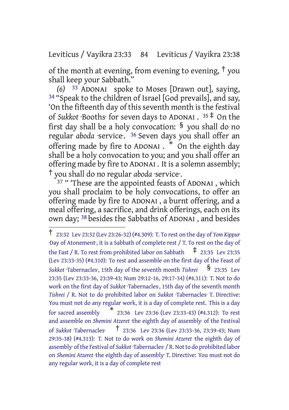Leviticus / Vayikra 23:33 84 Leviticus / Vayikra 23:38

of the month at evening, from evening to evening,  $\dagger$  you shall keep your Sabbath."

*(6)* 33 ADONAI spoke to Moses [Drawn out], saying, <sup>34</sup> "Speak to the children of Israel [God prevails], and say, 'On the fifteenth day of this seventh month is the festival of *Sukkot* ·Booths· for seven days to ADONAI . <sup>35</sup> ‡ On the first day shall be a holy convocation:  $\frac{6}{5}$  you shall do no regular *aboda* ·service·. 36 Seven days you shall offer an offering made by fire to ADONAI . \* On the eighth day shall be a holy convocation to you; and you shall offer an offering made by fire to ADONAI . It is a solemn assembly; † you shall do no regular *aboda* ·service·.

<sup>37</sup> " 'These are the appointed feasts of ADONAI , which you shall proclaim to be holy convocations, to offer an offering made by fire to ADONAI , a burnt offering, and a meal offering, a sacrifice, and drink offerings, each on its own day; 38 besides the Sabbaths of ADONAI , and besides

<sup>†</sup> 23:32 Lev 23:32 (Lev 23:26-32) (#4.309): T. To rest on the day of *Yom Kippur* ·Day of Atonement·, it is a Sabbath of complete rest / T. To rest on the day of the Fast / R. To rest from prohibited labor on Sabbath  $\pm$  23:35 Lev 23:35 (Lev 23:33-35) (#4.310): To rest and assemble on the first day of the Feast of *Sukkot* ·Tabernacles·, 15th day of the seventh month *Tishrei* § 23:35 Lev 23:35 (Lev 23:33-36, 23:39-43; Num 29:12-16, 29:17-34) (#4.311): T. Not to do work on the first day of *Sukkot* ·Tabernacles·, 15th day of the seventh month *Tishrei* / R. Not to do prohibited labor on *Sukkot* ·Tabernacles· T. Directive: You must not do any regular work, it is a day of complete rest. This is a day for sacred assembly  $*$  23:36 Lev 23:36 (Lev 23:33-43) (#4.312): To rest and assemble on *Shemini Atzeret* ·the eighth day of assembly· of the Festival of *Sukkot* ·Tabernacles· † 23:36 Lev 23:36 (Lev 23:33-36, 23:39-43; Num 29:35-38) (#4.313): T. Not to do work on *Shemini Atzeret* ·the eighth day of assembly· of the Festival of *Sukkot* ·Tabernacles· / R. Not to do prohibited labor on *Shemini Atzeret* ·the eighth day of assembly· T. Directive: You must not do any regular work, it is a day of complete rest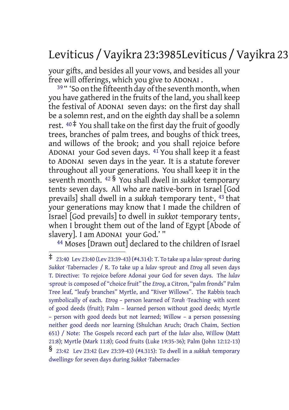# Leviticus /Vayikra 23:3985Leviticus /Vayikra 23:44

your gifts, and besides all your vows, and besides all your free will offerings, which you give to ADONAI .

 $39$  " 'So on the fifteenth day of the seventh month, when you have gathered in the fruits of the land, you shall keep the festival of ADONAI seven days: on the first day shall be a solemn rest, and on the eighth day shall be a solemn rest.  $40 \div$  You shall take on the first day the fruit of goodly trees, branches of palm trees, and boughs of thick trees, and willows of the brook; and you shall rejoice before ADONAI your God seven days. 41 You shall keep it a feast to ADONAI seven days in the year. It is a statute forever throughout all your generations. You shall keep it in the seventh month. <sup>42</sup> § You shall dwell in *sukkot* ·temporary tents· seven days. All who are native-born in Israel [God prevails] shall dwell in a *sukkah* ·temporary tent·, 43 that your generations may know that I made the children of Israel [God prevails] to dwell in *sukkot* ·temporary tents·, when I brought them out of the land of Egypt [Abode of slavery]. I am ADONAI your God.' "

44 Moses [Drawn out] declared to the children of Israel

<sup>‡</sup> 23:40 Lev 23:40 (Lev 23:39-43) (#4.314): T. To take up <sup>a</sup> *lulav* ·sprout· during *Sukkot* ·Tabernacles· / R. To take up a *lulav* ·sprout· and *Etrog* all seven days T. Directive: To rejoice before Adonai your God for seven days. The *lulav* ·sprout· is composed of "choice fruit" the *Etrog*, a Citron, "palm fronds" Palm Tree leaf, "leafy branches" Myrtle, and "River Willows". The Rabbis teach symbolically of each. *Etrog* – person learned of *Torah* ·Teaching· with scent of good deeds (fruit); Palm – learned person without good deeds; Myrtle – person with good deeds but not learned; Willow – a person possessing neither good deeds nor learning (Shulchan Aruch; Orach Chaim, Section 651) / Note: The Gospels record each part of the *lulav* also, Willow (Matt 21:8); Myrtle (Mark 11:8); Good fruits (Luke 19:35-36); Palm (John 12:12-13) § 23:42 Lev 23:42 (Lev 23:39-43) (#4.315): To dwell in <sup>a</sup> *sukkah* ·temporary dwellings· for seven days during *Sukkot* ·Tabernacles·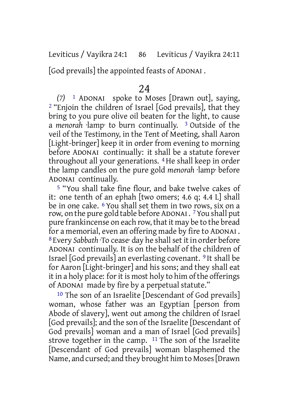Leviticus / Vayikra 24:1 86 Leviticus / Vayikra 24:11

[God prevails] the appointed feasts of ADONAI .

# 24

*(7)* 1 ADONAI spoke to Moses [Drawn out], saying, 2 "Enjoin the children of Israel [God prevails], that they bring to you pure olive oil beaten for the light, to cause a *menorah* ·lamp· to burn continually. 3 Outside of the veil of the Testimony, in the Tent of Meeting, shall Aaron [Light-bringer] keep it in order from evening to morning before ADONAI continually: it shall be a statute forever throughout all your generations. 4 He shall keep in order the lamp candles on the pure gold *menorah* ·lamp· before ADONAI continually.

5 "You shall take fine flour, and bake twelve cakes of it: one tenth of an ephah [two omers; 4.6 q; 4.4 L] shall be in one cake. 6 You shall set them in two rows, six on a row, on the pure gold table before ADONAI . 7You shall put pure frankincense on each row, that it may be to the bread for a memorial, even an offering made by fire to ADONAI . 8 Every *Sabbath* ·To cease· day he shallset it in order before ADONAI continually. It is on the behalf of the children of Israel [God prevails] an everlasting covenant. 9 It shall be for Aaron [Light-bringer] and his sons; and they shall eat it in a holy place: for it is most holy to him of the offerings of ADONAI made by fire by a perpetual statute."

10 The son of an Israelite [Descendant of God prevails] woman, whose father was an Egyptian [person from Abode of slavery], went out among the children of Israel [God prevails]; and the son of the Israelite [Descendant of God prevails] woman and a man of Israel [God prevails] strove together in the camp. 11 The son of the Israelite [Descendant of God prevails] woman blasphemed the Name, and cursed; and they brought him to Moses[Drawn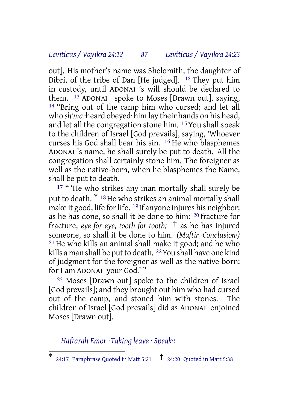#### *Leviticus / Vayikra 24:12 87 Leviticus / Vayikra 24:23*

out]. His mother's name was Shelomith, the daughter of Dibri, of the tribe of Dan [He judged].  $12$  They put him in custody, until ADONAI 's will should be declared to them. 13 ADONAI spoke to Moses [Drawn out], saying, 14 "Bring out of the camp him who cursed; and let all who *sh'ma* ·heard obeyed· him lay their hands on his head, and let all the congregation stone him. 15 You shall speak to the children of Israel [God prevails], saying, 'Whoever curses his God shall bear his sin. 16 He who blasphemes ADONAI 's name, he shall surely be put to death. All the congregation shall certainly stone him. The foreigner as well as the native-born, when he blasphemes the Name, shall be put to death.

<sup>17</sup> "'He who strikes any man mortally shall surely be put to death.  $*$ <sup>18</sup> He who strikes an animal mortally shall make it good, life for life. <sup>19</sup> If anyone injures his neighbor; as he has done, so shall it be done to him: 20 fracture for fracture, *eye for eye, tooth for tooth;* † as he has injured someone, so shall it be done to him. *(Maftir ·Conclusion·)* 21 He who kills an animal shall make it good; and he who kills a man shall be put to death. <sup>22</sup> You shall have one kind of judgment for the foreigner as well as the native-born; for I am ADONAI your God.' "

23 Moses [Drawn out] spoke to the children of Israel [God prevails]; and they brought out him who had cursed out of the camp, and stoned him with stones. The children of Israel [God prevails] did as ADONAI enjoined Moses [Drawn out].

*Haftarah Emor ·Taking leave · Speak·:*

<sup>\*</sup> 24:17 Paraphrase Quoted in Matt 5:21  $\uparrow$  24:20 Quoted in Matt 5:38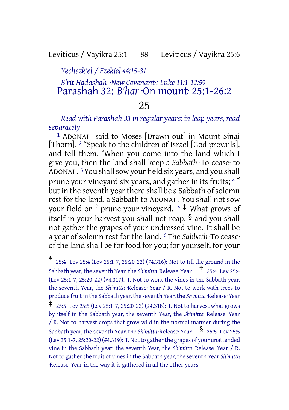# Leviticus / Vayikra 25:1 88 Leviticus / Vayikra 25:6

#### *Yechezk'el / Ezekiel 44:15-31*

# *B'rit Hadashah ·New Covenant·: Luke 11:1-12:59* Parashah 32: *B'har* ·On mount· 25:1-26:2

# 25

#### *Read with Parashah 33 in regular years; in leap years, read separately*

1 ADONAI said to Moses [Drawn out] in Mount Sinai [Thorn], 2 "Speak to the children of Israel [God prevails], and tell them, 'When you come into the land which I give you, then the land shall keep a *Sabbath* ·To cease· to ADONAI . <sup>3</sup> You shall sow your field six years, and you shall prune your vineyard six years, and gather in its fruits; <sup>4\*</sup> but in the seventh year there shall be a Sabbath of solemn rest for the land, a Sabbath to ADONAI . You shall not sow your field or  $\dagger$  prune your vineyard.  $5 \ddot{+}$  What grows of itself in your harvest you shall not reap, § and you shall not gather the grapes of your undressed vine. It shall be a year of solemn rest for the land. 6 The *Sabbath* ·To cease· of the land shall be for food for you; for yourself, for your

<sup>\*</sup> 25:4 Lev 25:4 (Lev 25:1-7, 25:20-22) (#4.316): Not to till the ground in the Sabbath year, the seventh Year, the *Sh'mitta* ·Release· Year <sup>†</sup> 25:4 Lev 25:4 (Lev 25:1-7, 25:20-22) (#4.317): T. Not to work the vines in the Sabbath year, the seventh Year, the *Sh'mitta* ·Release· Year / R. Not to work with trees to produce fruit in the Sabbath year, the seventh Year, the *Sh'mitta* ·Release· Year ‡ 25:5 Lev 25:5 (Lev 25:1-7, 25:20-22) (#4.318): T. Not to harvest what grows by itself in the Sabbath year, the seventh Year, the *Sh'mitta* ·Release· Year / R. Not to harvest crops that grow wild in the normal manner during the Sabbath year, the seventh Year, the *Sh'mitta* ·Release· Year **§** 25:5 Lev 25:5 (Lev 25:1-7, 25:20-22) (#4.319): T. Not to gather the grapes of your unattended vine in the Sabbath year, the seventh Year, the *Sh'mitta* ·Release· Year / R. Not to gather the fruit of vines in the Sabbath year, the seventh Year Sh'mitta ·Release· Year in the way it is gathered in all the other years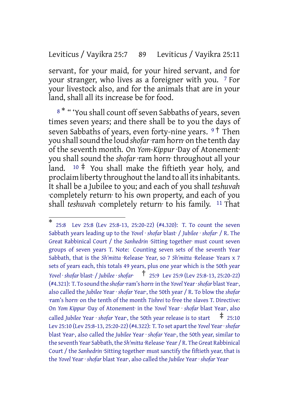#### Leviticus / Vayikra 25:7 89 Leviticus / Vayikra 25:11

servant, for your maid, for your hired servant, and for your stranger, who lives as a foreigner with you. 7 For your livestock also, and for the animals that are in your land, shall all its increase be for food.

8<sup>\*</sup> " 'You shall count off seven Sabbaths of years, seven times seven years; and there shall be to you the days of seven Sabbaths of years, even forty-nine years. <sup>9†</sup> Then you shallsound the loud *shofar*·ram horn· on the tenth day of the seventh month. On *Yom-Kippur* ·Day of Atonement· you shall sound the *shofar* ·ram horn· throughout all your land.  $10 \div$  You shall make the fiftieth year holy, and proclaim liberty throughout the land to all its inhabitants. It shall be a Jubilee to you; and each of you shall *teshuvah* ·completely return· to his own property, and each of you shall *teshuvah* ·completely return· to his family. 11 That

<sup>\*</sup> 25:8 Lev 25:8 (Lev 25:8-13, 25:20-22) (#4.320): T. To count the seven Sabbath years leading up to the *Yovel* · *shofar* blast· / *Jubilee* · *shofar*· / R. The Great Rabbinical Court / the *Sanhedrin* ·Sitting together· must count seven groups of seven years T. Note: Counting seven sets of the seventh Year Sabbath, that is the *Sh'mitta* ·Release· Year, so 7 *Sh'mitta* ·Release· Years x 7 sets of years each, this totals 49 years, plus one year which is the 50th year *Yovel* · *shofar* blast· / *Jubilee* · *shofar*· † 25:9 Lev 25:9 (Lev 25:8-13, 25:20-22) (#4.321): T. To sound the *shofar*·ram's horn· in the *Yovel* Year·*shofar* blast Year·, also called the *Jubilee* Year · *shofar* Year·, the 50th year / R. To blow the *shofar* ·ram's horn· on the tenth of the month *Tishrei* to free the slaves T. Directive: On *Yom Kippur* ·Day of Atonement· in the *Yovel* Year · *shofar* blast Year·, also called *Jubilee* Year · *shofar* Year, the 50th year release is to start  $\pm$  25:10 Lev 25:10 (Lev 25:8-13, 25:20-22) (#4.322): T. To set apart the *Yovel* Year· *shofar* blast Year·, also called the *Jubilee* Year · *shofar* Year·, the 50th year, similar to the seventh Year Sabbath, the *Sh'mitta* ·Release· Year / R. The Great Rabbinical Court / the *Sanhedrin* ·Sitting together· must sanctify the fiftieth year, that is the *Yovel* Year · *shofar* blast Year·, also called the *Jubilee* Year · *shofar* Year·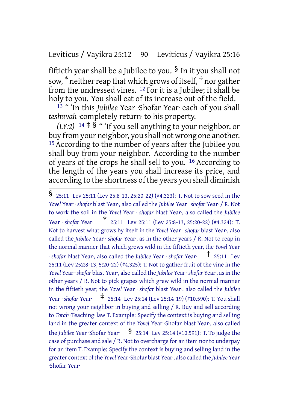# Leviticus / Vayikra 25:12 90 Leviticus / Vayikra 25:16

fiftieth year shall be a Jubilee to you.  $\frac{1}{2}$  In it you shall not sow,  $^*$  neither reap that which grows of itself,  $^\dagger$  nor gather from the undressed vines. 12 For it is a Jubilee; it shall be holy to you. You shall eat of its increase out of the field.

13 " 'In this *Jubilee* Year ·Shofar Year· each of you shall *teshuvah* ·completely return· to his property.

*(LY:2)*  $14 \neq 8$  " *If you sell anything to your neighbor, or* buy from your neighbor, you shall not wrong one another. 15 According to the number of years after the Jubilee you shall buy from your neighbor. According to the number of years of the crops he shall sell to you. 16 According to the length of the years you shall increase its price, and according to the shortness of the years you shall diminish

<sup>§</sup> 25:11 Lev 25:11 (Lev 25:8-13, 25:20-22) (#4.323): T. Not to sow seed in the *Yovel* Year · *shofar* blast Year·, also called the *Jubilee* Year · *shofar* Year· / R. Not to work the soil in the *Yovel* Year · *shofar* blast Year·, also called the *Jubilee* Year · *shofar* Year· \* 25:11 Lev 25:11 (Lev 25:8-13, 25:20-22) (#4.324): T. Not to harvest what grows by itself in the *Yovel* Year · *shofar* blast Year·, also called the *Jubilee* Year · *shofar* Year·, as in the other years / R. Not to reap in the normal manner that which grows wild in the fiftieth year, the *Yovel* Year · *shofar* blast Year·, also called the *Jubilee* Year · *shofar* Year· † 25:11 Lev 25:11 (Lev 252:8-13, 5:20-22) (#4.325): T. Not to gather fruit of the vine in the *Yovel* Year· *shofar* blast Year·, also called the *Jubilee* Year· *shofar* Year·, asin the other years / R. Not to pick grapes which grew wild in the normal manner in the fiftieth year, the *Yovel* Year · *shofar* blast Year·, also called the *Jubilee* Year · *shofar* Year· ‡ 25:14 Lev 25:14 (Lev 25:14-19) (#10.590): T. You shall not wrong your neighbor in buying and selling / R. Buy and sell according to *Torah* ·Teaching· law T. Example: Specify the context is buying and selling land in the greater context of the *Yovel* Year ·Shofar blast Year·, also called the *Jubilee* Year ·Shofar Year<sup>.</sup>  $\frac{1}{25:14}$  Lev 25:14 (#10.591): T. To judge the case of purchase and sale / R. Not to overcharge for an item nor to underpay for an item T. Example: Specify the context is buying and selling land in the greater context ofthe *Yovel* Year·Shofar blast Year·, also called the *Jubilee* Year ·Shofar Year·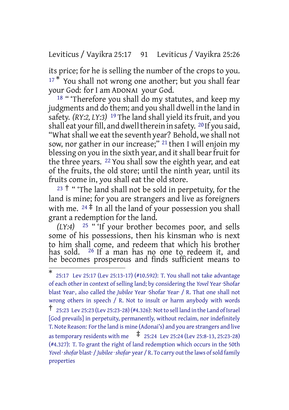Leviticus / Vayikra 25:17 91 Leviticus / Vayikra 25:26

its price; for he is selling the number of the crops to you.  $17 *$  You shall not wrong one another; but you shall fear your God: for I am ADONAI your God.

18 " 'Therefore you shall do my statutes, and keep my judgments and do them; and you shall dwell in the land in safety. *(RY:2, LY:3)* 19 The land shall yield its fruit, and you shall eat your fill, and dwell therein in safety. <sup>20</sup> If you said, "What shall we eat the seventh year? Behold, we shall not sow, nor gather in our increase;" 21 then I will enjoin my blessing on you in the sixth year, and it shall bear fruit for the three years. 22 You shall sow the eighth year, and eat of the fruits, the old store; until the ninth year, until its fruits come in, you shall eat the old store.

 $23 +$  " The land shall not be sold in perpetuity, for the land is mine; for you are strangers and live as foreigners with me.  $24 \div \text{In all the land of your possession you shall}$ grant a redemption for the land.

*(LY:4)* 25 " 'If your brother becomes poor, and sells some of his possessions, then his kinsman who is next to him shall come, and redeem that which his brother has sold. 26 If a man has no one to redeem it, and he becomes prosperous and finds sufficient means to

<sup>\*</sup> 25:17 Lev 25:17 (Lev 25:13-17) (#10.592): T. You shall not take advantage of each other in context of selling land; by considering the *Yovel* Year ·Shofar blast Year·, also called the *Jubilee* Year ·Shofar Year· / R. That one shall not wrong others in speech / R. Not to insult or harm anybody with words  $\dagger$  25:23 Lev 25:23 (Lev 25:23-28) (#4.326): Not to sell land in the Land of Israel [God prevails] in perpetuity, permanently, without reclaim, nor indefinitely T. Note Reason: For the land is mine (Adonai's) and you are strangers and live as temporary residents with me  $\frac{1}{4}$  25:24 Lev 25:24 (Lev 25:8-13, 25:23-28) (#4.327): T. To grant the right of land redemption which occurs in the 50th *Yovel* ·*shofar* blast· / *Jubilee*·*shofar*· year / R. To carry outthe laws ofsold family properties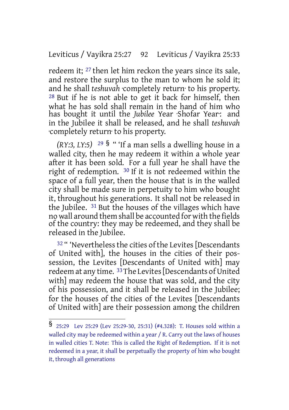# Leviticus / Vayikra 25:27 92 Leviticus / Vayikra 25:33

redeem it; 27 then let him reckon the years since its sale, and restore the surplus to the man to whom he sold it; and he shall *teshuvah* ·completely return· to his property. 28 But if he is not able to get it back for himself, then what he has sold shall remain in the hand of him who has bought it until the *Jubilee* Year ·Shofar Year·: and in the Jubilee it shall be released, and he shall *teshuvah* ·completely return· to his property.

*(RY:3, LY:5)* <sup>29</sup> § " 'If a man sells a dwelling house in a walled city, then he may redeem it within a whole year after it has been sold. For a full year he shall have the right of redemption. 30 If it is not redeemed within the space of a full year, then the house that is in the walled city shall be made sure in perpetuity to him who bought it, throughout his generations. It shall not be released in the Jubilee. 31 But the houses of the villages which have no wall around them shall be accounted for with the fields of the country: they may be redeemed, and they shall be released in the Jubilee.

<sup>32</sup> " 'Nevertheless the cities of the Levites [Descendants of United with], the houses in the cities of their possession, the Levites [Descendants of United with] may redeem at any time. <sup>33</sup>The Levites [Descendants of United with] may redeem the house that was sold, and the city of his possession, and it shall be released in the Jubilee; for the houses of the cities of the Levites [Descendants of United with] are their possession among the children

<sup>§</sup> 25:29 Lev 25:29 (Lev 25:29-30, 25:31) (#4.328): T. Houses sold within <sup>a</sup> walled city may be redeemed within a year / R. Carry out the laws of houses in walled cities T. Note: This is called the Right of Redemption. If it is not redeemed in a year, it shall be perpetually the property of him who bought it, through all generations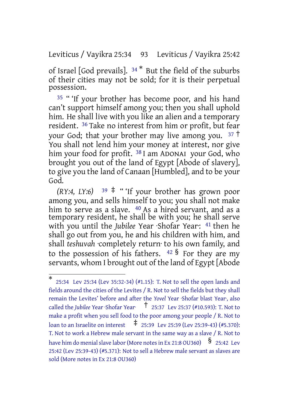Leviticus / Vayikra 25:34 93 Leviticus / Vayikra 25:42

of Israel [God prevails]. <sup>34</sup> \* But the field of the suburbs of their cities may not be sold; for it is their perpetual possession.

<sup>35</sup> " 'If your brother has become poor, and his hand can't support himself among you; then you shall uphold him. He shall live with you like an alien and a temporary resident. 36 Take no interest from him or profit, but fear your God; that your brother may live among you.  $37 \text{ }^{\circ}$ You shall not lend him your money at interest, nor give him your food for profit. <sup>38</sup> I am ADONAI your God, who brought you out of the land of Egypt [Abode of slavery], to give you the land of Canaan [Humbled], and to be your God.

*(RY:4, LY:6)*  $39 \div$  "*if your brother has grown poor* among you, and sells himself to you; you shall not make him to serve as a slave. <sup>40</sup> As a hired servant, and as a temporary resident, he shall be with you; he shall serve with you until the *Jubilee* Year ·Shofar Year·: 41 then he shall go out from you, he and his children with him, and shall *teshuvah* ·completely return· to his own family, and to the possession of his fathers.  $42 \text{ }$  For they are my servants, whom I brought out of the land of Egypt [Abode

<sup>\*</sup> 25:34 Lev 25:34 (Lev 35:32-34) (#1.15): T. Not to sell the open lands and fields around the cities of the Levites / R. Not to sell the fields but they shall remain the Levites' before and after the *Yovel* Year ·Shofar blast Year·, also called the *Jubilee* Year ·Shofar Year· † 25:37 Lev 25:37 (#10.593): T. Not to make a profit when you sell food to the poor among your people / R. Not to loan to an Israelite on interest  $\frac{1}{4}$  25:39 Lev 25:39 (Lev 25:39-43) (#5.370): T. Not to work a Hebrew male servant in the same way as a slave / R. Not to have him do menial slave labor (More notes in Ex 21:8 OU360)  $\frac{\$}{}$  25:42 Lev 25:42 (Lev 25:39-43) (#5.371): Not to sell a Hebrew male servant as slaves are sold (More notes in Ex 21:8 OU360)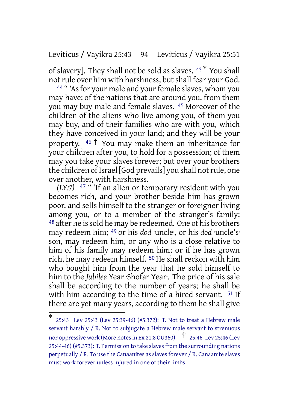#### Leviticus / Vayikra 25:43 94 Leviticus / Vayikra 25:51

of slavery]. They shall not be sold as slaves. <sup>43</sup> \* You shall not rule over him with harshness, but shall fear your God.

<sup>44</sup> " 'As for your male and your female slaves, whom you may have; of the nations that are around you, from them you may buy male and female slaves. 45 Moreover of the children of the aliens who live among you, of them you may buy, and of their families who are with you, which they have conceived in your land; and they will be your property.  $46 \dagger$  You may make them an inheritance for your children after you, to hold for a possession; of them may you take your slaves forever; but over your brothers the children of Israel [God prevails] you shall notrule, one over another, with harshness.

*(LY:7)* 47 " 'If an alien or temporary resident with you becomes rich, and your brother beside him has grown poor, and sells himself to the stranger or foreigner living among you, or to a member of the stranger's family; 48 after he is sold he may be redeemed. One of his brothers may redeem him; 49 or his *dod* ·uncle·, or his *dod* ·uncle's· son, may redeem him, or any who is a close relative to him of his family may redeem him; or if he has grown rich, he may redeem himself. <sup>50</sup> He shall reckon with him who bought him from the year that he sold himself to him to the *Jubilee* Year ·Shofar Year·. The price of his sale shall be according to the number of years; he shall be with him according to the time of a hired servant. <sup>51</sup> If there are yet many years, according to them he shall give

<sup>\*</sup> 25:43 Lev 25:43 (Lev 25:39-46) (#5.372): T. Not to treat a Hebrew male servant harshly / R. Not to subjugate a Hebrew male servant to strenuous nor oppressive work (More notes in Ex 21:8 OU360)  $\uparrow$  25:46 Lev 25:46 (Lev 25:44-46) (#5.373): T. Permission to take slaves from the surrounding nations perpetually / R. To use the Canaanites as slaves forever / R. Canaanite slaves must work forever unless injured in one of their limbs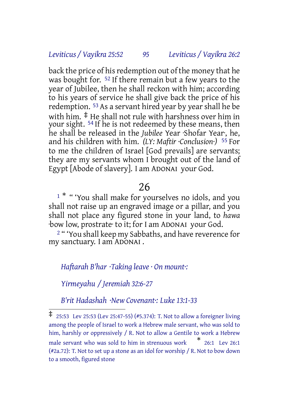# *Leviticus / Vayikra 25:52 95 Leviticus / Vayikra 26:2*

back the price of his redemption out of the money that he was bought for. <sup>52</sup> If there remain but a few years to the year of Jubilee, then he shall reckon with him; according to his years of service he shall give back the price of his redemption. 53 As a servant hired year by year shall he be with him. ‡ He shall not rule with harshness over him in your sight. <sup>54</sup> If he is not redeemed by these means, then he shall be released in the *Jubilee* Year ·Shofar Year·, he, and his children with him. *(LY: Maftir ·Conclusion·)* 55 For to me the children of Israel [God prevails] are servants; they are my servants whom I brought out of the land of Egypt [Abode of slavery]. I am ADONAI your God.

#### 26

<sup>1</sup> \* " 'You shall make for yourselves no idols, and you shall not raise up an engraved image or a pillar, and you shall not place any figured stone in your land, to *hawa* ·bow low, prostrate· to it; for I am ADONAI your God.

<sup>2</sup> "You shall keep my Sabbaths, and have reverence for my sanctuary. I am ADONAI .

#### *Haftarah B'har ·Taking leave · On mount·:*

*Yirmeyahu / Jeremiah 32:6-27*

*B'rit Hadashah ·New Covenant·: Luke 13:1-33*

<sup>‡</sup> 25:53 Lev 25:53 (Lev 25:47-55) (#5.374): T. Not to allow <sup>a</sup> foreigner living among the people of Israel to work a Hebrew male servant, who was sold to him, harshly or oppressively / R. Not to allow a Gentile to work a Hebrew male servant who was sold to him in strenuous work \* 26:1 Lev 26:1 (#2a.72): T. Not to set up a stone as an idol for worship / R. Not to bow down to a smooth, figured stone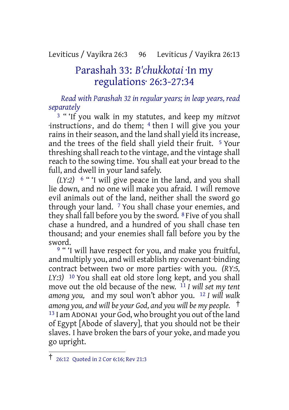# Leviticus / Vayikra 26:3 96 Leviticus / Vayikra 26:13

# Parashah 33: *B'chukkotai* ·In my regulations· 26:3-27:34

*Read with Parashah 32 in regular years; in leap years, read separately*

3 " 'If you walk in my statutes, and keep my *mitzvot* ·instructions·, and do them; 4 then I will give you your rains in their season, and the land shall yield its increase, and the trees of the field shall yield their fruit. 5 Your threshing shall reach to the vintage, and the vintage shall reach to the sowing time. You shall eat your bread to the full, and dwell in your land safely.

*(LY:2)* 6 " 'I will give peace in the land, and you shall lie down, and no one will make you afraid. I will remove evil animals out of the land, neither shall the sword go through your land. 7 You shall chase your enemies, and they shall fall before you by the sword. 8 Five of you shall chase a hundred, and a hundred of you shall chase ten thousand; and your enemies shall fall before you by the sword.

<sup>9 ""</sup>I will have respect for you, and make you fruitful, and multiply you, and will establish my covenant ·binding contract between two or more parties· with you. *(RY:5, LY:3)* 10 You shall eat old store long kept, and you shall move out the old because of the new. 11 *I will set my tent among you,* and my soul won't abhor you. 12 *I will walk among you, and will be your God, and you will be my people.* † 13 I am ADONAI your God, who brought you out ofthe land of Egypt [Abode of slavery], that you should not be their slaves. I have broken the bars of your yoke, and made you go upright.

<sup>†</sup> 26:12 Quoted in <sup>2</sup> Cor 6:16; Rev 21:3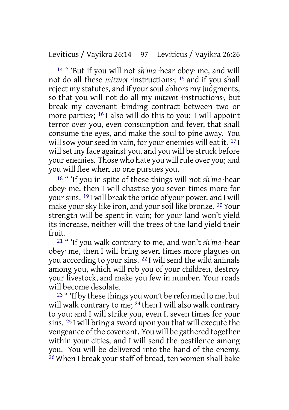14 " 'But if you will not *sh'ma* ·hear obey· me, and will not do all these *mitzvot* ·instructions·; 15 and if you shall reject my statutes, and if your soul abhors my judgments, so that you will not do all my *mitzvot* ·instructions·, but break my covenant ·binding contract between two or more parties; <sup>16</sup> I also will do this to you: I will appoint terror over you, even consumption and fever, that shall consume the eyes, and make the soul to pine away. You will sow your seed in vain, for your enemies will eat it.  $17$  I will set my face against you, and you will be struck before your enemies. Those who hate you will rule over you; and you will flee when no one pursues you.

18 " 'If you in spite of these things will not *sh'ma* ·hear obey· me, then I will chastise you seven times more for yoursins. 19 I will break the pride of your power, and I will make your sky like iron, and your soil like bronze. 20 Your strength will be spent in vain; for your land won't yield its increase, neither will the trees of the land yield their fruit.

21 " 'If you walk contrary to me, and won't *sh'ma* ·hear obey· me, then I will bring seven times more plagues on you according to your sins. 22 I will send the wild animals among you, which will rob you of your children, destroy your livestock, and make you few in number. Your roads will become desolate.

23 " 'If by these things you won't be reformed to me, but will walk contrary to me; <sup>24</sup> then I will also walk contrary to you; and I will strike you, even I, seven times for your sins. 25 I will bring a sword upon you that will execute the vengeance ofthe covenant. You will be gathered together within your cities, and I will send the pestilence among you. You will be delivered into the hand of the enemy. 26 When I break your staff of bread, ten women shall bake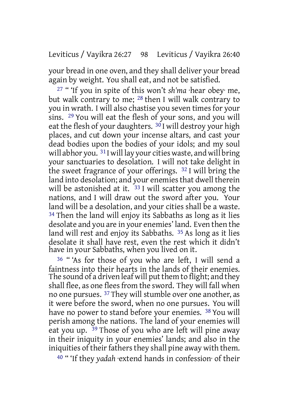your bread in one oven, and they shall deliver your bread again by weight. You shall eat, and not be satisfied.

27 " 'If you in spite of this won't *sh'ma* ·hear obey· me, but walk contrary to me; 28 then I will walk contrary to you in wrath. I will also chastise you seven times for your sins. 29 You will eat the flesh of your sons, and you will eat the flesh of your daughters.  $30$  I will destroy your high places, and cut down your incense altars, and cast your dead bodies upon the bodies of your idols; and my soul will abhor you. <sup>31</sup> I will lay your cities waste, and will bring your sanctuaries to desolation. I will not take delight in the sweet fragrance of your offerings. 32 I will bring the land into desolation; and your enemies that dwell therein will be astonished at it.  $33$  I will scatter you among the nations, and I will draw out the sword after you. Your land will be a desolation, and your cities shall be a waste. 34 Then the land will enjoy its Sabbaths as long as it lies desolate and you are in your enemies' land. Even then the land will rest and enjoy its Sabbaths. 35 As long as it lies desolate it shall have rest, even the rest which it didn't have in your Sabbaths, when you lived on it.

36 " 'As for those of you who are left, I will send a faintness into their hearts in the lands of their enemies. The sound of a driven leaf will put them to flight; and they shall flee, as one flees from the sword. They will fall when no one pursues. 37 They will stumble over one another, as it were before the sword, when no one pursues. You will have no power to stand before your enemies. 38 You will perish among the nations. The land of your enemies will eat you up.  $\frac{39}{9}$  Those of you who are left will pine away in their iniquity in your enemies' lands; and also in the iniquities of their fathers they shall pine away with them.

40 " 'If they *yadah* ·extend hands in confession· of their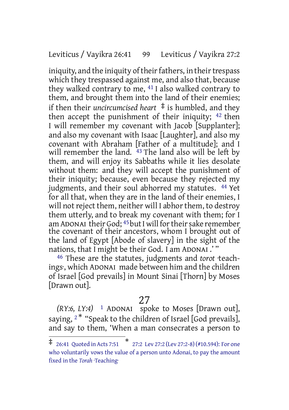#### Leviticus / Vayikra 26:41 99 Leviticus / Vayikra 27:2

iniquity, and the iniquity of their fathers, in their trespass which they trespassed against me, and also that, because they walked contrary to me, 41 I also walked contrary to them, and brought them into the land of their enemies; if then their *uncircumcised* heart  $\ddagger$  is humbled, and they then accept the punishment of their iniquity; 42 then I will remember my covenant with Jacob [Supplanter]; and also my covenant with Isaac [Laughter], and also my covenant with Abraham [Father of a multitude]; and I will remember the land. <sup>43</sup> The land also will be left by them, and will enjoy its Sabbaths while it lies desolate without them: and they will accept the punishment of their iniquity; because, even because they rejected my judgments, and their soul abhorred my statutes. <sup>44</sup> Yet for all that, when they are in the land of their enemies, I will not reject them, neither will I abhor them, to destroy them utterly, and to break my covenant with them; for I am ADONAI their God; <sup>45</sup> but I will for their sake remember the covenant of their ancestors, whom I brought out of the land of Egypt [Abode of slavery] in the sight of the nations, that I might be their God. I am ADONAI .' "

46 These are the statutes, judgments and *torot* ·teachings·, which ADONAI made between him and the children of Israel [God prevails] in Mount Sinai [Thorn] by Moses [Drawn out].

# 27

*(RY:6, LY:4)* 1 ADONAI spoke to Moses [Drawn out], saying,  $2^*$  "Speak to the children of Israel [God prevails], and say to them, 'When a man consecrates a person to

<sup>‡</sup> 26:41 Quoted in Acts 7:51 \* 27:2 Lev 27:2 (Lev 27:2-8) (#10.594): For one who voluntarily vows the value of a person unto Adonai, to pay the amount fixed in the *Torah* ·Teaching·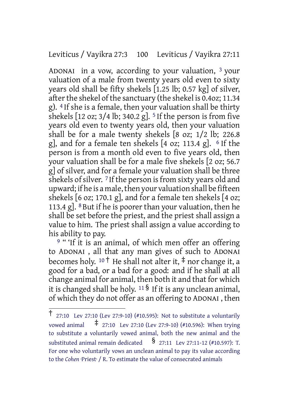Leviticus / Vayikra 27:3 100 Leviticus / Vayikra 27:11

ADONAI in a vow, according to your valuation, 3 your valuation of a male from twenty years old even to sixty years old shall be fifty shekels [1.25 lb; 0.57 kg] of silver, after the shekel of the sanctuary (the shekel is 0.4oz; 11.34 g). 4 If she is a female, then your valuation shall be thirty shekels  $[12 oz; 3/4 lb; 340.2 g]$ . <sup>5</sup> If the person is from five years old even to twenty years old, then your valuation shall be for a male twenty shekels [8 oz; 1/2 lb; 226.8 g], and for a female ten shekels  $[4 \text{ oz}; 113.4 \text{ g}]$ .  $\epsilon$  If the person is from a month old even to five years old, then your valuation shall be for a male five shekels [2 oz; 56.7 g] of silver, and for a female your valuation shall be three shekels of silver. <sup>7</sup> If the person is from sixty years old and upward; if he is a male, then your valuation shall be fifteen shekels [6 oz; 170.1 g], and for a female ten shekels [4 oz; 113.4 g].  $8$  But if he is poorer than your valuation, then he shall be set before the priest, and the priest shall assign a value to him. The priest shall assign a value according to his ability to pay.

<sup>9</sup> "'If it is an animal, of which men offer an offering to ADONAI , all that any man gives of such to ADONAI becomes holy. <sup>10</sup> † He shall not alter it, ‡ nor change it, a good for a bad, or a bad for a good: and if he shall at all change animal for animal, then both it and that for which it is changed shall be holy.  $11\frac{1}{5}$  If it is any unclean animal, of which they do not offer as an offering to ADONAI , then

<sup>†</sup> 27:10 Lev 27:10 (Lev 27:9-10) (#10.595): Not to substitute <sup>a</sup> voluntarily vowed animal ‡ 27:10 Lev 27:10 (Lev 27:9-10) (#10.596): When trying to substitute a voluntarily vowed animal, both the new animal and the substituted animal remain dedicated  $\frac{1}{27:11}$  Lev 27:11-12 (#10.597): T. For one who voluntarily vows an unclean animal to pay its value according to the *Cohen* ·Priest· / R. To estimate the value of consecrated animals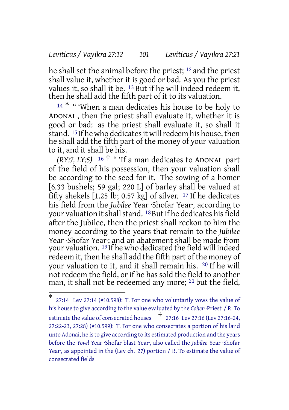#### *Leviticus / Vayikra 27:12 101 Leviticus / Vayikra 27:21*

he shall set the animal before the priest; 12 and the priest shall value it, whether it is good or bad. As you the priest values it, so shall it be. 13 But if he will indeed redeem it, then he shall add the fifth part of it to its valuation.

<sup>14 \*</sup> " 'When a man dedicates his house to be holy to ADONAI , then the priest shall evaluate it, whether it is good or bad: as the priest shall evaluate it, so shall it stand. <sup>15</sup> If he who dedicates it will redeem his house, then he shall add the fifth part of the money of your valuation to it, and it shall be his.

*(RY:7, LY:5)* <sup>16</sup> † " 'If a man dedicates to ADONAI part of the field of his possession, then your valuation shall be according to the seed for it. The sowing of a homer [6.33 bushels; 59 gal; 220 L] of barley shall be valued at fifty shekels [1.25 lb; 0.57 kg] of silver. 17 If he dedicates his field from the *Jubilee* Year ·Shofar Year·, according to your valuation it shall stand. <sup>18</sup> But if he dedicates his field after the Jubilee, then the priest shall reckon to him the money according to the years that remain to the *Jubilee* Year ·Shofar Year·; and an abatement shall be made from your valuation. 19 If he who dedicated the field will indeed redeem it, then he shall add the fifth part of the money of your valuation to it, and it shall remain his. 20 If he will not redeem the field, or if he has sold the field to another man, it shall not be redeemed any more; <sup>21</sup> but the field,

<sup>\*</sup> 27:14 Lev 27:14 (#10.598): T. For one who voluntarily vows the value of his house to give according to the value evaluated by the *Cohen* ·Priest· / R. To estimate the value of consecrated houses † 27:16 Lev 27:16 (Lev 27:16-24, 27:22-23, 27:28) (#10.599): T. For one who consecrates a portion of his land unto Adonai, he isto give according to its estimated production and the years before the *Yovel* Year ·Shofar blast Year·, also called the *Jubilee* Year ·Shofar Year<sup>,</sup> as appointed in the (Lev ch. 27) portion / R. To estimate the value of consecrated fields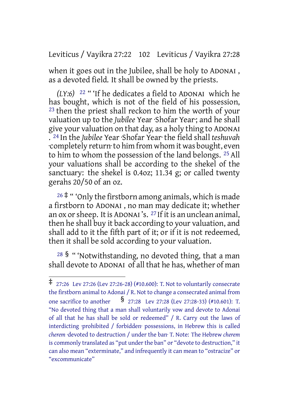Leviticus / Vayikra 27:22 102 Leviticus / Vayikra 27:28

when it goes out in the Jubilee, shall be holy to ADONAI , as a devoted field. It shall be owned by the priests.

*(LY:6)* 22 " 'If he dedicates a field to ADONAI which he has bought, which is not of the field of his possession, <sup>23</sup> then the priest shall reckon to him the worth of your valuation up to the *Jubilee* Year ·Shofar Year·; and he shall give your valuation on that day, as a holy thing to ADONAI . 24 In the *Jubilee* Year ·Shofar Year· the field shall *teshuvah* ·completely return·to him from whom it was bought, even to him to whom the possession of the land belongs. 25 All your valuations shall be according to the shekel of the sanctuary: the shekel is 0.4oz; 11.34 g; or called twenty gerahs 20/50 of an oz.

 $26 \ddagger$  " 'Only the firstborn among animals, which is made a firstborn to ADONAI , no man may dedicate it; whether an ox or sheep. It is ADONAI's. <sup>27</sup> If it is an unclean animal, then he shall buy it back according to your valuation, and shall add to it the fifth part of it; or if it is not redeemed, then it shall be sold according to your valuation.

 $28\,$  § " 'Notwithstanding, no devoted thing, that a man shall devote to ADONAI of all that he has, whether of man

<sup>‡</sup> 27:26 Lev 27:26 (Lev 27:26-28) (#10.600): T. Not to voluntarily consecrate the firstborn animal to Adonai / R. Not to change a consecrated animal from one sacrifice to another § 27:28 Lev 27:28 (Lev 27:28-33) (#10.601): T. "No devoted thing that a man shall voluntarily vow and devote to Adonai of all that he has shall be sold or redeemed" / R. Carry out the laws of interdicting ·prohibited / forbidden· possessions, in Hebrew this is called *cherem* ·devoted to destruction / under the ban· T. Note: The Hebrew *cherem* is commonly translated as "put under the ban" or "devote to destruction," it can also mean "exterminate," and infrequently it can mean to "ostracize" or "excommunicate"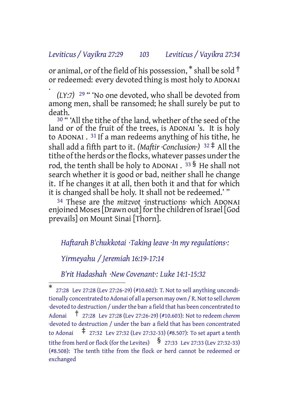# *Leviticus / Vayikra 27:29 103 Leviticus / Vayikra 27:34*

or animal, or of the field of his possession,  $*$  shall be sold  $\dagger$ or redeemed: every devoted thing is most holy to ADONAI .

*(LY:7)* 29 " 'No one devoted, who shall be devoted from among men, shall be ransomed; he shall surely be put to death.

<sup>30</sup> " 'All the tithe of the land, whether of the seed of the land or of the fruit of the trees, is ADONAI 's. It is holy to ADONAI . 31 If a man redeems anything of his tithe, he shall add a fifth part to it. *(Maftir ·Conclusion·)* <sup>32</sup> ‡ All the tithe of the herds or the flocks, whatever passes under the rod, the tenth shall be holy to ADONAI . <sup>33</sup> § He shall not search whether it is good or bad, neither shall he change it. If he changes it at all, then both it and that for which it is changed shall be holy. It shall not be redeemed.' "

34 These are the *mitzvot* ·instructions· which ADONAI enjoined Moses[Drawn out] forthe children of Israel [God prevails] on Mount Sinai [Thorn].

#### *Haftarah B'chukkotai ·Taking leave ·In my regulations·:*

*Yirmeyahu / Jeremiah 16:19-17:14*

*B'rit Hadashah ·New Covenant·: Luke 14:1-15:32*

<sup>\*</sup> 27:28 Lev 27:28 (Lev 27:26-29) (#10.602): T. Not to sell anything unconditionally concentrated to Adonai of all a person may own / R.Notto sell*cherem* ·devoted to destruction / underthe ban· a field that has been concentrated to Adonai † 27:28 Lev 27:28 (Lev 27:26-29) (#10.603): Not to redeem *cherem* ·devoted to destruction / under the ban· a field that has been concentrated to Adonai  $\pm$  27:32 Lev 27:32 (Lev 27:32-33) (#8.507): To set apart a tenth tithe from herd or flock (for the Levites)  $\int$  27:33 Lev 27:33 (Lev 27:32-33) (#8.508): The tenth tithe from the flock or herd cannot be redeemed or exchanged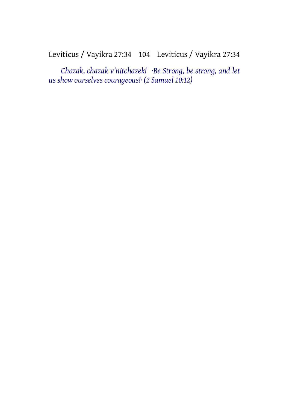# Leviticus / Vayikra 27:34 104 Leviticus / Vayikra 27:34

*Chazak, chazak v'nitchazek! ·Be Strong, be strong, and let us show ourselves courageous!· (2 Samuel 10:12)*